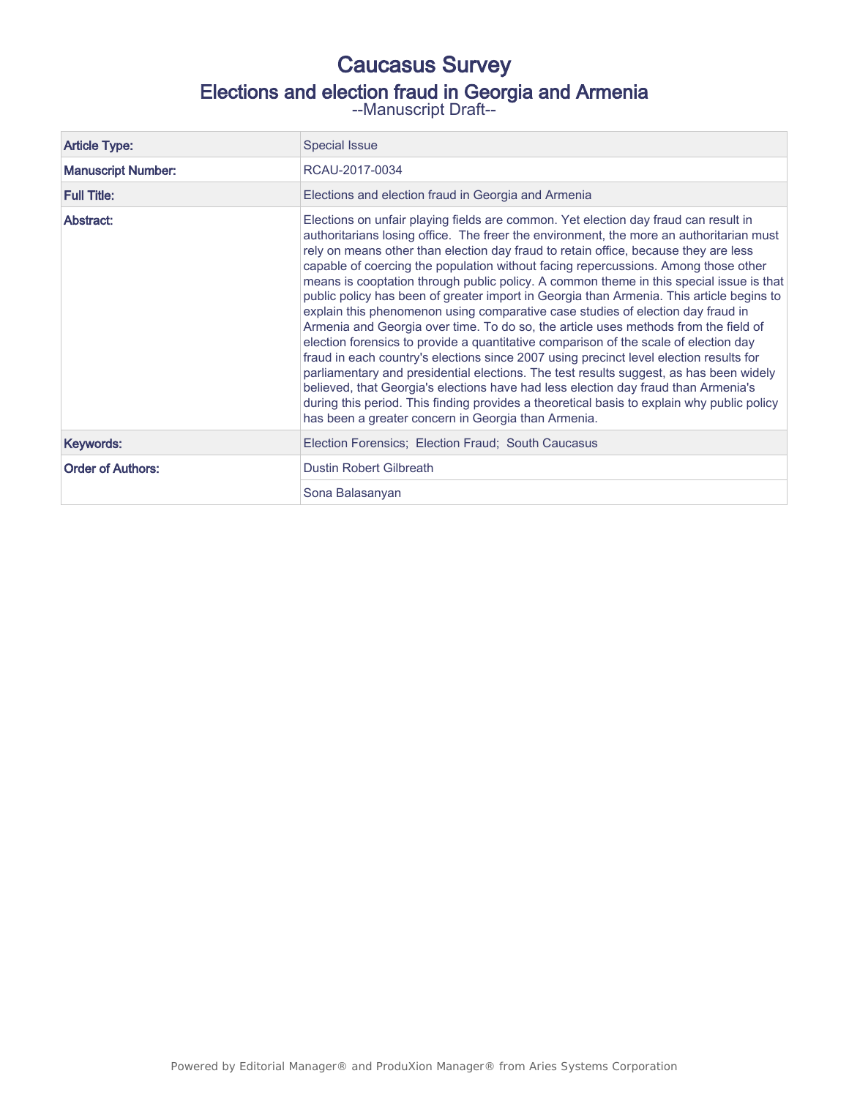# Caucasus Survey Elections and election fraud in Georgia and Armenia

--Manuscript Draft--

| <b>Article Type:</b>      | <b>Special Issue</b>                                                                                                                                                                                                                                                                                                                                                                                                                                                                                                                                                                                                                                                                                                                                                                                                                                                                                                                                                                                                                                                                                                                                                                                                                                |
|---------------------------|-----------------------------------------------------------------------------------------------------------------------------------------------------------------------------------------------------------------------------------------------------------------------------------------------------------------------------------------------------------------------------------------------------------------------------------------------------------------------------------------------------------------------------------------------------------------------------------------------------------------------------------------------------------------------------------------------------------------------------------------------------------------------------------------------------------------------------------------------------------------------------------------------------------------------------------------------------------------------------------------------------------------------------------------------------------------------------------------------------------------------------------------------------------------------------------------------------------------------------------------------------|
| <b>Manuscript Number:</b> | RCAU-2017-0034                                                                                                                                                                                                                                                                                                                                                                                                                                                                                                                                                                                                                                                                                                                                                                                                                                                                                                                                                                                                                                                                                                                                                                                                                                      |
| <b>Full Title:</b>        | Elections and election fraud in Georgia and Armenia                                                                                                                                                                                                                                                                                                                                                                                                                                                                                                                                                                                                                                                                                                                                                                                                                                                                                                                                                                                                                                                                                                                                                                                                 |
| Abstract:                 | Elections on unfair playing fields are common. Yet election day fraud can result in<br>authoritarians losing office. The freer the environment, the more an authoritarian must<br>rely on means other than election day fraud to retain office, because they are less<br>capable of coercing the population without facing repercussions. Among those other<br>means is cooptation through public policy. A common theme in this special issue is that<br>public policy has been of greater import in Georgia than Armenia. This article begins to<br>explain this phenomenon using comparative case studies of election day fraud in<br>Armenia and Georgia over time. To do so, the article uses methods from the field of<br>election forensics to provide a quantitative comparison of the scale of election day<br>fraud in each country's elections since 2007 using precinct level election results for<br>parliamentary and presidential elections. The test results suggest, as has been widely<br>believed, that Georgia's elections have had less election day fraud than Armenia's<br>during this period. This finding provides a theoretical basis to explain why public policy<br>has been a greater concern in Georgia than Armenia. |
| Keywords:                 | Election Forensics; Election Fraud; South Caucasus                                                                                                                                                                                                                                                                                                                                                                                                                                                                                                                                                                                                                                                                                                                                                                                                                                                                                                                                                                                                                                                                                                                                                                                                  |
| <b>Order of Authors:</b>  | <b>Dustin Robert Gilbreath</b>                                                                                                                                                                                                                                                                                                                                                                                                                                                                                                                                                                                                                                                                                                                                                                                                                                                                                                                                                                                                                                                                                                                                                                                                                      |
|                           | Sona Balasanyan                                                                                                                                                                                                                                                                                                                                                                                                                                                                                                                                                                                                                                                                                                                                                                                                                                                                                                                                                                                                                                                                                                                                                                                                                                     |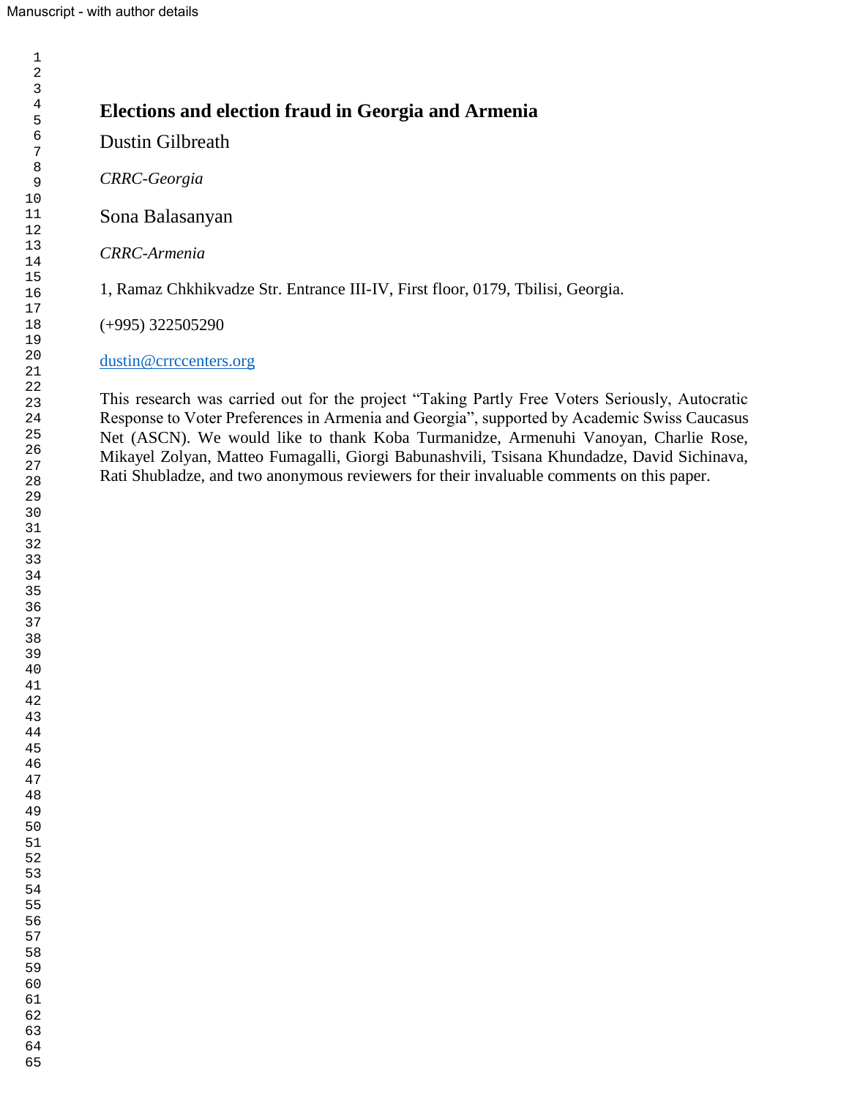# **Elections and election fraud in Georgia and Armenia**

Dustin Gilbreath

*CRRC-Georgia*

- Sona Balasanyan
- *CRRC-Armenia*

1, Ramaz Chkhikvadze Str. Entrance III-IV, First floor, 0179, Tbilisi, Georgia.

(+995) 322505290

[dustin@crrccenters.org](mailto:dustin@crrccenters.org)

This research was carried out for the project "Taking Partly Free Voters Seriously, Autocratic Response to Voter Preferences in Armenia and Georgia", supported by Academic Swiss Caucasus Net (ASCN). We would like to thank Koba Turmanidze, Armenuhi Vanoyan, Charlie Rose, Mikayel Zolyan, Matteo Fumagalli, Giorgi Babunashvili, Tsisana Khundadze, David Sichinava, Rati Shubladze, and two anonymous reviewers for their invaluable comments on this paper.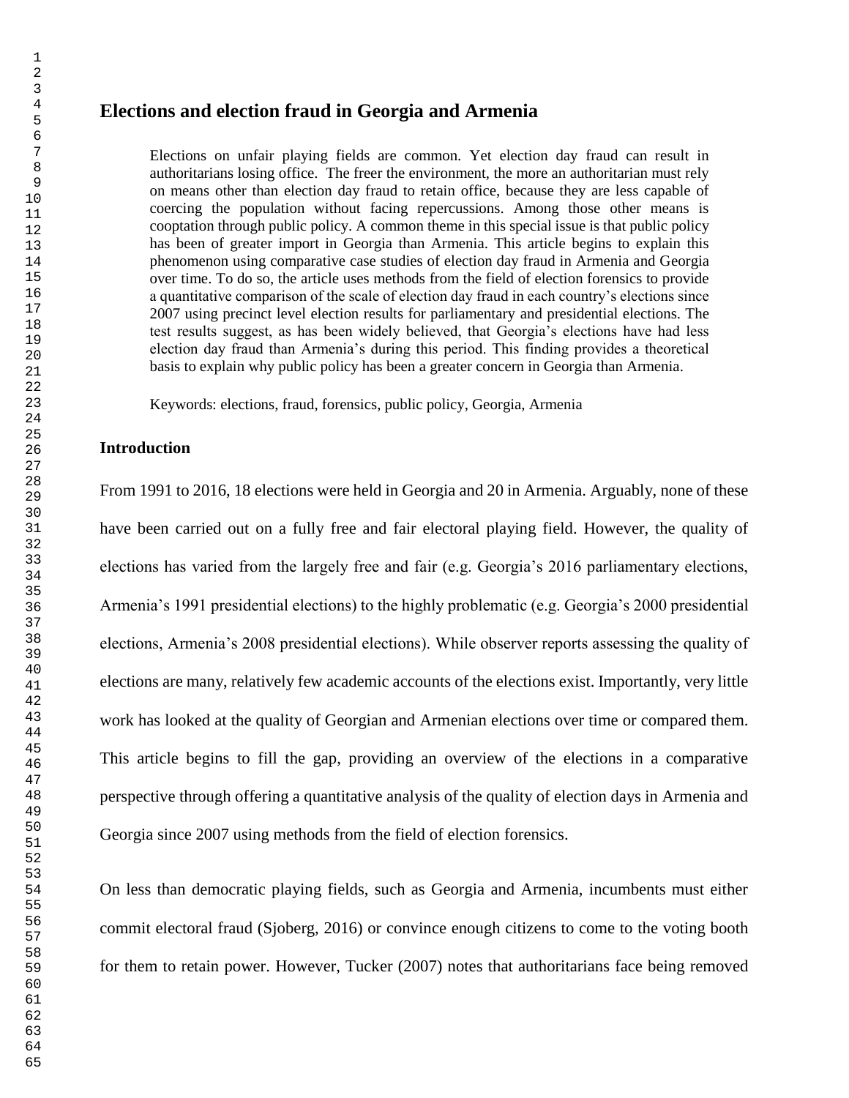# **Elections and election fraud in Georgia and Armenia**

Elections on unfair playing fields are common. Yet election day fraud can result in authoritarians losing office. The freer the environment, the more an authoritarian must rely on means other than election day fraud to retain office, because they are less capable of coercing the population without facing repercussions. Among those other means is cooptation through public policy. A common theme in this special issue is that public policy has been of greater import in Georgia than Armenia. This article begins to explain this phenomenon using comparative case studies of election day fraud in Armenia and Georgia over time. To do so, the article uses methods from the field of election forensics to provide a quantitative comparison of the scale of election day fraud in each country's elections since 2007 using precinct level election results for parliamentary and presidential elections. The test results suggest, as has been widely believed, that Georgia's elections have had less election day fraud than Armenia's during this period. This finding provides a theoretical basis to explain why public policy has been a greater concern in Georgia than Armenia.

Keywords: elections, fraud, forensics, public policy, Georgia, Armenia

# **Introduction**

From 1991 to 2016, 18 elections were held in Georgia and 20 in Armenia. Arguably, none of these have been carried out on a fully free and fair electoral playing field. However, the quality of elections has varied from the largely free and fair (e.g. Georgia's 2016 parliamentary elections, Armenia's 1991 presidential elections) to the highly problematic (e.g. Georgia's 2000 presidential elections, Armenia's 2008 presidential elections). While observer reports assessing the quality of elections are many, relatively few academic accounts of the elections exist. Importantly, very little work has looked at the quality of Georgian and Armenian elections over time or compared them. This article begins to fill the gap, providing an overview of the elections in a comparative perspective through offering a quantitative analysis of the quality of election days in Armenia and Georgia since 2007 using methods from the field of election forensics.

On less than democratic playing fields, such as Georgia and Armenia, incumbents must either commit electoral fraud (Sjoberg, 2016) or convince enough citizens to come to the voting booth for them to retain power. However, Tucker (2007) notes that authoritarians face being removed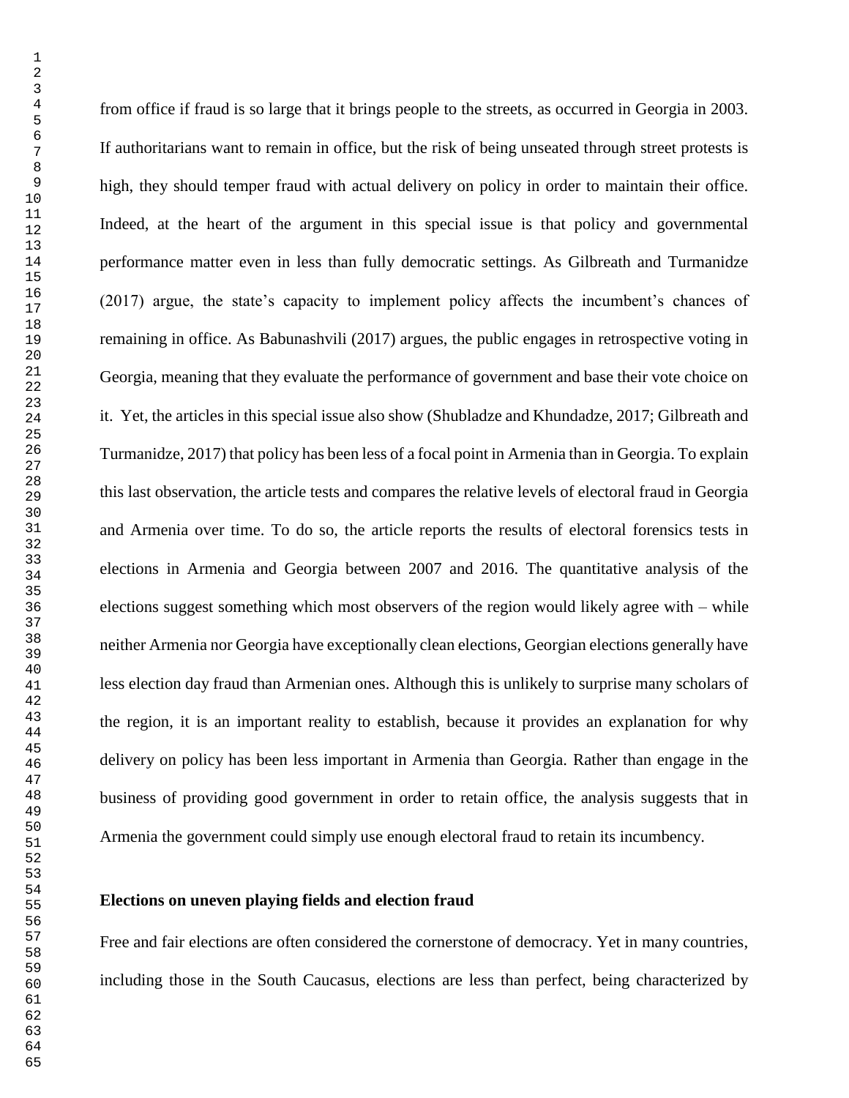from office if fraud is so large that it brings people to the streets, as occurred in Georgia in 2003. If authoritarians want to remain in office, but the risk of being unseated through street protests is high, they should temper fraud with actual delivery on policy in order to maintain their office. Indeed, at the heart of the argument in this special issue is that policy and governmental performance matter even in less than fully democratic settings. As Gilbreath and Turmanidze (2017) argue, the state's capacity to implement policy affects the incumbent's chances of remaining in office. As Babunashvili (2017) argues, the public engages in retrospective voting in Georgia, meaning that they evaluate the performance of government and base their vote choice on it. Yet, the articles in this special issue also show (Shubladze and Khundadze, 2017; Gilbreath and Turmanidze, 2017) that policy has been less of a focal point in Armenia than in Georgia. To explain this last observation, the article tests and compares the relative levels of electoral fraud in Georgia and Armenia over time. To do so, the article reports the results of electoral forensics tests in elections in Armenia and Georgia between 2007 and 2016. The quantitative analysis of the elections suggest something which most observers of the region would likely agree with – while neither Armenia nor Georgia have exceptionally clean elections, Georgian elections generally have less election day fraud than Armenian ones. Although this is unlikely to surprise many scholars of the region, it is an important reality to establish, because it provides an explanation for why delivery on policy has been less important in Armenia than Georgia. Rather than engage in the business of providing good government in order to retain office, the analysis suggests that in Armenia the government could simply use enough electoral fraud to retain its incumbency.

#### **Elections on uneven playing fields and election fraud**

Free and fair elections are often considered the cornerstone of democracy. Yet in many countries, including those in the South Caucasus, elections are less than perfect, being characterized by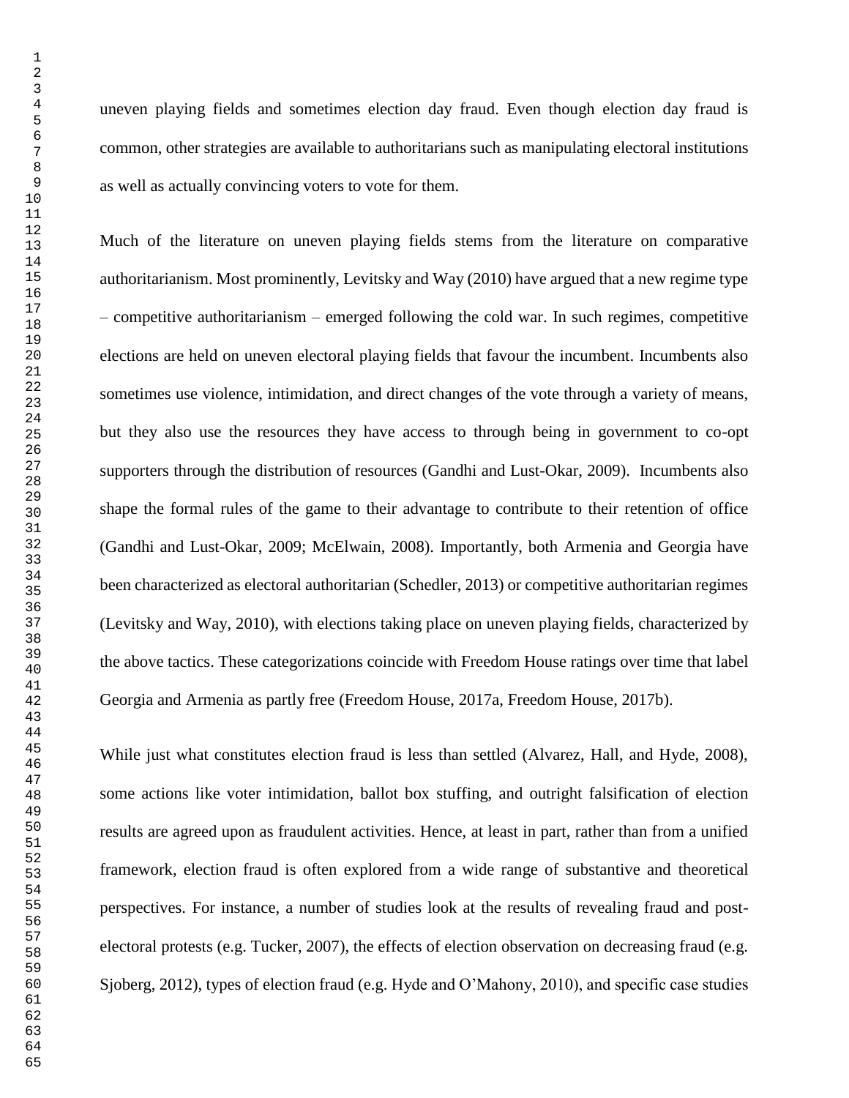uneven playing fields and sometimes election day fraud. Even though election day fraud is common, other strategies are available to authoritarians such as manipulating electoral institutions as well as actually convincing voters to vote for them.

Much of the literature on uneven playing fields stems from the literature on comparative authoritarianism. Most prominently, Levitsky and Way (2010) have argued that a new regime type – competitive authoritarianism – emerged following the cold war. In such regimes, competitive elections are held on uneven electoral playing fields that favour the incumbent. Incumbents also sometimes use violence, intimidation, and direct changes of the vote through a variety of means, but they also use the resources they have access to through being in government to co-opt supporters through the distribution of resources (Gandhi and Lust-Okar, 2009). Incumbents also shape the formal rules of the game to their advantage to contribute to their retention of office (Gandhi and Lust-Okar, 2009; McElwain, 2008). Importantly, both Armenia and Georgia have been characterized as electoral authoritarian (Schedler, 2013) or competitive authoritarian regimes (Levitsky and Way, 2010), with elections taking place on uneven playing fields, characterized by the above tactics. These categorizations coincide with Freedom House ratings over time that label Georgia and Armenia as partly free (Freedom House, 2017a, Freedom House, 2017b).

While just what constitutes election fraud is less than settled (Alvarez, Hall, and Hyde, 2008), some actions like voter intimidation, ballot box stuffing, and outright falsification of election results are agreed upon as fraudulent activities. Hence, at least in part, rather than from a unified framework, election fraud is often explored from a wide range of substantive and theoretical perspectives. For instance, a number of studies look at the results of revealing fraud and postelectoral protests (e.g. Tucker, 2007), the effects of election observation on decreasing fraud (e.g. Sjoberg, 2012), types of election fraud (e.g. Hyde and O'Mahony, 2010), and specific case studies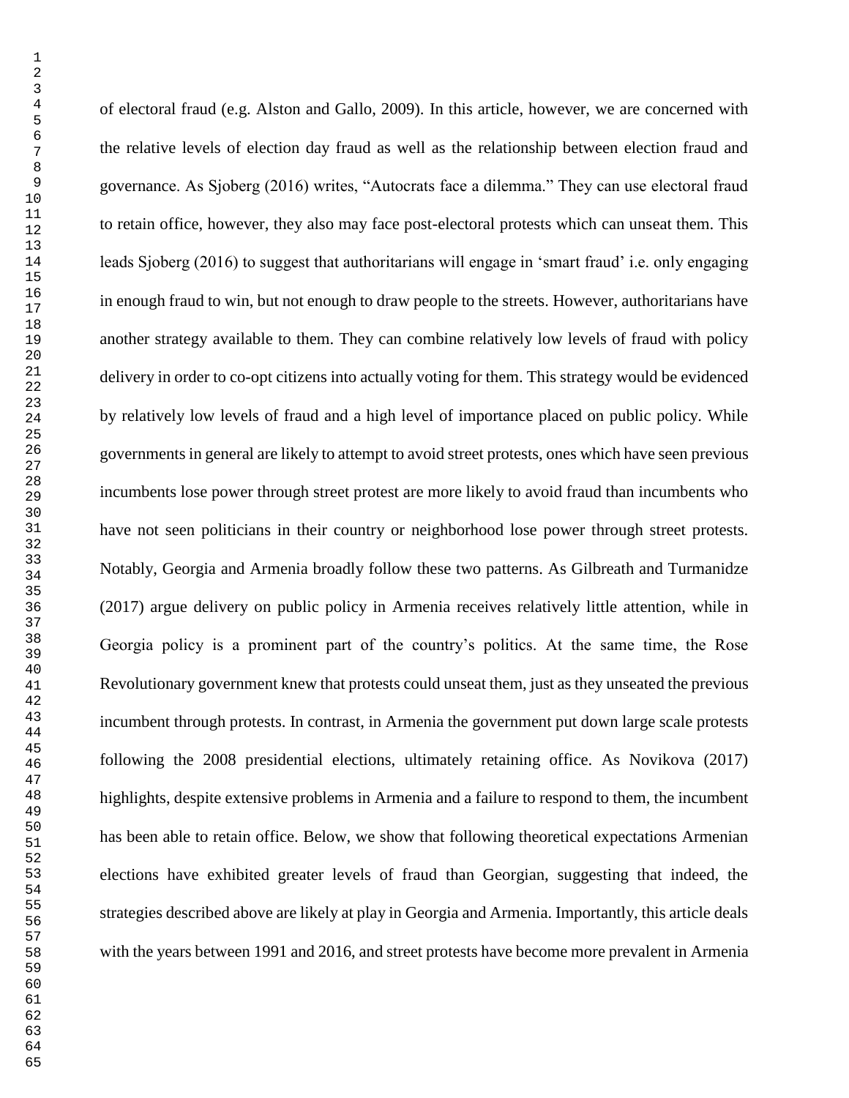of electoral fraud (e.g. Alston and Gallo, 2009). In this article, however, we are concerned with the relative levels of election day fraud as well as the relationship between election fraud and governance. As Sjoberg (2016) writes, "Autocrats face a dilemma." They can use electoral fraud to retain office, however, they also may face post-electoral protests which can unseat them. This leads Sjoberg (2016) to suggest that authoritarians will engage in 'smart fraud' i.e. only engaging in enough fraud to win, but not enough to draw people to the streets. However, authoritarians have another strategy available to them. They can combine relatively low levels of fraud with policy delivery in order to co-opt citizens into actually voting for them. This strategy would be evidenced by relatively low levels of fraud and a high level of importance placed on public policy. While governments in general are likely to attempt to avoid street protests, ones which have seen previous incumbents lose power through street protest are more likely to avoid fraud than incumbents who have not seen politicians in their country or neighborhood lose power through street protests. Notably, Georgia and Armenia broadly follow these two patterns. As Gilbreath and Turmanidze (2017) argue delivery on public policy in Armenia receives relatively little attention, while in Georgia policy is a prominent part of the country's politics. At the same time, the Rose Revolutionary government knew that protests could unseat them, just as they unseated the previous incumbent through protests. In contrast, in Armenia the government put down large scale protests following the 2008 presidential elections, ultimately retaining office. As Novikova (2017) highlights, despite extensive problems in Armenia and a failure to respond to them, the incumbent has been able to retain office. Below, we show that following theoretical expectations Armenian elections have exhibited greater levels of fraud than Georgian, suggesting that indeed, the strategies described above are likely at play in Georgia and Armenia. Importantly, this article deals with the years between 1991 and 2016, and street protests have become more prevalent in Armenia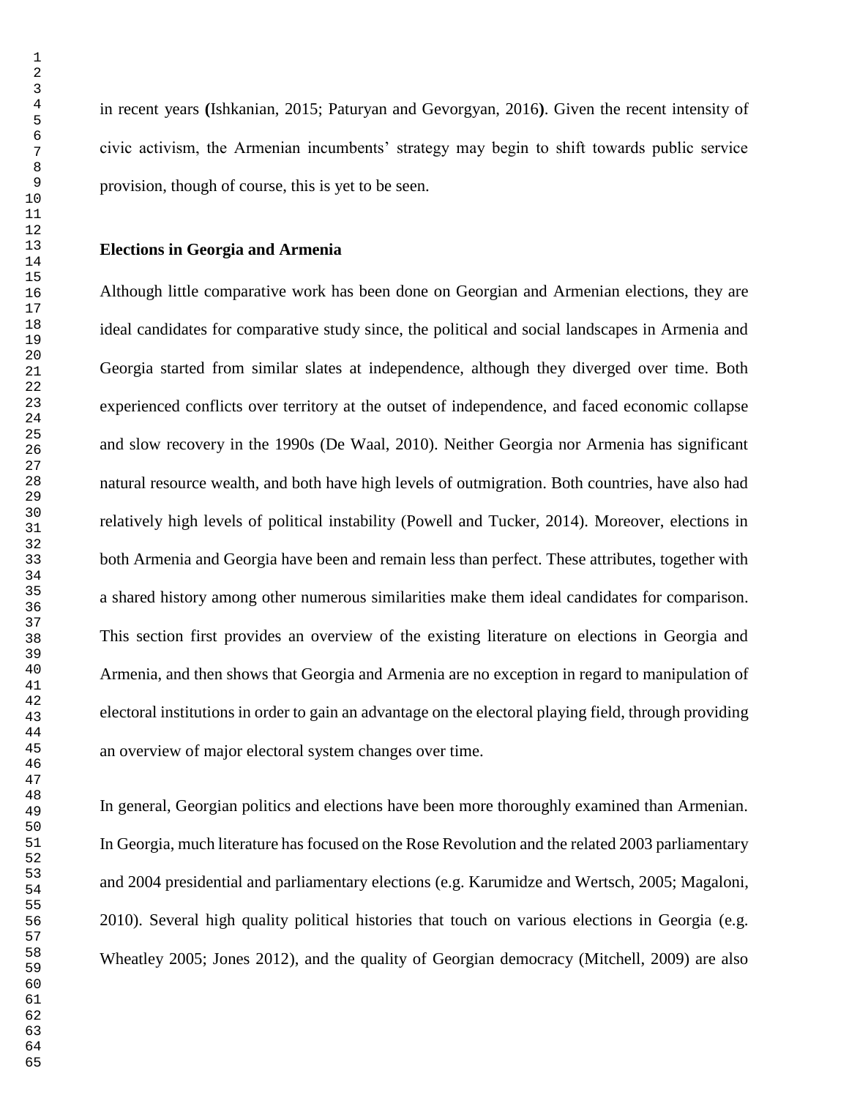in recent years **(**Ishkanian, 2015; Paturyan and Gevorgyan, 2016**)**. Given the recent intensity of civic activism, the Armenian incumbents' strategy may begin to shift towards public service provision, though of course, this is yet to be seen.

#### **Elections in Georgia and Armenia**

Although little comparative work has been done on Georgian and Armenian elections, they are ideal candidates for comparative study since, the political and social landscapes in Armenia and Georgia started from similar slates at independence, although they diverged over time. Both experienced conflicts over territory at the outset of independence, and faced economic collapse and slow recovery in the 1990s (De Waal, 2010). Neither Georgia nor Armenia has significant natural resource wealth, and both have high levels of outmigration. Both countries, have also had relatively high levels of political instability (Powell and Tucker, 2014). Moreover, elections in both Armenia and Georgia have been and remain less than perfect. These attributes, together with a shared history among other numerous similarities make them ideal candidates for comparison. This section first provides an overview of the existing literature on elections in Georgia and Armenia, and then shows that Georgia and Armenia are no exception in regard to manipulation of electoral institutions in order to gain an advantage on the electoral playing field, through providing an overview of major electoral system changes over time.

In general, Georgian politics and elections have been more thoroughly examined than Armenian. In Georgia, much literature has focused on the Rose Revolution and the related 2003 parliamentary and 2004 presidential and parliamentary elections (e.g. Karumidze and Wertsch, 2005; Magaloni, 2010). Several high quality political histories that touch on various elections in Georgia (e.g. Wheatley 2005; Jones 2012), and the quality of Georgian democracy (Mitchell, 2009) are also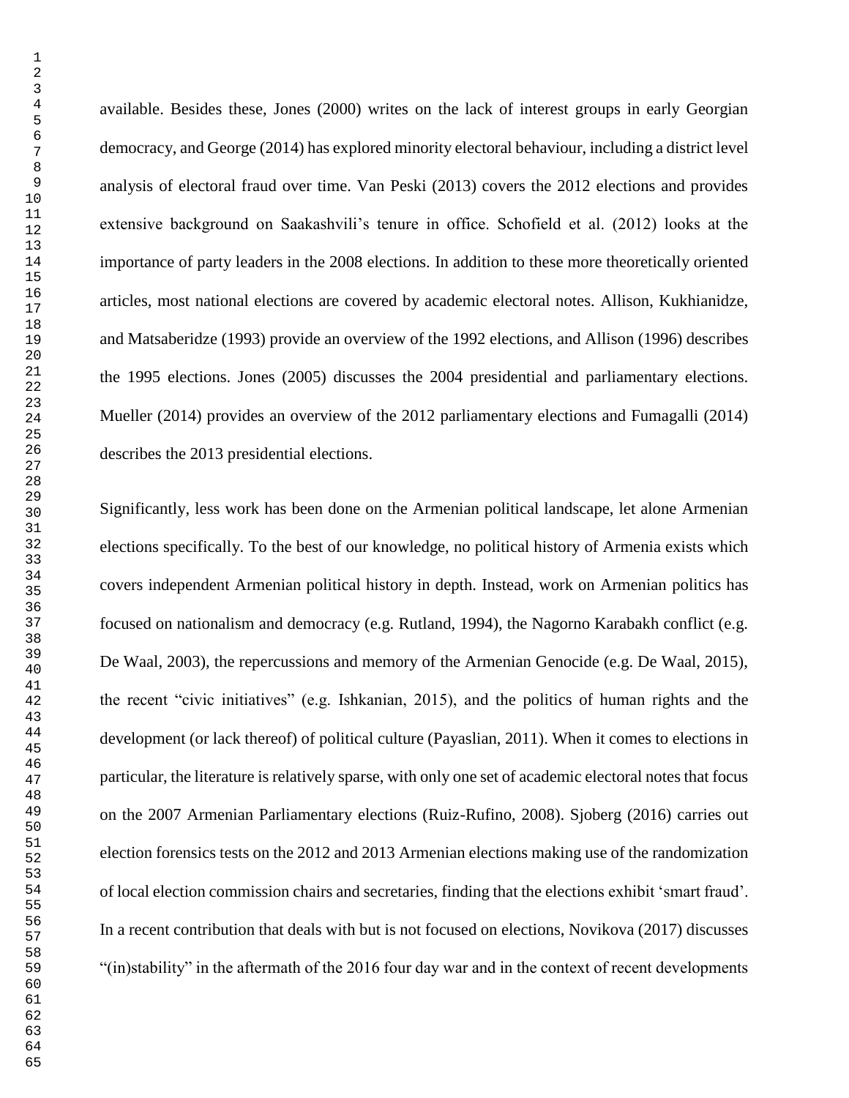available. Besides these, Jones (2000) writes on the lack of interest groups in early Georgian democracy, and George (2014) has explored minority electoral behaviour, including a district level analysis of electoral fraud over time. Van Peski (2013) covers the 2012 elections and provides extensive background on Saakashvili's tenure in office. Schofield et al. (2012) looks at the importance of party leaders in the 2008 elections. In addition to these more theoretically oriented articles, most national elections are covered by academic electoral notes. Allison, Kukhianidze, and Matsaberidze (1993) provide an overview of the 1992 elections, and Allison (1996) describes the 1995 elections. Jones (2005) discusses the 2004 presidential and parliamentary elections. Mueller (2014) provides an overview of the 2012 parliamentary elections and Fumagalli (2014) describes the 2013 presidential elections.

Significantly, less work has been done on the Armenian political landscape, let alone Armenian elections specifically. To the best of our knowledge, no political history of Armenia exists which covers independent Armenian political history in depth. Instead, work on Armenian politics has focused on nationalism and democracy (e.g. Rutland, 1994), the Nagorno Karabakh conflict (e.g. De Waal, 2003), the repercussions and memory of the Armenian Genocide (e.g. De Waal, 2015), the recent "civic initiatives" (e.g. Ishkanian, 2015), and the politics of human rights and the development (or lack thereof) of political culture (Payaslian, 2011). When it comes to elections in particular, the literature is relatively sparse, with only one set of academic electoral notes that focus on the 2007 Armenian Parliamentary elections (Ruiz-Rufino, 2008). Sjoberg (2016) carries out election forensics tests on the 2012 and 2013 Armenian elections making use of the randomization of local election commission chairs and secretaries, finding that the elections exhibit 'smart fraud'. In a recent contribution that deals with but is not focused on elections, Novikova (2017) discusses "(in)stability" in the aftermath of the 2016 four day war and in the context of recent developments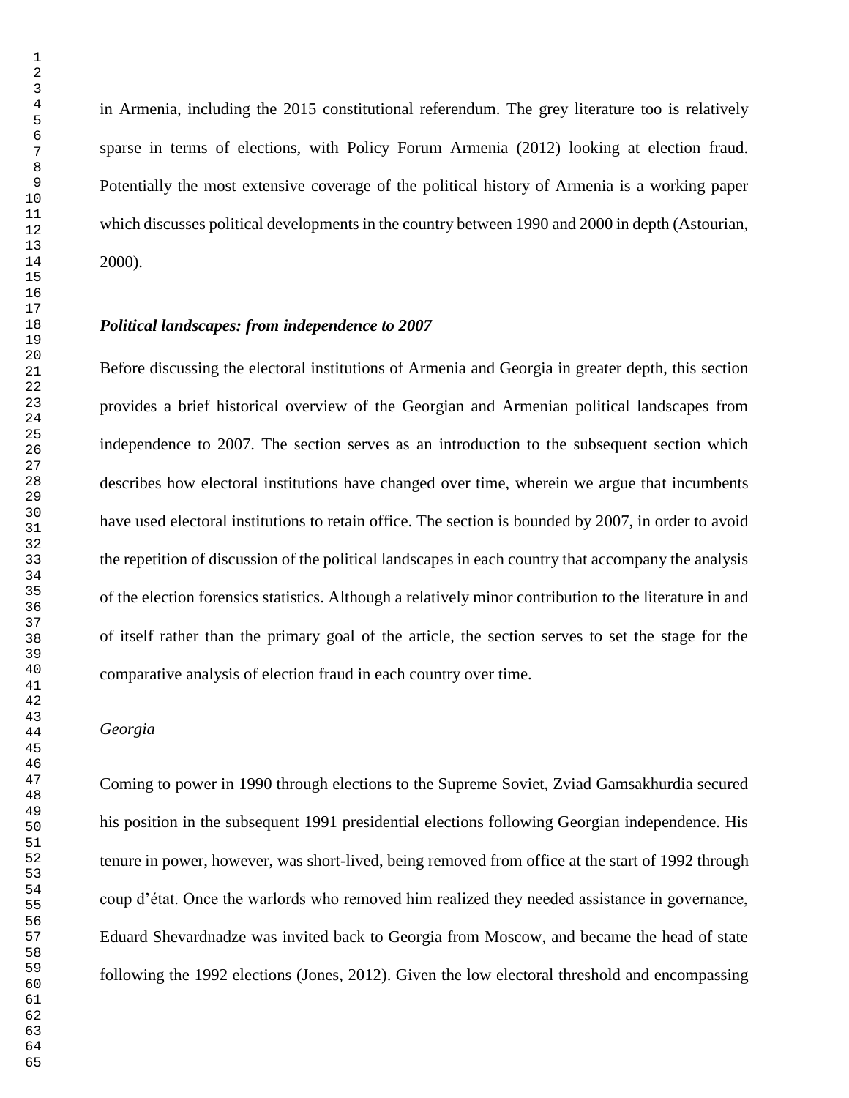in Armenia, including the 2015 constitutional referendum. The grey literature too is relatively sparse in terms of elections, with Policy Forum Armenia (2012) looking at election fraud. Potentially the most extensive coverage of the political history of Armenia is a working paper which discusses political developments in the country between 1990 and 2000 in depth (Astourian, 2000).

#### *Political landscapes: from independence to 2007*

Before discussing the electoral institutions of Armenia and Georgia in greater depth, this section provides a brief historical overview of the Georgian and Armenian political landscapes from independence to 2007. The section serves as an introduction to the subsequent section which describes how electoral institutions have changed over time, wherein we argue that incumbents have used electoral institutions to retain office. The section is bounded by 2007, in order to avoid the repetition of discussion of the political landscapes in each country that accompany the analysis of the election forensics statistics. Although a relatively minor contribution to the literature in and of itself rather than the primary goal of the article, the section serves to set the stage for the comparative analysis of election fraud in each country over time.

#### *Georgia*

Coming to power in 1990 through elections to the Supreme Soviet, Zviad Gamsakhurdia secured his position in the subsequent 1991 presidential elections following Georgian independence. His tenure in power, however, was short-lived, being removed from office at the start of 1992 through coup d'état. Once the warlords who removed him realized they needed assistance in governance, Eduard Shevardnadze was invited back to Georgia from Moscow, and became the head of state following the 1992 elections (Jones, 2012). Given the low electoral threshold and encompassing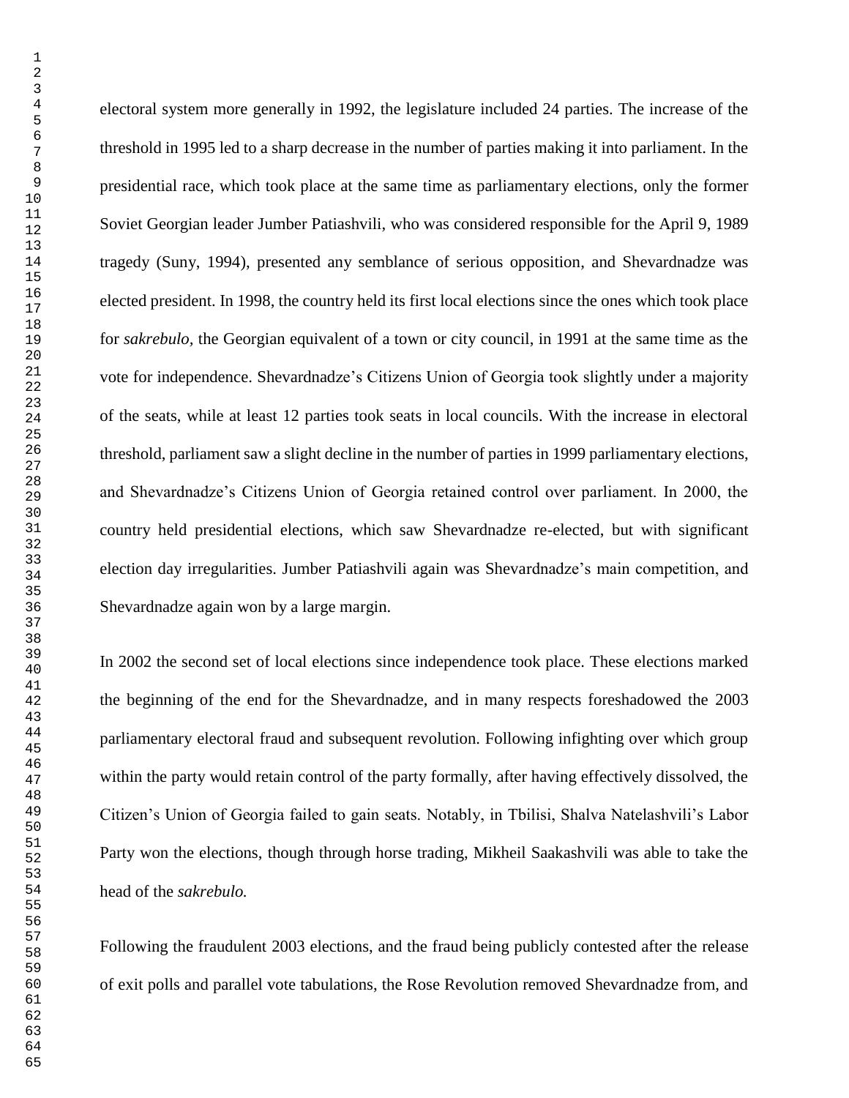electoral system more generally in 1992, the legislature included 24 parties. The increase of the threshold in 1995 led to a sharp decrease in the number of parties making it into parliament. In the presidential race, which took place at the same time as parliamentary elections, only the former Soviet Georgian leader Jumber Patiashvili, who was considered responsible for the April 9, 1989 tragedy (Suny, 1994), presented any semblance of serious opposition, and Shevardnadze was elected president. In 1998, the country held its first local elections since the ones which took place for *sakrebulo,* the Georgian equivalent of a town or city council, in 1991 at the same time as the vote for independence. Shevardnadze's Citizens Union of Georgia took slightly under a majority of the seats, while at least 12 parties took seats in local councils. With the increase in electoral threshold, parliament saw a slight decline in the number of parties in 1999 parliamentary elections, and Shevardnadze's Citizens Union of Georgia retained control over parliament. In 2000, the country held presidential elections, which saw Shevardnadze re-elected, but with significant election day irregularities. Jumber Patiashvili again was Shevardnadze's main competition, and Shevardnadze again won by a large margin.

In 2002 the second set of local elections since independence took place. These elections marked the beginning of the end for the Shevardnadze, and in many respects foreshadowed the 2003 parliamentary electoral fraud and subsequent revolution. Following infighting over which group within the party would retain control of the party formally, after having effectively dissolved, the Citizen's Union of Georgia failed to gain seats. Notably, in Tbilisi, Shalva Natelashvili's Labor Party won the elections, though through horse trading, Mikheil Saakashvili was able to take the head of the *sakrebulo.* 

Following the fraudulent 2003 elections, and the fraud being publicly contested after the release of exit polls and parallel vote tabulations, the Rose Revolution removed Shevardnadze from, and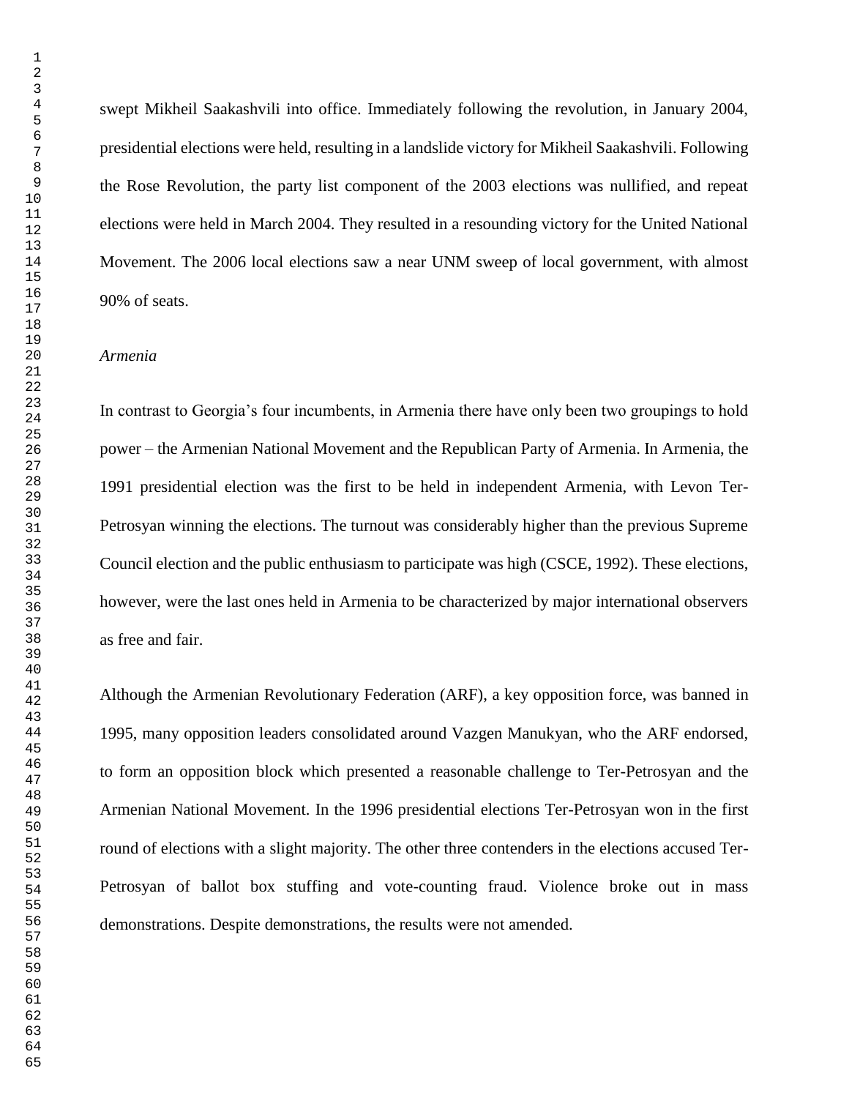swept Mikheil Saakashvili into office. Immediately following the revolution, in January 2004, presidential elections were held, resulting in a landslide victory for Mikheil Saakashvili. Following the Rose Revolution, the party list component of the 2003 elections was nullified, and repeat elections were held in March 2004. They resulted in a resounding victory for the United National Movement. The 2006 local elections saw a near UNM sweep of local government, with almost 90% of seats.

#### *Armenia*

In contrast to Georgia's four incumbents, in Armenia there have only been two groupings to hold power – the Armenian National Movement and the Republican Party of Armenia. In Armenia, the 1991 presidential election was the first to be held in independent Armenia, with Levon Ter-Petrosyan winning the elections. The turnout was considerably higher than the previous Supreme Council election and the public enthusiasm to participate was high (CSCE, 1992). These elections, however, were the last ones held in Armenia to be characterized by major international observers as free and fair.

Although the Armenian Revolutionary Federation (ARF), a key opposition force, was banned in 1995, many opposition leaders consolidated around Vazgen Manukyan, who the ARF endorsed, to form an opposition block which presented a reasonable challenge to Ter-Petrosyan and the Armenian National Movement. In the 1996 presidential elections Ter-Petrosyan won in the first round of elections with a slight majority. The other three contenders in the elections accused Ter-Petrosyan of ballot box stuffing and vote-counting fraud. Violence broke out in mass demonstrations. Despite demonstrations, the results were not amended.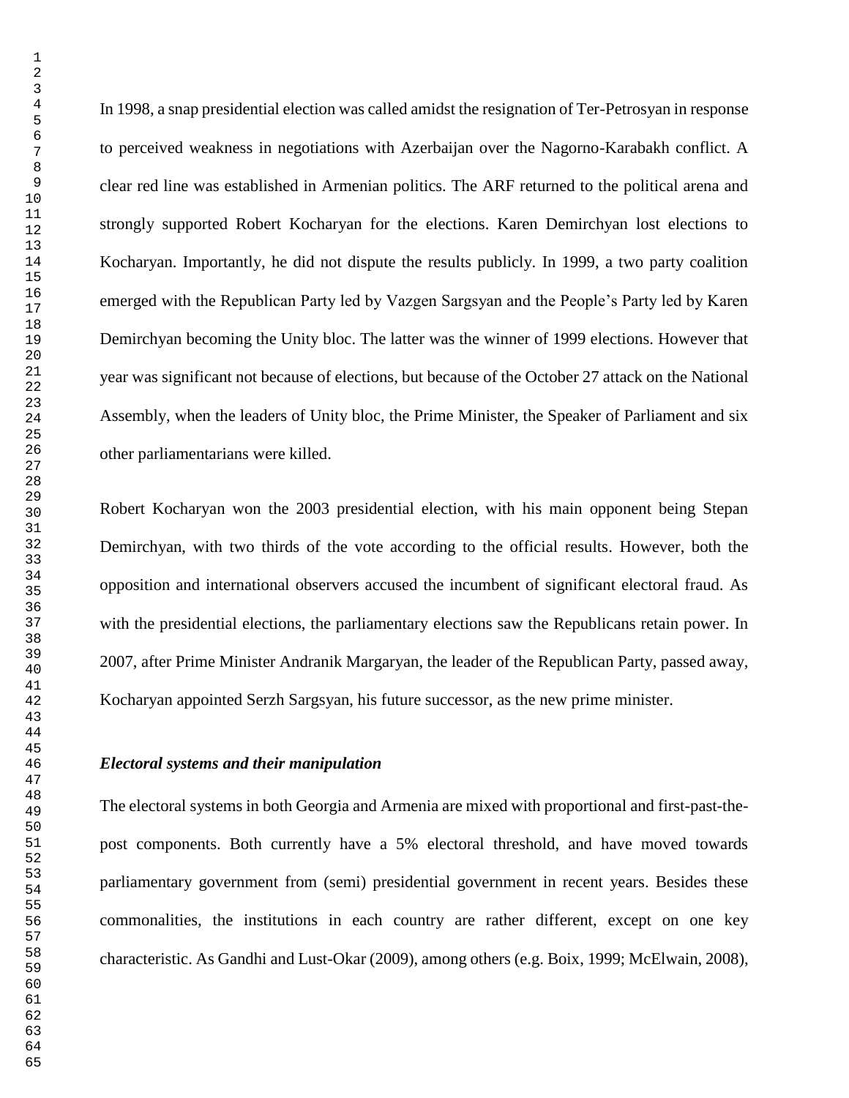In 1998, a snap presidential election was called amidst the resignation of Ter-Petrosyan in response to perceived weakness in negotiations with Azerbaijan over the Nagorno-Karabakh conflict. A clear red line was established in Armenian politics. The ARF returned to the political arena and strongly supported Robert Kocharyan for the elections. Karen Demirchyan lost elections to Kocharyan. Importantly, he did not dispute the results publicly. In 1999, a two party coalition emerged with the Republican Party led by Vazgen Sargsyan and the People's Party led by Karen Demirchyan becoming the Unity bloc. The latter was the winner of 1999 elections. However that year was significant not because of elections, but because of the October 27 attack on the National Assembly, when the leaders of Unity bloc, the Prime Minister, the Speaker of Parliament and six other parliamentarians were killed.

Robert Kocharyan won the 2003 presidential election, with his main opponent being Stepan Demirchyan, with two thirds of the vote according to the official results. However, both the opposition and international observers accused the incumbent of significant electoral fraud. As with the presidential elections, the parliamentary elections saw the Republicans retain power. In 2007, after Prime Minister Andranik Margaryan, the leader of the Republican Party, passed away, Kocharyan appointed Serzh Sargsyan, his future successor, as the new prime minister.

#### *Electoral systems and their manipulation*

The electoral systems in both Georgia and Armenia are mixed with proportional and first-past-thepost components. Both currently have a 5% electoral threshold, and have moved towards parliamentary government from (semi) presidential government in recent years. Besides these commonalities, the institutions in each country are rather different, except on one key characteristic. As Gandhi and Lust-Okar (2009), among others (e.g. Boix, 1999; McElwain, 2008),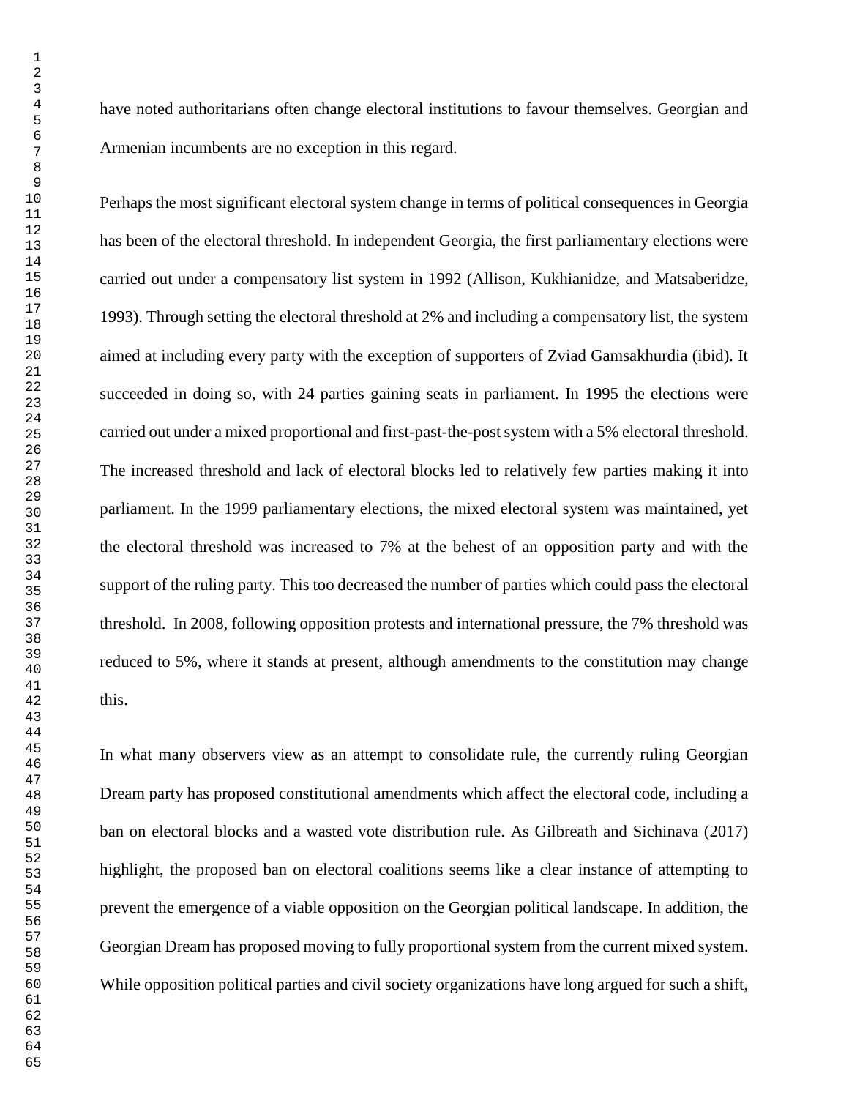have noted authoritarians often change electoral institutions to favour themselves. Georgian and Armenian incumbents are no exception in this regard.

Perhaps the most significant electoral system change in terms of political consequences in Georgia has been of the electoral threshold. In independent Georgia, the first parliamentary elections were carried out under a compensatory list system in 1992 (Allison, Kukhianidze, and Matsaberidze, 1993). Through setting the electoral threshold at 2% and including a compensatory list, the system aimed at including every party with the exception of supporters of Zviad Gamsakhurdia (ibid). It succeeded in doing so, with 24 parties gaining seats in parliament. In 1995 the elections were carried out under a mixed proportional and first-past-the-post system with a 5% electoral threshold. The increased threshold and lack of electoral blocks led to relatively few parties making it into parliament. In the 1999 parliamentary elections, the mixed electoral system was maintained, yet the electoral threshold was increased to 7% at the behest of an opposition party and with the support of the ruling party. This too decreased the number of parties which could pass the electoral threshold.In 2008, following opposition protests and international pressure, the 7% threshold was reduced to 5%, where it stands at present, although amendments to the constitution may change this.

In what many observers view as an attempt to consolidate rule, the currently ruling Georgian Dream party has proposed constitutional amendments which affect the electoral code, including a ban on electoral blocks and a wasted vote distribution rule. As Gilbreath and Sichinava (2017) highlight, the proposed ban on electoral coalitions seems like a clear instance of attempting to prevent the emergence of a viable opposition on the Georgian political landscape. In addition, the Georgian Dream has proposed moving to fully proportional system from the current mixed system. While opposition political parties and civil society organizations have long argued for such a shift,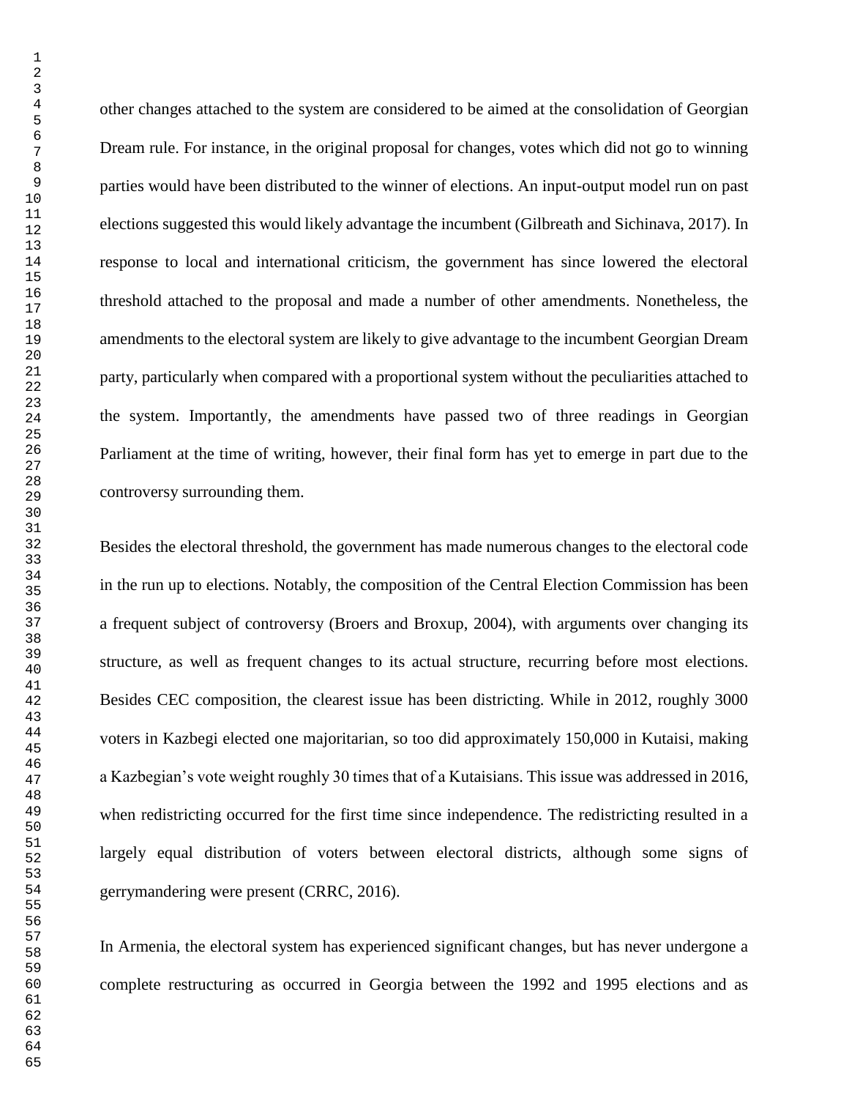other changes attached to the system are considered to be aimed at the consolidation of Georgian Dream rule. For instance, in the original proposal for changes, votes which did not go to winning parties would have been distributed to the winner of elections. An input-output model run on past elections suggested this would likely advantage the incumbent (Gilbreath and Sichinava, 2017). In response to local and international criticism, the government has since lowered the electoral threshold attached to the proposal and made a number of other amendments. Nonetheless, the amendments to the electoral system are likely to give advantage to the incumbent Georgian Dream party, particularly when compared with a proportional system without the peculiarities attached to the system. Importantly, the amendments have passed two of three readings in Georgian Parliament at the time of writing, however, their final form has yet to emerge in part due to the controversy surrounding them.

Besides the electoral threshold, the government has made numerous changes to the electoral code in the run up to elections. Notably, the composition of the Central Election Commission has been a frequent subject of controversy (Broers and Broxup, 2004), with arguments over changing its structure, as well as frequent changes to its actual structure, recurring before most elections. Besides CEC composition, the clearest issue has been districting. While in 2012, roughly 3000 voters in Kazbegi elected one majoritarian, so too did approximately 150,000 in Kutaisi, making a Kazbegian's vote weight roughly 30 times that of a Kutaisians. This issue was addressed in 2016, when redistricting occurred for the first time since independence. The redistricting resulted in a largely equal distribution of voters between electoral districts, although some signs of gerrymandering were present (CRRC, 2016).

In Armenia, the electoral system has experienced significant changes, but has never undergone a complete restructuring as occurred in Georgia between the 1992 and 1995 elections and as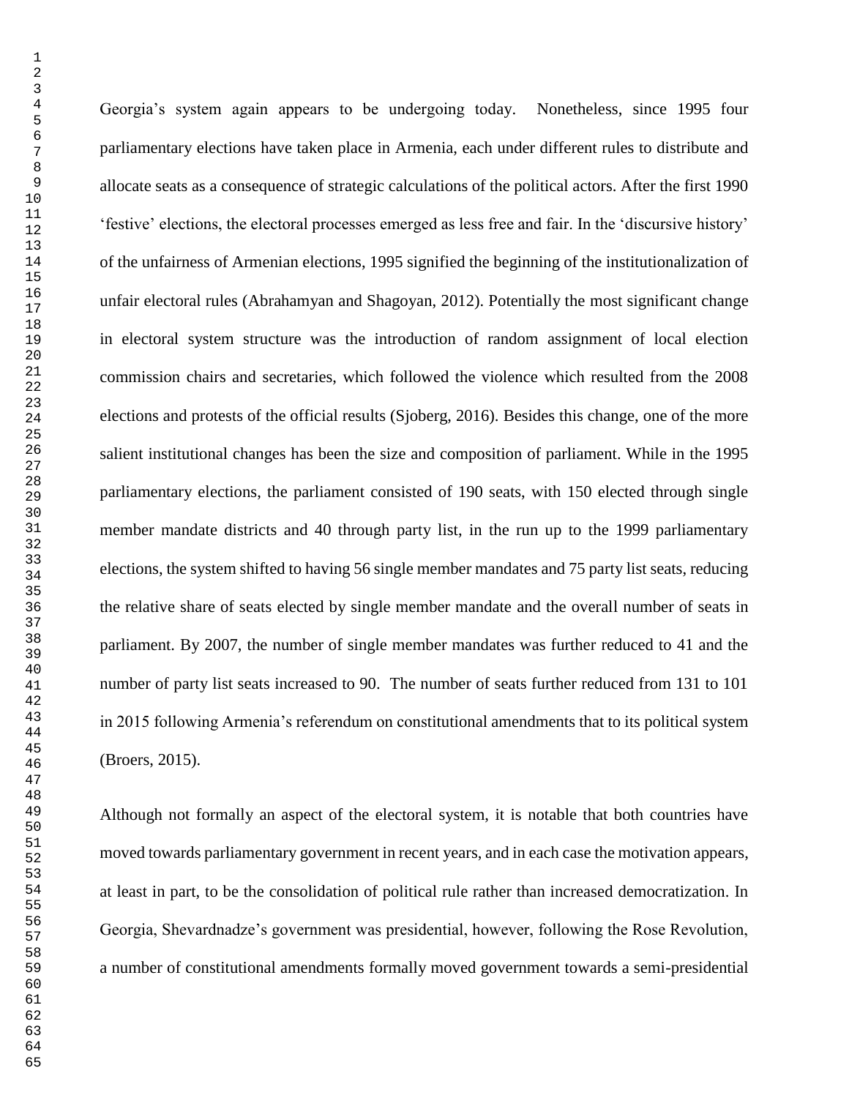Georgia's system again appears to be undergoing today. Nonetheless, since 1995 four parliamentary elections have taken place in Armenia, each under different rules to distribute and allocate seats as a consequence of strategic calculations of the political actors. After the first 1990 'festive' elections, the electoral processes emerged as less free and fair. In the 'discursive history' of the unfairness of Armenian elections, 1995 signified the beginning of the institutionalization of unfair electoral rules (Abrahamyan and Shagoyan, 2012). Potentially the most significant change in electoral system structure was the introduction of random assignment of local election commission chairs and secretaries, which followed the violence which resulted from the 2008 elections and protests of the official results (Sjoberg, 2016). Besides this change, one of the more salient institutional changes has been the size and composition of parliament. While in the 1995 parliamentary elections, the parliament consisted of 190 seats, with 150 elected through single member mandate districts and 40 through party list, in the run up to the 1999 parliamentary elections, the system shifted to having 56 single member mandates and 75 party list seats, reducing the relative share of seats elected by single member mandate and the overall number of seats in parliament. By 2007, the number of single member mandates was further reduced to 41 and the number of party list seats increased to 90. The number of seats further reduced from 131 to 101 in 2015 following Armenia's referendum on constitutional amendments that to its political system (Broers, 2015).

Although not formally an aspect of the electoral system, it is notable that both countries have moved towards parliamentary government in recent years, and in each case the motivation appears, at least in part, to be the consolidation of political rule rather than increased democratization. In Georgia, Shevardnadze's government was presidential, however, following the Rose Revolution, a number of constitutional amendments formally moved government towards a semi-presidential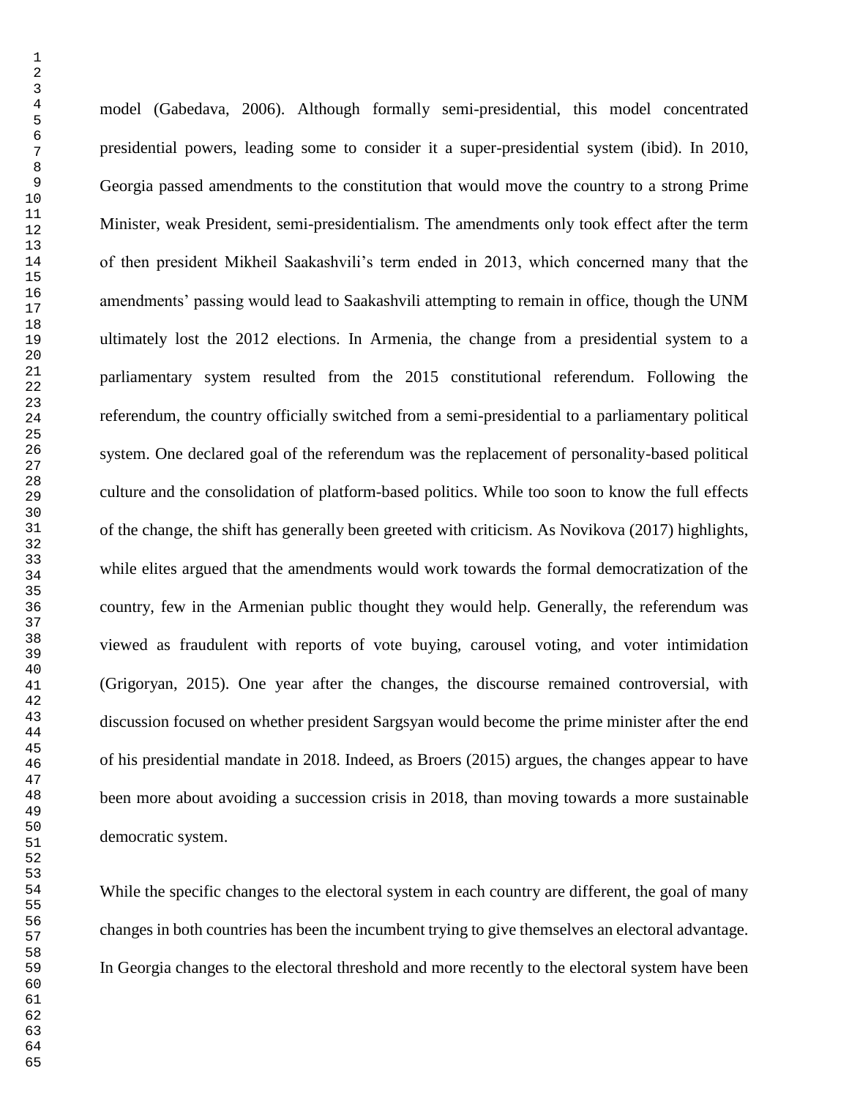model (Gabedava, 2006). Although formally semi-presidential, this model concentrated presidential powers, leading some to consider it a super-presidential system (ibid). In 2010, Georgia passed amendments to the constitution that would move the country to a strong Prime Minister, weak President, semi-presidentialism. The amendments only took effect after the term of then president Mikheil Saakashvili's term ended in 2013, which concerned many that the amendments' passing would lead to Saakashvili attempting to remain in office, though the UNM ultimately lost the 2012 elections. In Armenia, the change from a presidential system to a parliamentary system resulted from the 2015 constitutional referendum. Following the referendum, the country officially switched from a semi-presidential to a parliamentary political system. One declared goal of the referendum was the replacement of personality-based political culture and the consolidation of platform-based politics. While too soon to know the full effects of the change, the shift has generally been greeted with criticism. As Novikova (2017) highlights, while elites argued that the amendments would work towards the formal democratization of the country, few in the Armenian public thought they would help. Generally, the referendum was viewed as fraudulent with reports of vote buying, carousel voting, and voter intimidation (Grigoryan, 2015). One year after the changes, the discourse remained controversial, with discussion focused on whether president Sargsyan would become the prime minister after the end of his presidential mandate in 2018. Indeed, as Broers (2015) argues, the changes appear to have been more about avoiding a succession crisis in 2018, than moving towards a more sustainable democratic system.

While the specific changes to the electoral system in each country are different, the goal of many changes in both countries has been the incumbent trying to give themselves an electoral advantage. In Georgia changes to the electoral threshold and more recently to the electoral system have been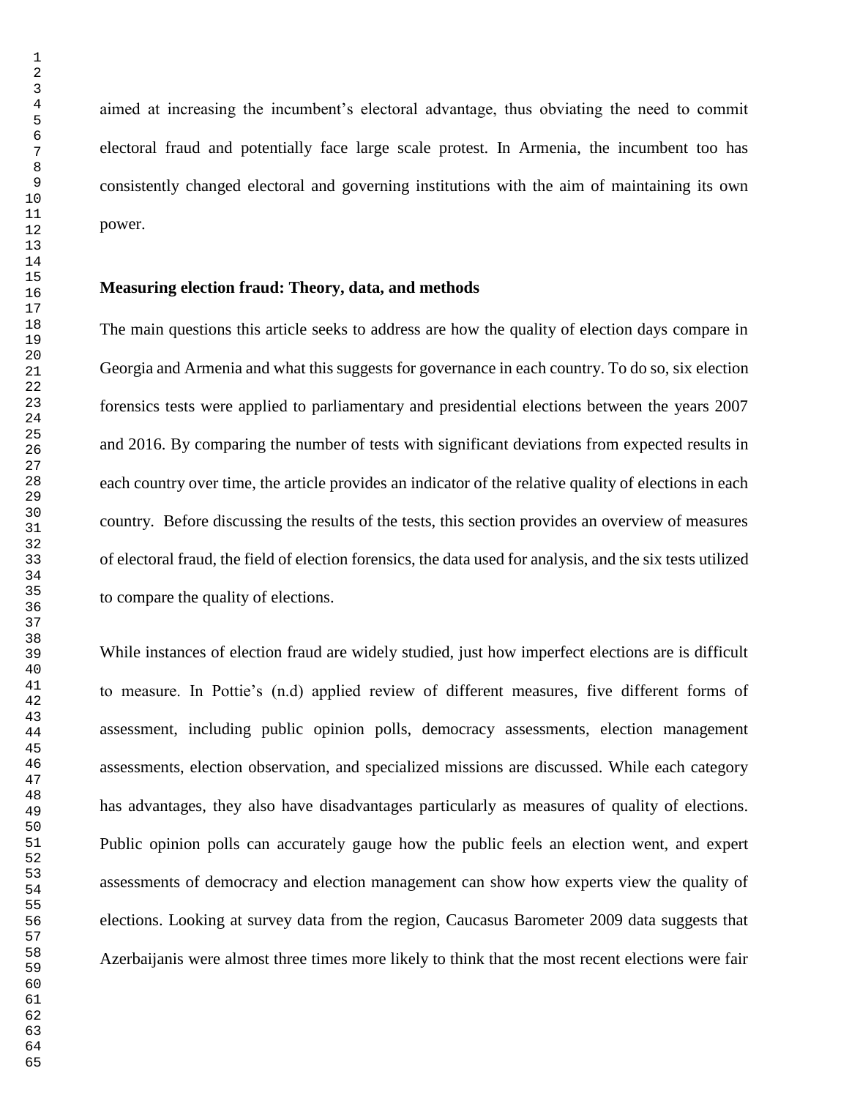aimed at increasing the incumbent's electoral advantage, thus obviating the need to commit electoral fraud and potentially face large scale protest. In Armenia, the incumbent too has consistently changed electoral and governing institutions with the aim of maintaining its own power.

#### **Measuring election fraud: Theory, data, and methods**

The main questions this article seeks to address are how the quality of election days compare in Georgia and Armenia and what this suggests for governance in each country. To do so, six election forensics tests were applied to parliamentary and presidential elections between the years 2007 and 2016. By comparing the number of tests with significant deviations from expected results in each country over time, the article provides an indicator of the relative quality of elections in each country. Before discussing the results of the tests, this section provides an overview of measures of electoral fraud, the field of election forensics, the data used for analysis, and the six tests utilized to compare the quality of elections.

While instances of election fraud are widely studied, just how imperfect elections are is difficult to measure. In Pottie's (n.d) applied review of different measures, five different forms of assessment, including public opinion polls, democracy assessments, election management assessments, election observation, and specialized missions are discussed. While each category has advantages, they also have disadvantages particularly as measures of quality of elections. Public opinion polls can accurately gauge how the public feels an election went, and expert assessments of democracy and election management can show how experts view the quality of elections. Looking at survey data from the region, Caucasus Barometer 2009 data suggests that Azerbaijanis were almost three times more likely to think that the most recent elections were fair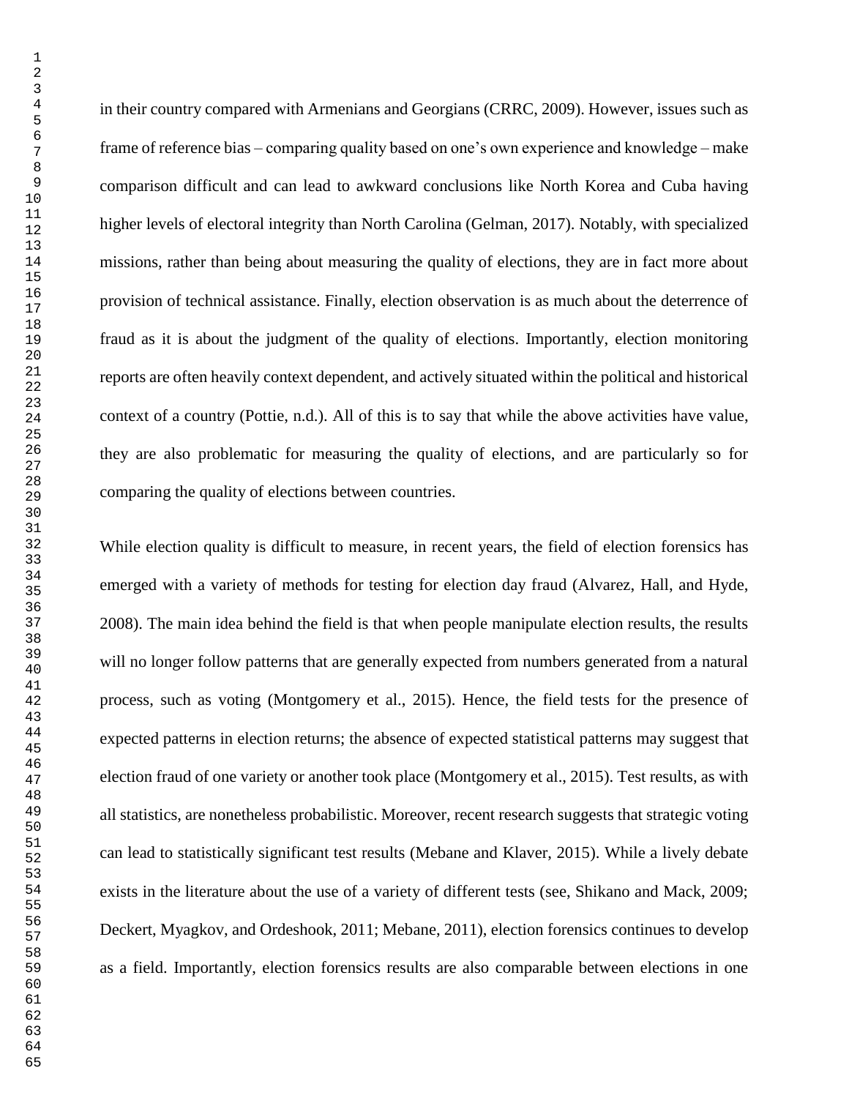in their country compared with Armenians and Georgians (CRRC, 2009). However, issues such as frame of reference bias – comparing quality based on one's own experience and knowledge – make comparison difficult and can lead to awkward conclusions like North Korea and Cuba having higher levels of electoral integrity than North Carolina (Gelman, 2017). Notably, with specialized missions, rather than being about measuring the quality of elections, they are in fact more about provision of technical assistance. Finally, election observation is as much about the deterrence of fraud as it is about the judgment of the quality of elections. Importantly, election monitoring reports are often heavily context dependent, and actively situated within the political and historical context of a country (Pottie, n.d.). All of this is to say that while the above activities have value, they are also problematic for measuring the quality of elections, and are particularly so for comparing the quality of elections between countries.

While election quality is difficult to measure, in recent years, the field of election forensics has emerged with a variety of methods for testing for election day fraud (Alvarez, Hall, and Hyde, 2008). The main idea behind the field is that when people manipulate election results, the results will no longer follow patterns that are generally expected from numbers generated from a natural process, such as voting (Montgomery et al., 2015). Hence, the field tests for the presence of expected patterns in election returns; the absence of expected statistical patterns may suggest that election fraud of one variety or another took place (Montgomery et al., 2015). Test results, as with all statistics, are nonetheless probabilistic. Moreover, recent research suggests that strategic voting can lead to statistically significant test results (Mebane and Klaver, 2015). While a lively debate exists in the literature about the use of a variety of different tests (see, Shikano and Mack, 2009; Deckert, Myagkov, and Ordeshook, 2011; Mebane, 2011), election forensics continues to develop as a field. Importantly, election forensics results are also comparable between elections in one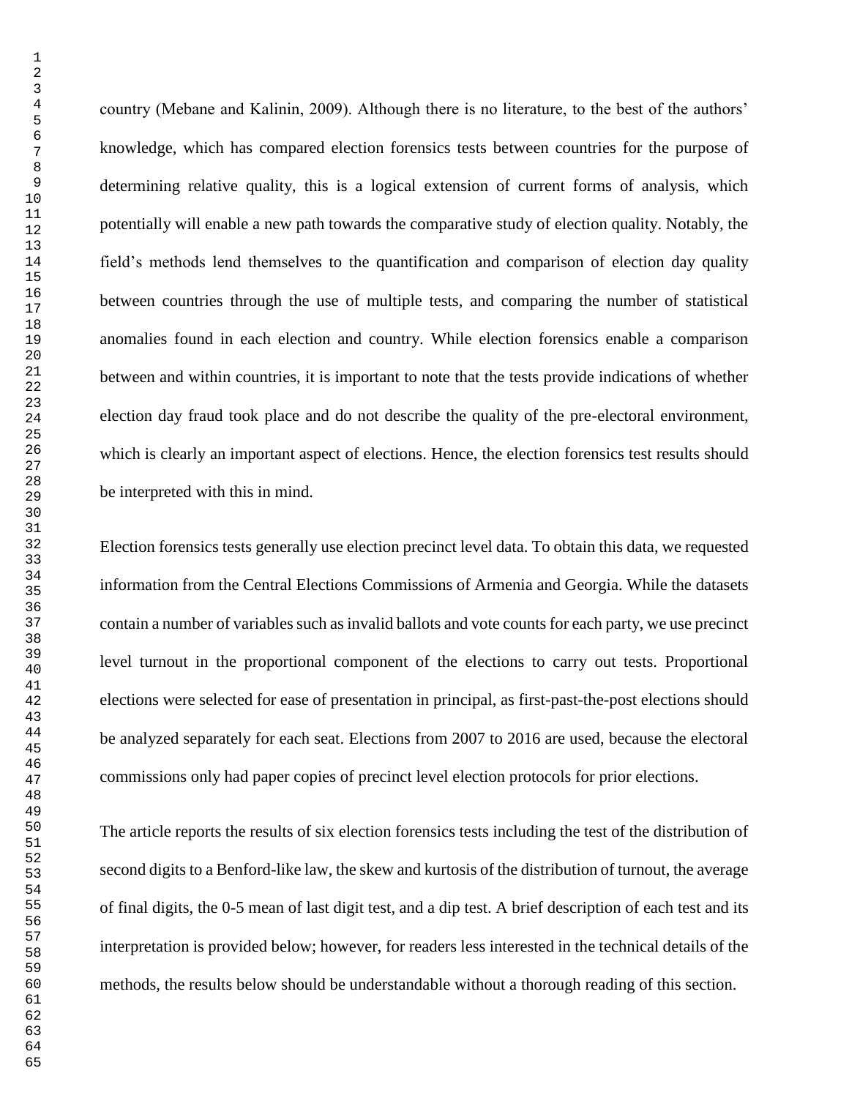country (Mebane and Kalinin, 2009). Although there is no literature, to the best of the authors' knowledge, which has compared election forensics tests between countries for the purpose of determining relative quality, this is a logical extension of current forms of analysis, which potentially will enable a new path towards the comparative study of election quality. Notably, the field's methods lend themselves to the quantification and comparison of election day quality between countries through the use of multiple tests, and comparing the number of statistical anomalies found in each election and country. While election forensics enable a comparison between and within countries, it is important to note that the tests provide indications of whether election day fraud took place and do not describe the quality of the pre-electoral environment, which is clearly an important aspect of elections. Hence, the election forensics test results should be interpreted with this in mind.

Election forensics tests generally use election precinct level data. To obtain this data, we requested information from the Central Elections Commissions of Armenia and Georgia. While the datasets contain a number of variables such as invalid ballots and vote counts for each party, we use precinct level turnout in the proportional component of the elections to carry out tests. Proportional elections were selected for ease of presentation in principal, as first-past-the-post elections should be analyzed separately for each seat. Elections from 2007 to 2016 are used, because the electoral commissions only had paper copies of precinct level election protocols for prior elections.

The article reports the results of six election forensics tests including the test of the distribution of second digits to a Benford-like law, the skew and kurtosis of the distribution of turnout, the average of final digits, the 0-5 mean of last digit test, and a dip test. A brief description of each test and its interpretation is provided below; however, for readers less interested in the technical details of the methods, the results below should be understandable without a thorough reading of this section.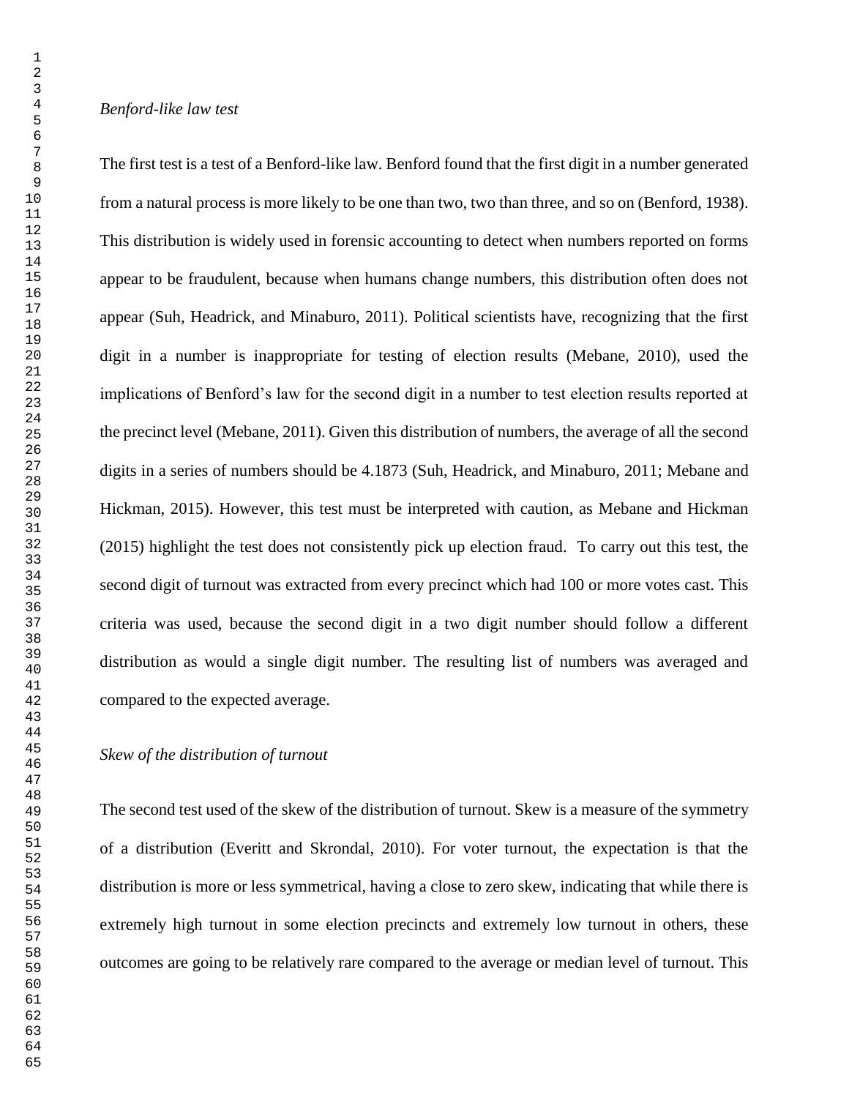#### *Benford-like law test*

The first test is a test of a Benford-like law. Benford found that the first digit in a number generated from a natural process is more likely to be one than two, two than three, and so on (Benford, 1938). This distribution is widely used in forensic accounting to detect when numbers reported on forms appear to be fraudulent, because when humans change numbers, this distribution often does not appear (Suh, Headrick, and Minaburo, 2011). Political scientists have, recognizing that the first digit in a number is inappropriate for testing of election results (Mebane, 2010), used the implications of Benford's law for the second digit in a number to test election results reported at the precinct level (Mebane, 2011). Given this distribution of numbers, the average of all the second digits in a series of numbers should be 4.1873 (Suh, Headrick, and Minaburo, 2011; Mebane and Hickman, 2015). However, this test must be interpreted with caution, as Mebane and Hickman (2015) highlight the test does not consistently pick up election fraud. To carry out this test, the second digit of turnout was extracted from every precinct which had 100 or more votes cast. This criteria was used, because the second digit in a two digit number should follow a different distribution as would a single digit number. The resulting list of numbers was averaged and compared to the expected average.

#### *Skew of the distribution of turnout*

The second test used of the skew of the distribution of turnout. Skew is a measure of the symmetry of a distribution (Everitt and Skrondal, 2010). For voter turnout, the expectation is that the distribution is more or less symmetrical, having a close to zero skew, indicating that while there is extremely high turnout in some election precincts and extremely low turnout in others, these outcomes are going to be relatively rare compared to the average or median level of turnout. This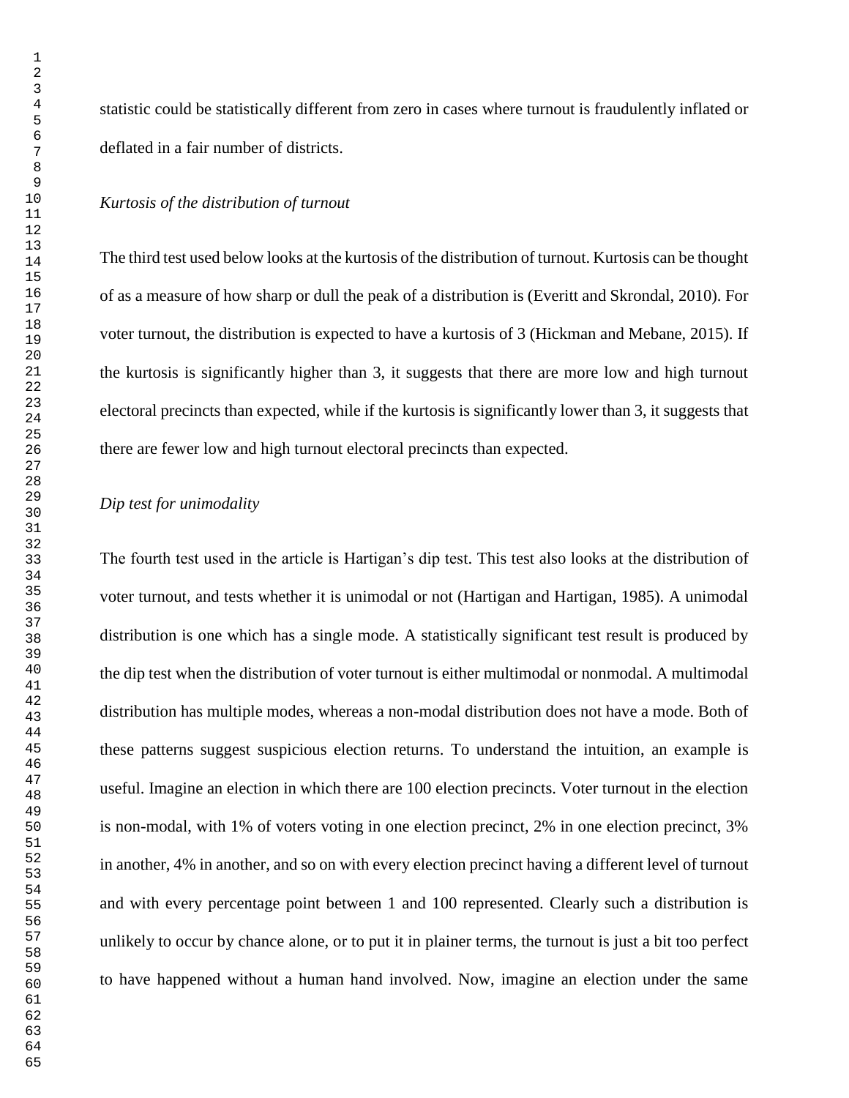statistic could be statistically different from zero in cases where turnout is fraudulently inflated or deflated in a fair number of districts.

#### *Kurtosis of the distribution of turnout*

The third test used below looks at the kurtosis of the distribution of turnout. Kurtosis can be thought of as a measure of how sharp or dull the peak of a distribution is (Everitt and Skrondal, 2010). For voter turnout, the distribution is expected to have a kurtosis of 3 (Hickman and Mebane, 2015). If the kurtosis is significantly higher than 3, it suggests that there are more low and high turnout electoral precincts than expected, while if the kurtosis is significantly lower than 3, it suggests that there are fewer low and high turnout electoral precincts than expected.

# *Dip test for unimodality*

The fourth test used in the article is Hartigan's dip test. This test also looks at the distribution of voter turnout, and tests whether it is unimodal or not (Hartigan and Hartigan, 1985). A unimodal distribution is one which has a single mode. A statistically significant test result is produced by the dip test when the distribution of voter turnout is either multimodal or nonmodal. A multimodal distribution has multiple modes, whereas a non-modal distribution does not have a mode. Both of these patterns suggest suspicious election returns. To understand the intuition, an example is useful. Imagine an election in which there are 100 election precincts. Voter turnout in the election is non-modal, with 1% of voters voting in one election precinct, 2% in one election precinct, 3% in another, 4% in another, and so on with every election precinct having a different level of turnout and with every percentage point between 1 and 100 represented. Clearly such a distribution is unlikely to occur by chance alone, or to put it in plainer terms, the turnout is just a bit too perfect to have happened without a human hand involved. Now, imagine an election under the same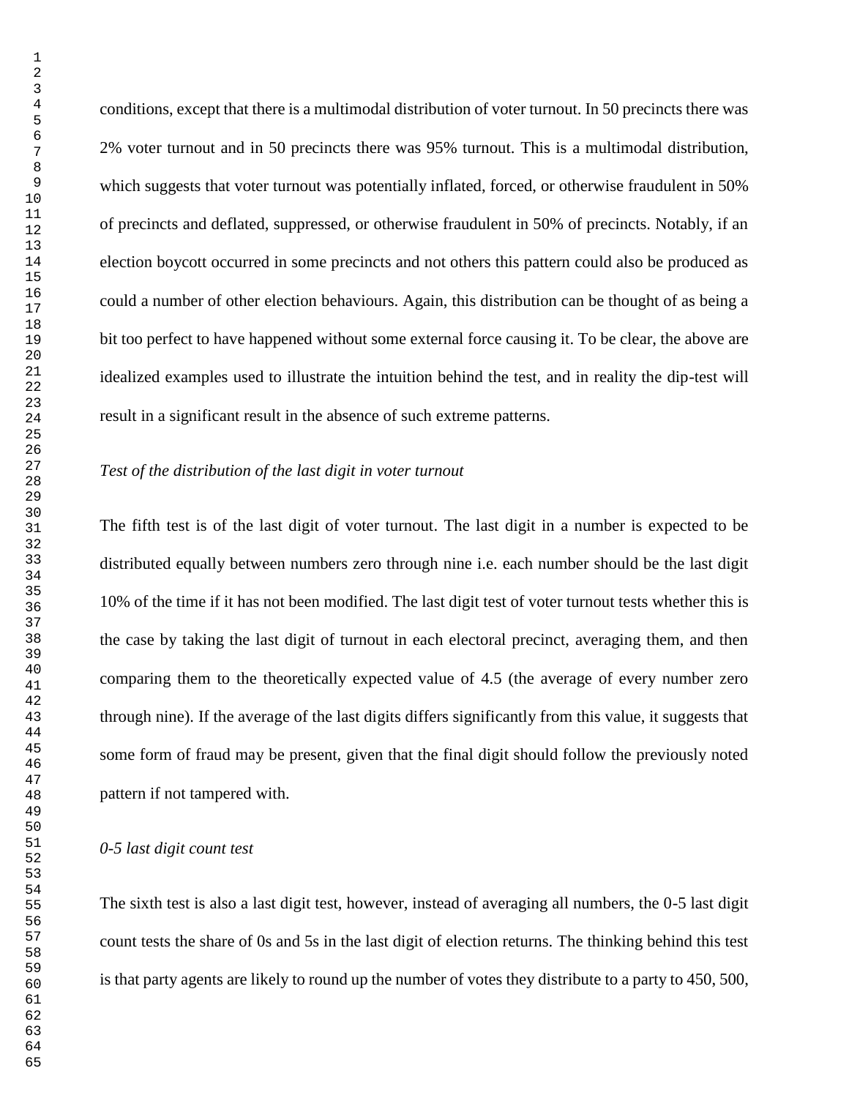conditions, except that there is a multimodal distribution of voter turnout. In 50 precincts there was 2% voter turnout and in 50 precincts there was 95% turnout. This is a multimodal distribution, which suggests that voter turnout was potentially inflated, forced, or otherwise fraudulent in 50% of precincts and deflated, suppressed, or otherwise fraudulent in 50% of precincts. Notably, if an election boycott occurred in some precincts and not others this pattern could also be produced as could a number of other election behaviours. Again, this distribution can be thought of as being a bit too perfect to have happened without some external force causing it. To be clear, the above are idealized examples used to illustrate the intuition behind the test, and in reality the dip-test will result in a significant result in the absence of such extreme patterns.

#### *Test of the distribution of the last digit in voter turnout*

The fifth test is of the last digit of voter turnout. The last digit in a number is expected to be distributed equally between numbers zero through nine i.e. each number should be the last digit 10% of the time if it has not been modified. The last digit test of voter turnout tests whether this is the case by taking the last digit of turnout in each electoral precinct, averaging them, and then comparing them to the theoretically expected value of 4.5 (the average of every number zero through nine). If the average of the last digits differs significantly from this value, it suggests that some form of fraud may be present, given that the final digit should follow the previously noted pattern if not tampered with.

#### *0-5 last digit count test*

The sixth test is also a last digit test, however, instead of averaging all numbers, the 0-5 last digit count tests the share of 0s and 5s in the last digit of election returns. The thinking behind this test is that party agents are likely to round up the number of votes they distribute to a party to 450, 500,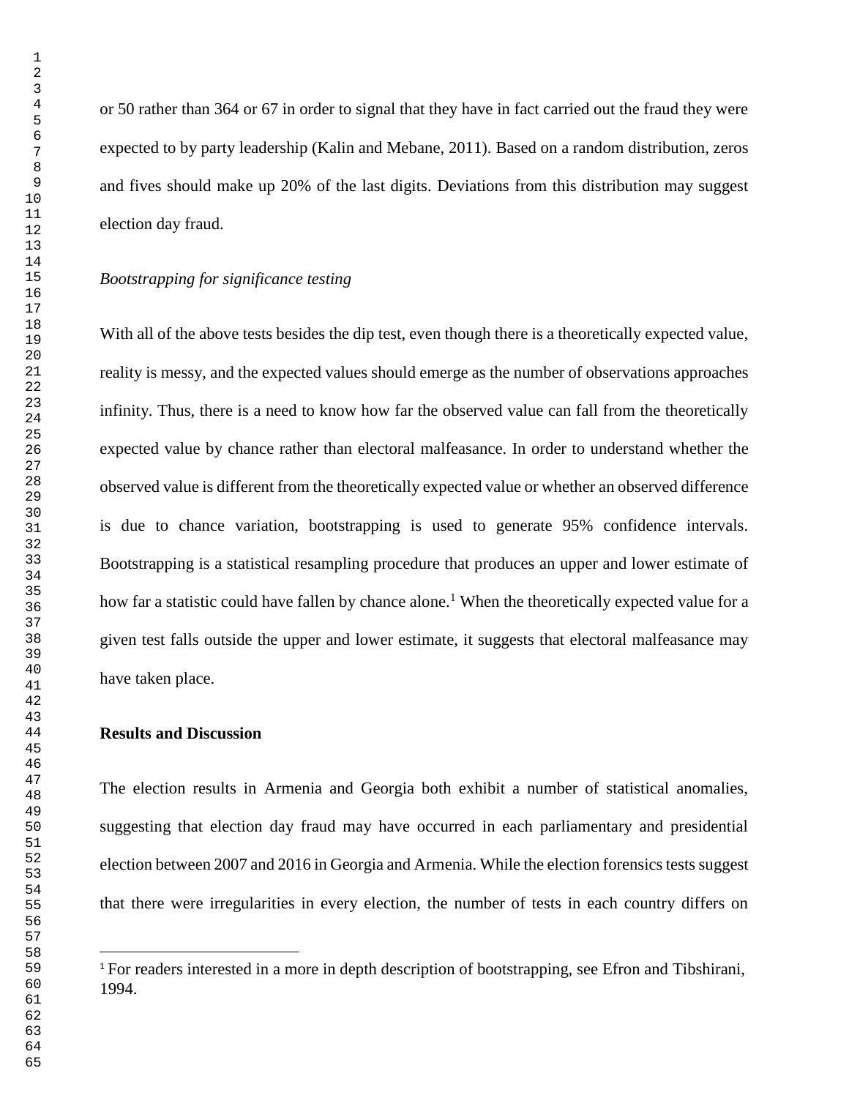or 50 rather than 364 or 67 in order to signal that they have in fact carried out the fraud they were expected to by party leadership (Kalin and Mebane, 2011). Based on a random distribution, zeros and fives should make up 20% of the last digits. Deviations from this distribution may suggest election day fraud.

## *Bootstrapping for significance testing*

With all of the above tests besides the dip test, even though there is a theoretically expected value, reality is messy, and the expected values should emerge as the number of observations approaches infinity. Thus, there is a need to know how far the observed value can fall from the theoretically expected value by chance rather than electoral malfeasance. In order to understand whether the observed value is different from the theoretically expected value or whether an observed difference is due to chance variation, bootstrapping is used to generate 95% confidence intervals. Bootstrapping is a statistical resampling procedure that produces an upper and lower estimate of how far a statistic could have fallen by chance alone.<sup>1</sup> When the theoretically expected value for a given test falls outside the upper and lower estimate, it suggests that electoral malfeasance may have taken place.

## **Results and Discussion**

 $\overline{\phantom{a}}$ 

The election results in Armenia and Georgia both exhibit a number of statistical anomalies, suggesting that election day fraud may have occurred in each parliamentary and presidential election between 2007 and 2016 in Georgia and Armenia. While the election forensics tests suggest that there were irregularities in every election, the number of tests in each country differs on

<sup>&</sup>lt;sup>1</sup> For readers interested in a more in depth description of bootstrapping, see Efron and Tibshirani, 1994.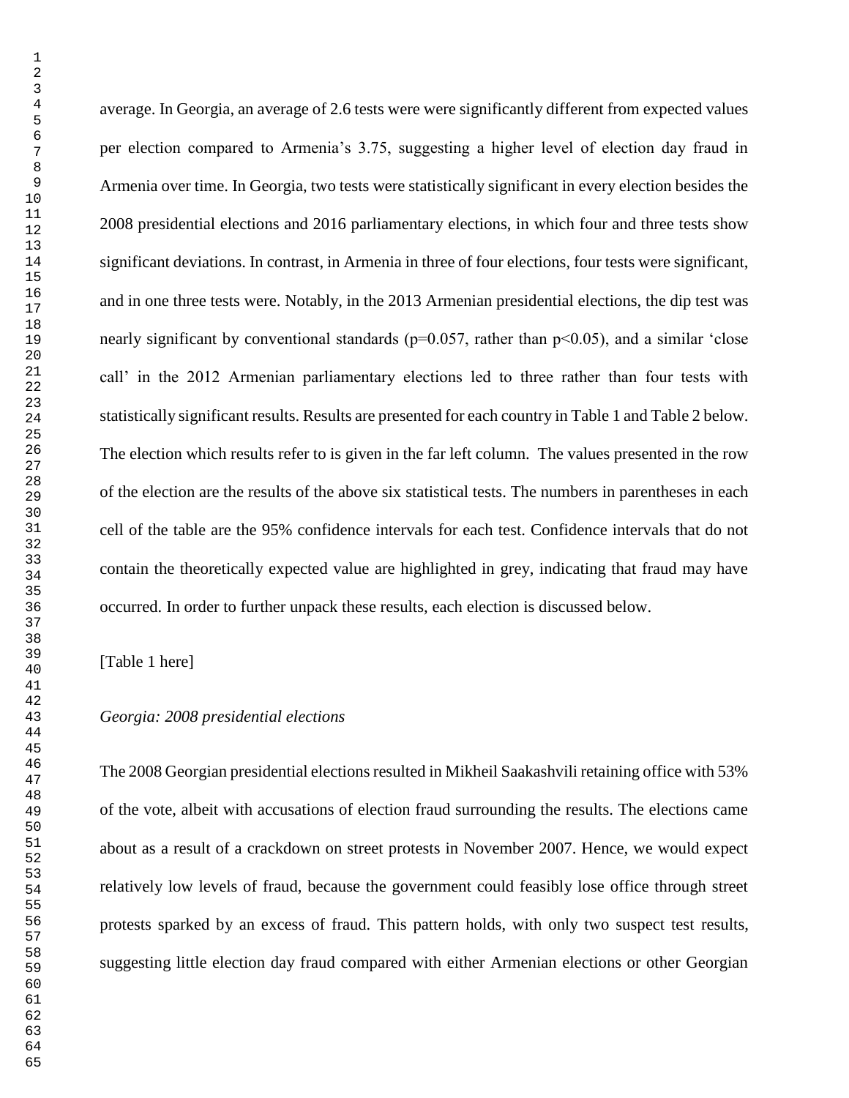average. In Georgia, an average of 2.6 tests were were significantly different from expected values per election compared to Armenia's 3.75, suggesting a higher level of election day fraud in Armenia over time. In Georgia, two tests were statistically significant in every election besides the 2008 presidential elections and 2016 parliamentary elections, in which four and three tests show significant deviations. In contrast, in Armenia in three of four elections, four tests were significant, and in one three tests were. Notably, in the 2013 Armenian presidential elections, the dip test was nearly significant by conventional standards ( $p=0.057$ , rather than  $p<0.05$ ), and a similar 'close call' in the 2012 Armenian parliamentary elections led to three rather than four tests with statistically significant results. Results are presented for each country in Table 1 and Table 2 below. The election which results refer to is given in the far left column. The values presented in the row of the election are the results of the above six statistical tests. The numbers in parentheses in each cell of the table are the 95% confidence intervals for each test. Confidence intervals that do not contain the theoretically expected value are highlighted in grey, indicating that fraud may have occurred. In order to further unpack these results, each election is discussed below.

[Table 1 here]

#### *Georgia: 2008 presidential elections*

The 2008 Georgian presidential elections resulted in Mikheil Saakashvili retaining office with 53% of the vote, albeit with accusations of election fraud surrounding the results. The elections came about as a result of a crackdown on street protests in November 2007. Hence, we would expect relatively low levels of fraud, because the government could feasibly lose office through street protests sparked by an excess of fraud. This pattern holds, with only two suspect test results, suggesting little election day fraud compared with either Armenian elections or other Georgian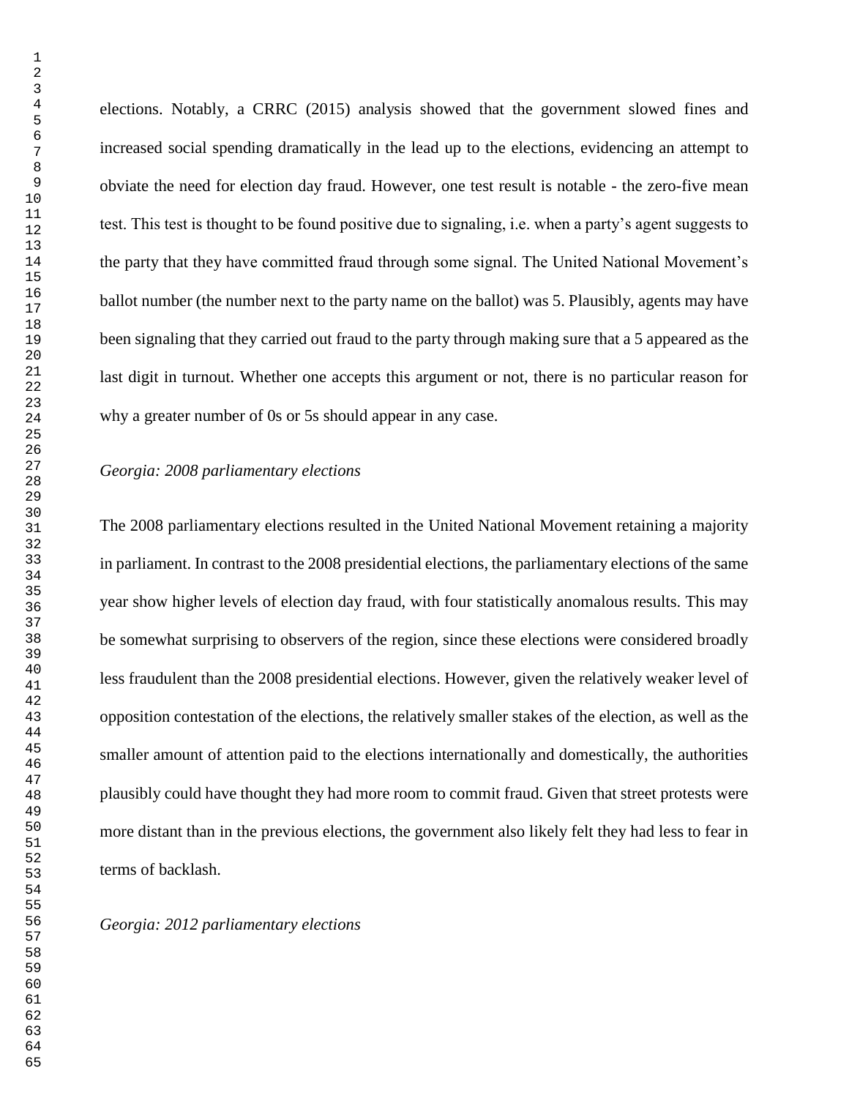elections. Notably, a CRRC (2015) analysis showed that the government slowed fines and increased social spending dramatically in the lead up to the elections, evidencing an attempt to obviate the need for election day fraud. However, one test result is notable - the zero-five mean test. This test is thought to be found positive due to signaling, i.e. when a party's agent suggests to the party that they have committed fraud through some signal. The United National Movement's ballot number (the number next to the party name on the ballot) was 5. Plausibly, agents may have been signaling that they carried out fraud to the party through making sure that a 5 appeared as the last digit in turnout. Whether one accepts this argument or not, there is no particular reason for why a greater number of 0s or 5s should appear in any case.

#### *Georgia: 2008 parliamentary elections*

The 2008 parliamentary elections resulted in the United National Movement retaining a majority in parliament. In contrast to the 2008 presidential elections, the parliamentary elections of the same year show higher levels of election day fraud, with four statistically anomalous results. This may be somewhat surprising to observers of the region, since these elections were considered broadly less fraudulent than the 2008 presidential elections. However, given the relatively weaker level of opposition contestation of the elections, the relatively smaller stakes of the election, as well as the smaller amount of attention paid to the elections internationally and domestically, the authorities plausibly could have thought they had more room to commit fraud. Given that street protests were more distant than in the previous elections, the government also likely felt they had less to fear in terms of backlash.

*Georgia: 2012 parliamentary elections*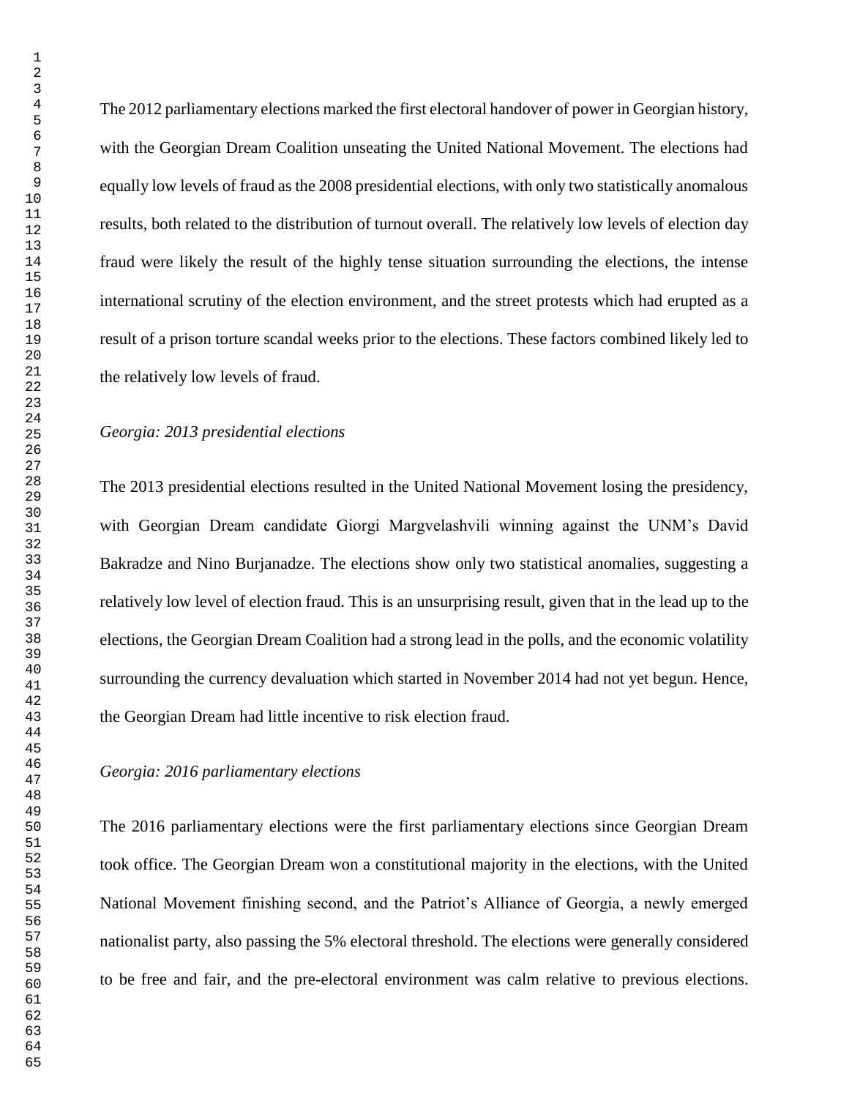The 2012 parliamentary elections marked the first electoral handover of power in Georgian history, with the Georgian Dream Coalition unseating the United National Movement. The elections had equally low levels of fraud as the 2008 presidential elections, with only two statistically anomalous results, both related to the distribution of turnout overall. The relatively low levels of election day fraud were likely the result of the highly tense situation surrounding the elections, the intense international scrutiny of the election environment, and the street protests which had erupted as a result of a prison torture scandal weeks prior to the elections. These factors combined likely led to the relatively low levels of fraud.

#### *Georgia: 2013 presidential elections*

The 2013 presidential elections resulted in the United National Movement losing the presidency, with Georgian Dream candidate Giorgi Margvelashvili winning against the UNM's David Bakradze and Nino Burjanadze. The elections show only two statistical anomalies, suggesting a relatively low level of election fraud. This is an unsurprising result, given that in the lead up to the elections, the Georgian Dream Coalition had a strong lead in the polls, and the economic volatility surrounding the currency devaluation which started in November 2014 had not yet begun. Hence, the Georgian Dream had little incentive to risk election fraud.

#### *Georgia: 2016 parliamentary elections*

The 2016 parliamentary elections were the first parliamentary elections since Georgian Dream took office. The Georgian Dream won a constitutional majority in the elections, with the United National Movement finishing second, and the Patriot's Alliance of Georgia, a newly emerged nationalist party, also passing the 5% electoral threshold. The elections were generally considered to be free and fair, and the pre-electoral environment was calm relative to previous elections.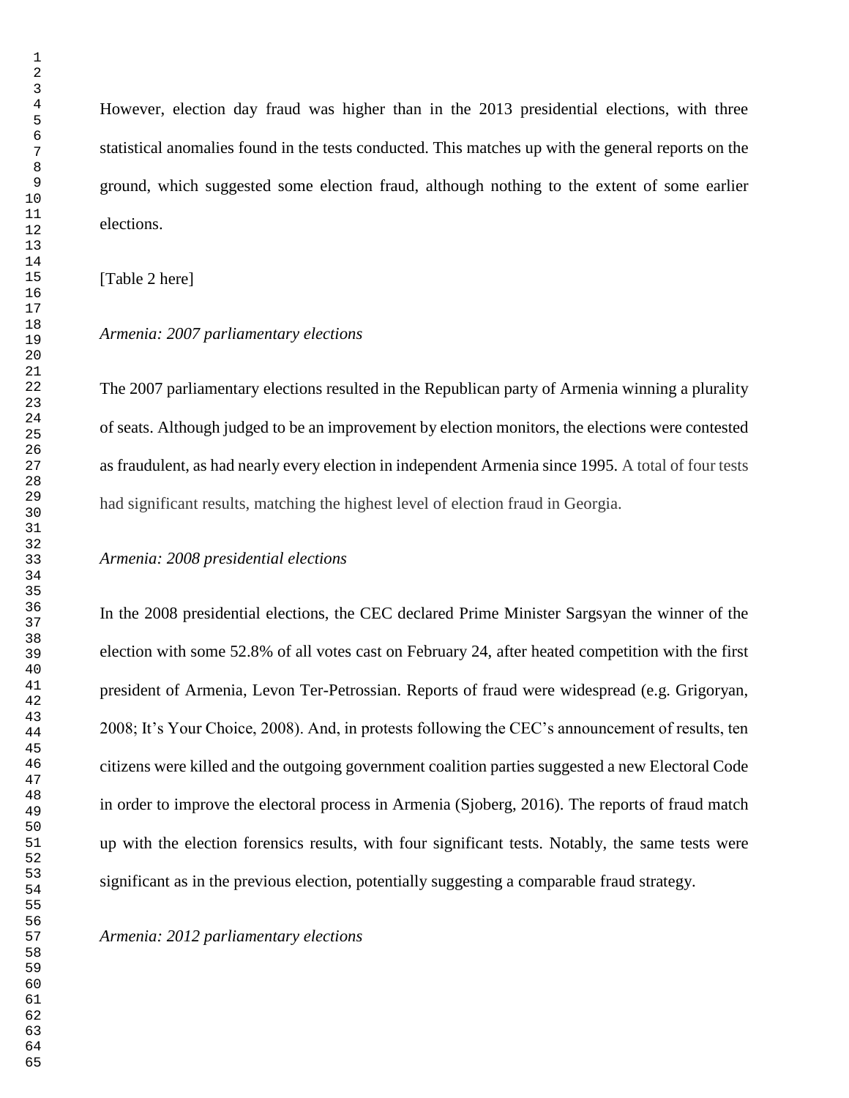However, election day fraud was higher than in the 2013 presidential elections, with three statistical anomalies found in the tests conducted. This matches up with the general reports on the ground, which suggested some election fraud, although nothing to the extent of some earlier elections.

[Table 2 here]

### *Armenia: 2007 parliamentary elections*

The 2007 parliamentary elections resulted in the Republican party of Armenia winning a plurality of seats. Although judged to be an improvement by election monitors, the elections were contested as fraudulent, as had nearly every election in independent Armenia since 1995. A total of four tests had significant results, matching the highest level of election fraud in Georgia.

#### *Armenia: 2008 presidential elections*

In the 2008 presidential elections, the CEC declared Prime Minister Sargsyan the winner of the election with some 52.8% of all votes cast on February 24, after heated competition with the first president of Armenia, Levon Ter-Petrossian. Reports of fraud were widespread (e.g. Grigoryan, 2008; It's Your Choice, 2008). And, in protests following the CEC's announcement of results, ten citizens were killed and the outgoing government coalition parties suggested a new Electoral Code in order to improve the electoral process in Armenia (Sjoberg, 2016). The reports of fraud match up with the election forensics results, with four significant tests. Notably, the same tests were significant as in the previous election, potentially suggesting a comparable fraud strategy.

*Armenia: 2012 parliamentary elections*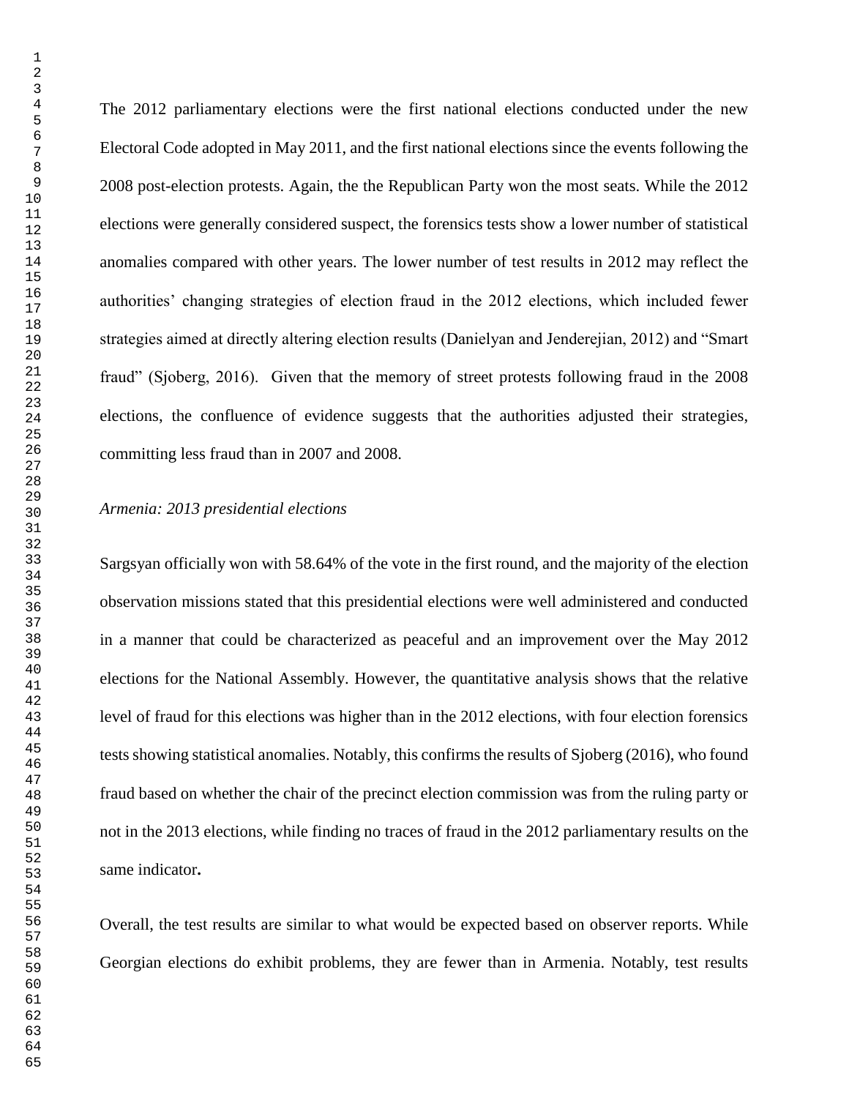The 2012 parliamentary elections were the first national elections conducted under the new Electoral Code adopted in May 2011, and the first national elections since the events following the 2008 post-election protests. Again, the the Republican Party won the most seats. While the 2012 elections were generally considered suspect, the forensics tests show a lower number of statistical anomalies compared with other years. The lower number of test results in 2012 may reflect the authorities' changing strategies of election fraud in the 2012 elections, which included fewer strategies aimed at directly altering election results (Danielyan and Jenderejian, 2012) and "Smart fraud" (Sjoberg, 2016). Given that the memory of street protests following fraud in the 2008 elections, the confluence of evidence suggests that the authorities adjusted their strategies, committing less fraud than in 2007 and 2008.

#### *Armenia: 2013 presidential elections*

Sargsyan officially won with 58.64% of the vote in the first round, and the majority of the election observation missions stated that this presidential elections were well administered and conducted in a manner that could be characterized as peaceful and an improvement over the May 2012 elections for the National Assembly. However, the quantitative analysis shows that the relative level of fraud for this elections was higher than in the 2012 elections, with four election forensics tests showing statistical anomalies. Notably, this confirms the results of Sjoberg (2016), who found fraud based on whether the chair of the precinct election commission was from the ruling party or not in the 2013 elections, while finding no traces of fraud in the 2012 parliamentary results on the same indicator**.** 

Overall, the test results are similar to what would be expected based on observer reports. While Georgian elections do exhibit problems, they are fewer than in Armenia. Notably, test results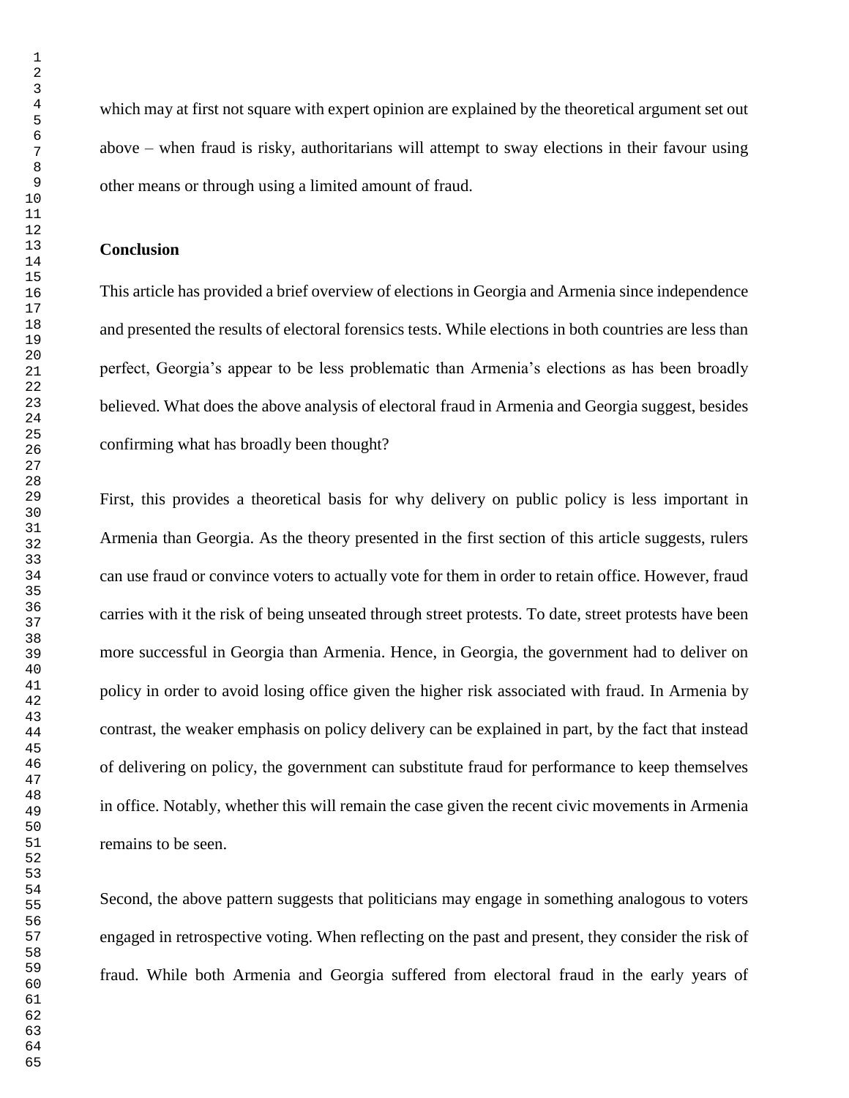which may at first not square with expert opinion are explained by the theoretical argument set out above – when fraud is risky, authoritarians will attempt to sway elections in their favour using other means or through using a limited amount of fraud.

#### **Conclusion**

This article has provided a brief overview of elections in Georgia and Armenia since independence and presented the results of electoral forensics tests. While elections in both countries are less than perfect, Georgia's appear to be less problematic than Armenia's elections as has been broadly believed. What does the above analysis of electoral fraud in Armenia and Georgia suggest, besides confirming what has broadly been thought?

First, this provides a theoretical basis for why delivery on public policy is less important in Armenia than Georgia. As the theory presented in the first section of this article suggests, rulers can use fraud or convince voters to actually vote for them in order to retain office. However, fraud carries with it the risk of being unseated through street protests. To date, street protests have been more successful in Georgia than Armenia. Hence, in Georgia, the government had to deliver on policy in order to avoid losing office given the higher risk associated with fraud. In Armenia by contrast, the weaker emphasis on policy delivery can be explained in part, by the fact that instead of delivering on policy, the government can substitute fraud for performance to keep themselves in office. Notably, whether this will remain the case given the recent civic movements in Armenia remains to be seen.

Second, the above pattern suggests that politicians may engage in something analogous to voters engaged in retrospective voting. When reflecting on the past and present, they consider the risk of fraud. While both Armenia and Georgia suffered from electoral fraud in the early years of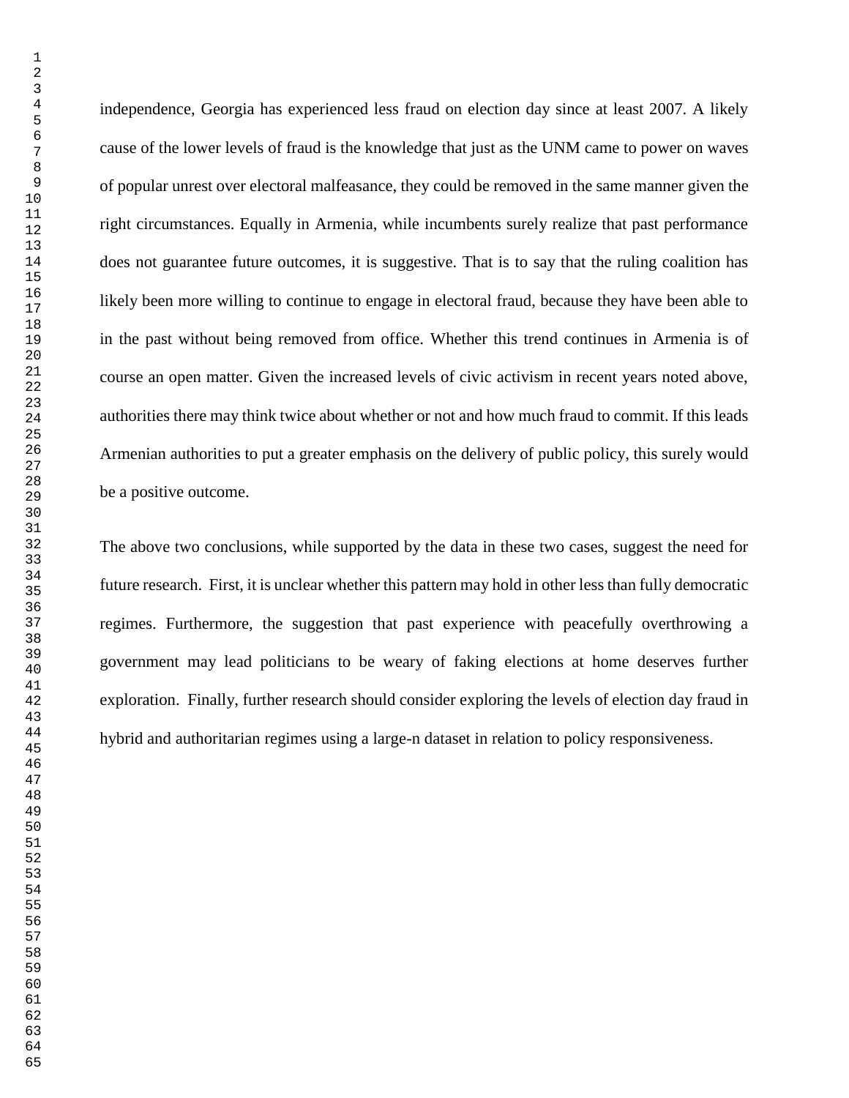independence, Georgia has experienced less fraud on election day since at least 2007. A likely cause of the lower levels of fraud is the knowledge that just as the UNM came to power on waves of popular unrest over electoral malfeasance, they could be removed in the same manner given the right circumstances. Equally in Armenia, while incumbents surely realize that past performance does not guarantee future outcomes, it is suggestive. That is to say that the ruling coalition has likely been more willing to continue to engage in electoral fraud, because they have been able to in the past without being removed from office. Whether this trend continues in Armenia is of course an open matter. Given the increased levels of civic activism in recent years noted above, authorities there may think twice about whether or not and how much fraud to commit. If this leads Armenian authorities to put a greater emphasis on the delivery of public policy, this surely would be a positive outcome.

The above two conclusions, while supported by the data in these two cases, suggest the need for future research. First, it is unclear whether this pattern may hold in other less than fully democratic regimes. Furthermore, the suggestion that past experience with peacefully overthrowing a government may lead politicians to be weary of faking elections at home deserves further exploration. Finally, further research should consider exploring the levels of election day fraud in hybrid and authoritarian regimes using a large-n dataset in relation to policy responsiveness.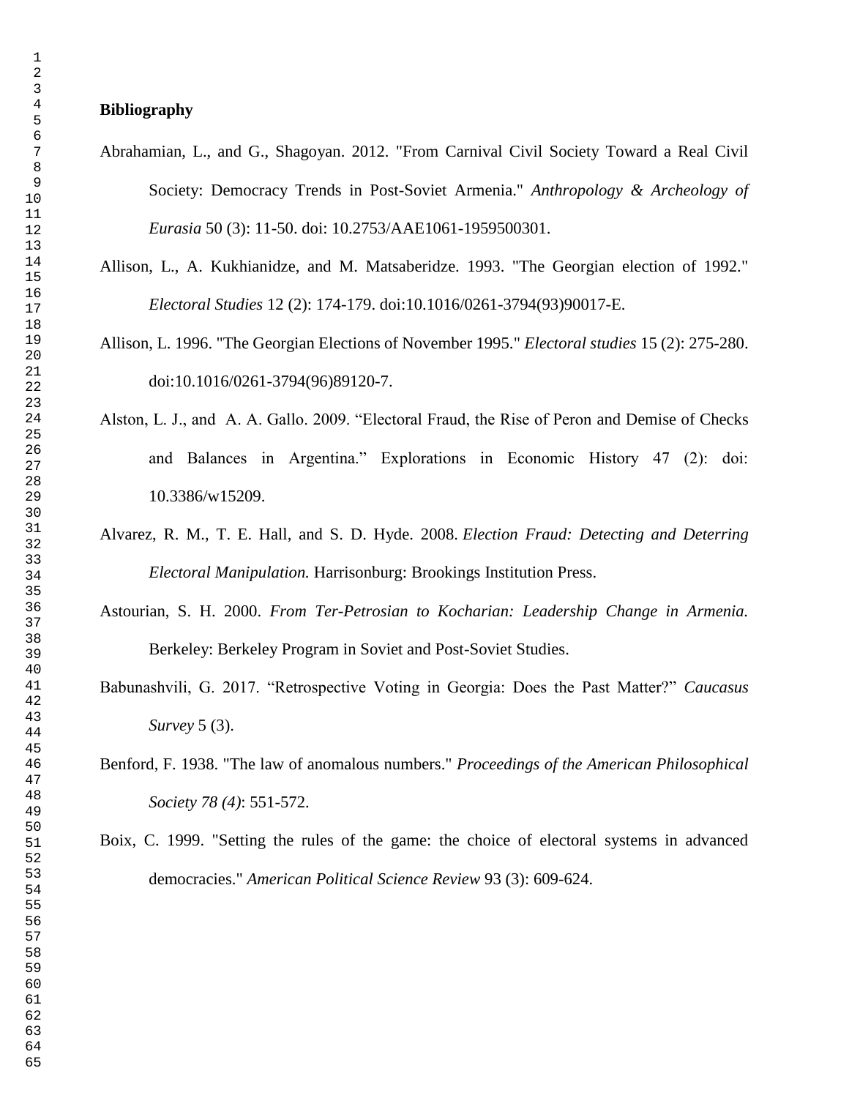# **Bibliography**

- Abrahamian, L., and G., Shagoyan. 2012. "From Carnival Civil Society Toward a Real Civil Society: Democracy Trends in Post-Soviet Armenia." *Anthropology & Archeology of Eurasia* 50 (3): 11-50. doi: 10.2753/AAE1061-1959500301.
- Allison, L., A. Kukhianidze, and M. Matsaberidze. 1993. "The Georgian election of 1992." *Electoral Studies* 12 (2): 174-179. doi:10.1016/0261-3794(93)90017-E.
- Allison, L. 1996. "The Georgian Elections of November 1995." *Electoral studies* 15 (2): 275-280. doi:10.1016/0261-3794(96)89120-7.
- Alston, L. J., and A. A. Gallo. 2009. "Electoral Fraud, the Rise of Peron and Demise of Checks and Balances in Argentina." Explorations in Economic History 47 (2): doi: 10.3386/w15209.
- Alvarez, R. M., T. E. Hall, and S. D. Hyde. 2008. *Election Fraud: Detecting and Deterring Electoral Manipulation.* Harrisonburg: Brookings Institution Press.
- Astourian, S. H. 2000. *From Ter-Petrosian to Kocharian: Leadership Change in Armenia.*  Berkeley: Berkeley Program in Soviet and Post-Soviet Studies.
- Babunashvili, G. 2017. "Retrospective Voting in Georgia: Does the Past Matter?" *Caucasus Survey* 5 (3).
- Benford, F. 1938. "The law of anomalous numbers." *Proceedings of the American Philosophical Society 78 (4)*: 551-572.
- Boix, C. 1999. "Setting the rules of the game: the choice of electoral systems in advanced democracies." *American Political Science Review* 93 (3): 609-624.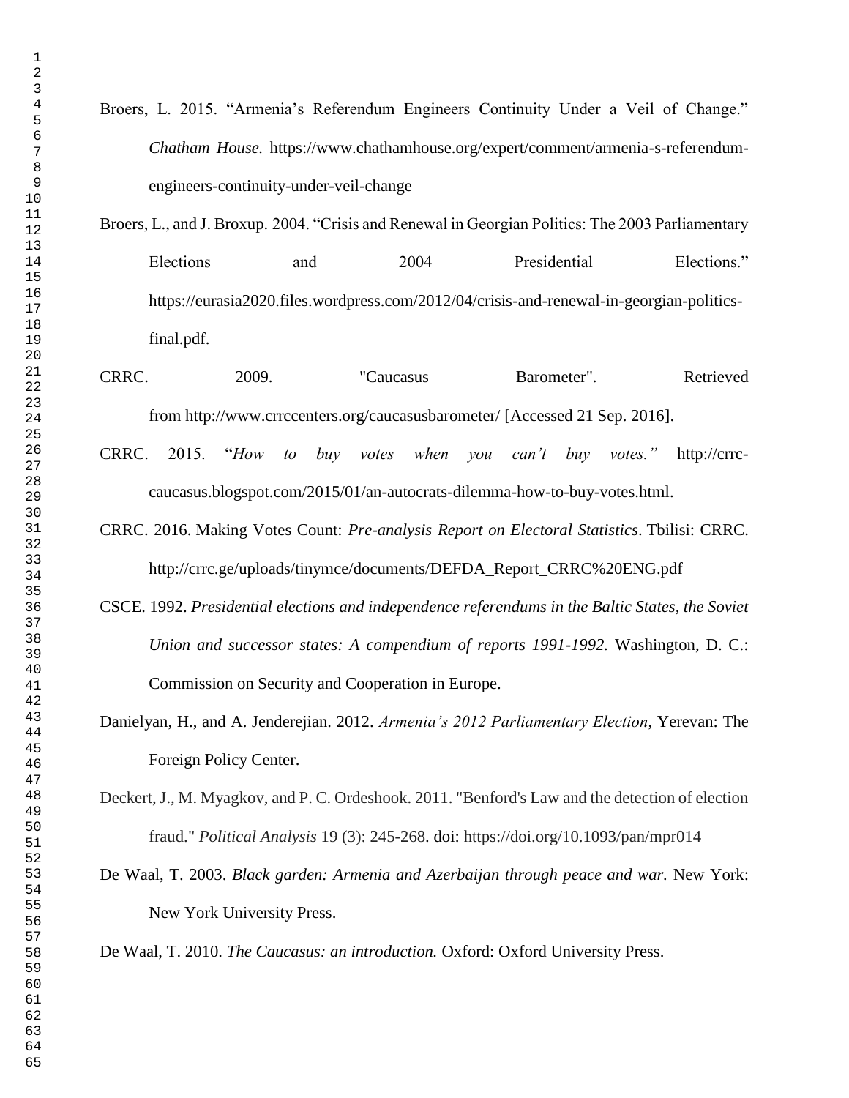- Broers, L. 2015. "Armenia's Referendum Engineers Continuity Under a Veil of Change." *Chatham House.* https://www.chathamhouse.org/expert/comment/armenia-s-referendumengineers-continuity-under-veil-change
- Broers, L., and J. Broxup. 2004. "Crisis and Renewal in Georgian Politics: The 2003 Parliamentary Elections and 2004 Presidential Elections." https://eurasia2020.files.wordpress.com/2012/04/crisis-and-renewal-in-georgian-politicsfinal.pdf.
- CRRC. 2009. "Caucasus Barometer". Retrieved from <http://www.crrccenters.org/caucasusbarometer/> [Accessed 21 Sep. 2016].
- CRRC. 2015. "*How to buy votes when you can't buy votes."* http://crrccaucasus.blogspot.com/2015/01/an-autocrats-dilemma-how-to-buy-votes.html.
- CRRC. 2016. Making Votes Count: *Pre-analysis Report on Electoral Statistics*. Tbilisi: CRRC. http://crrc.ge/uploads/tinymce/documents/DEFDA\_Report\_CRRC%20ENG.pdf
- CSCE. 1992. *Presidential elections and independence referendums in the Baltic States, the Soviet Union and successor states: A compendium of reports 1991-1992.* Washington, D. C.: Commission on Security and Cooperation in Europe.
- Danielyan, H., and A. Jenderejian. 2012. *Armenia's 2012 Parliamentary Election*, Yerevan: The Foreign Policy Center.
- Deckert, J., M. Myagkov, and P. C. Ordeshook. 2011. "Benford's Law and the detection of election fraud." *Political Analysis* 19 (3): 245-268. doi: https://doi.org/10.1093/pan/mpr014
- De Waal, T. 2003. *Black garden: Armenia and Azerbaijan through peace and war.* New York: New York University Press.

De Waal, T. 2010. *The Caucasus: an introduction.* Oxford: Oxford University Press.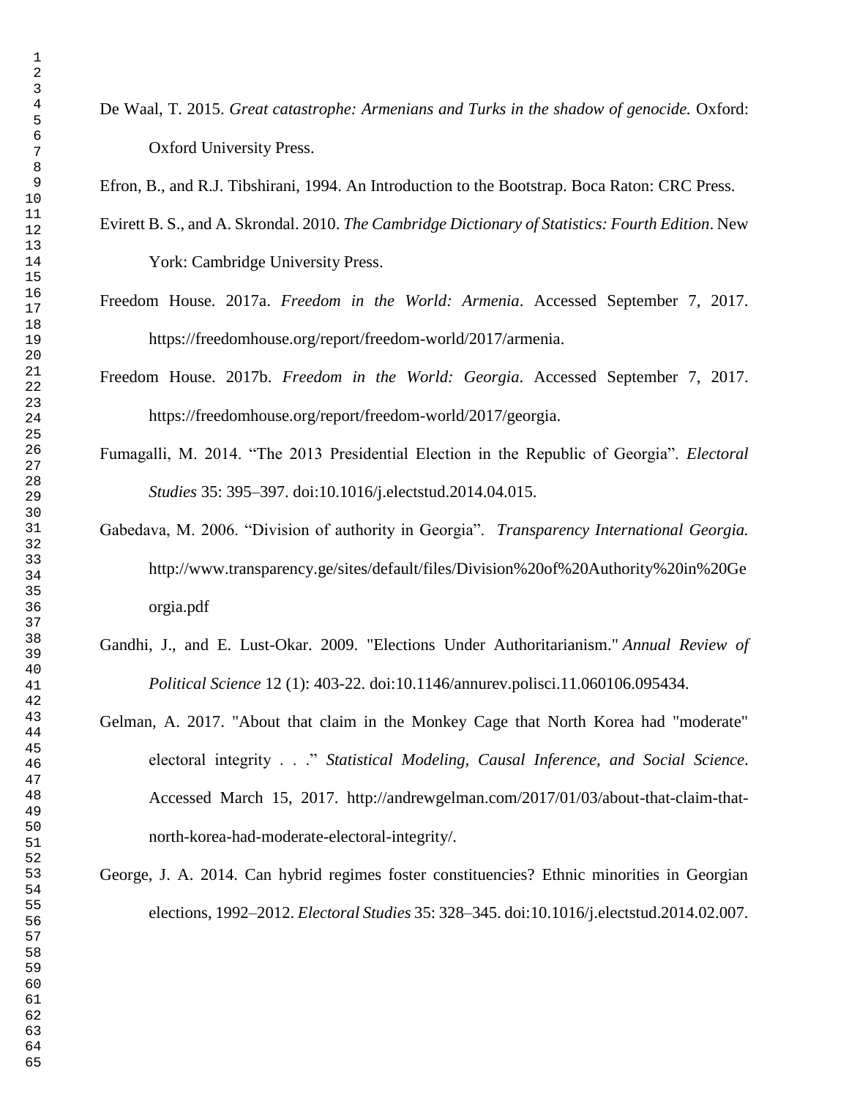De Waal, T. 2015. *Great catastrophe: Armenians and Turks in the shadow of genocide.* Oxford: Oxford University Press.

Efron, B., and R.J. Tibshirani, 1994. An Introduction to the Bootstrap. Boca Raton: CRC Press.

- Evirett B. S., and A. Skrondal. 2010. *The Cambridge Dictionary of Statistics: Fourth Edition*. New York: Cambridge University Press.
- Freedom House. 2017a. *Freedom in the World: Armenia*. Accessed September 7, 2017. https://freedomhouse.org/report/freedom-world/2017/armenia.
- Freedom House. 2017b. *Freedom in the World: Georgia*. Accessed September 7, 2017. https://freedomhouse.org/report/freedom-world/2017/georgia.
- Fumagalli, M. 2014. "The 2013 Presidential Election in the Republic of Georgia". *Electoral Studies* 35: 395–397. doi:10.1016/j.electstud.2014.04.015.
- Gabedava, M. 2006. "Division of authority in Georgia". *Transparency International Georgia.*  http://www.transparency.ge/sites/default/files/Division%20of%20Authority%20in%20Ge orgia.pdf
- Gandhi, J., and E. Lust-Okar. 2009. "Elections Under Authoritarianism." *Annual Review of Political Science* 12 (1): 403-22. doi:10.1146/annurev.polisci.11.060106.095434.
- Gelman, A. 2017. "About that claim in the Monkey Cage that North Korea had "moderate" electoral integrity . . ." *Statistical Modeling, Causal Inference, and Social Science*. Accessed March 15, 2017. http://andrewgelman.com/2017/01/03/about-that-claim-thatnorth-korea-had-moderate-electoral-integrity/.
- George, J. A. 2014. Can hybrid regimes foster constituencies? Ethnic minorities in Georgian elections, 1992–2012. *Electoral Studies* 35: 328–345. doi:10.1016/j.electstud.2014.02.007.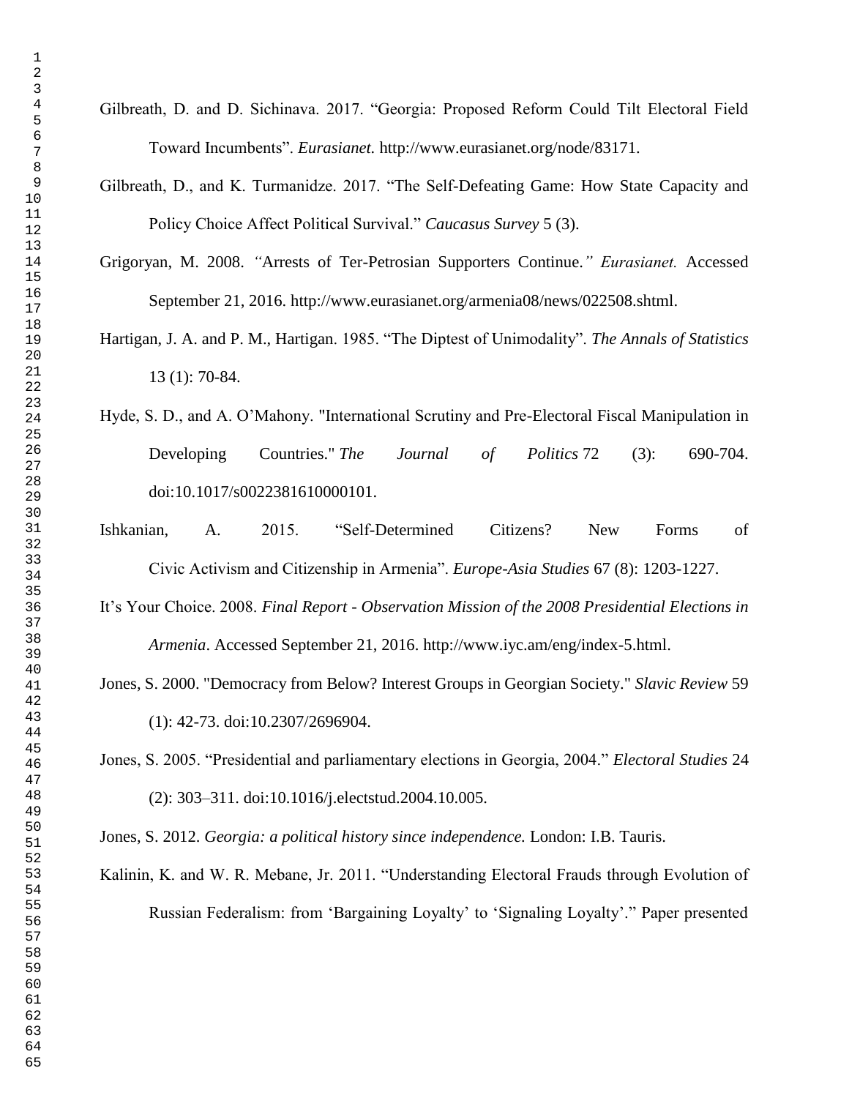- 
- Gilbreath, D. and D. Sichinava. 2017. "Georgia: Proposed Reform Could Tilt Electoral Field Toward Incumbents". *Eurasianet.* http://www.eurasianet.org/node/83171.
- Gilbreath, D., and K. Turmanidze. 2017. "The Self-Defeating Game: How State Capacity and Policy Choice Affect Political Survival." *Caucasus Survey* 5 (3).
- Grigoryan, M. 2008. *"*Arrests of Ter-Petrosian Supporters Continue.*" Eurasianet.* [Accessed](http://www.eurasianet.org/armenia08/news/022508.shtml)  [September 21, 2016. http://www.eurasianet.org/armenia08/news/022508.shtml.](http://www.eurasianet.org/armenia08/news/022508.shtml)
- Hartigan, J. A. and P. M., Hartigan. 1985. "The Diptest of Unimodality". *The Annals of Statistics* (1): 70-84.
- Hyde, S. D., and A. O'Mahony. "International Scrutiny and Pre-Electoral Fiscal Manipulation in Developing Countries." *The Journal of Politics* 72 (3): 690-704. doi:10.1017/s0022381610000101.
- Ishkanian, A. 2015. "Self-Determined Citizens? New Forms of Civic Activism and Citizenship in Armenia". *Europe-Asia Studies* 67 (8): 1203-1227.
- It's Your Choice. 2008. *Final Report - Observation Mission of the 2008 Presidential Elections in Armenia*. Accessed September 21, 2016. [http://www.iyc.am/eng/index-5.html.](http://www.iyc.am/eng/index-5.html)
- Jones, S. 2000. "Democracy from Below? Interest Groups in Georgian Society." *Slavic Review* 59 (1): 42-73. doi:10.2307/2696904.
- Jones, S. 2005. "Presidential and parliamentary elections in Georgia, 2004." *Electoral Studies* 24 (2): 303–311. doi:10.1016/j.electstud.2004.10.005.

Jones, S. 2012. *Georgia: a political history since independence.* London: I.B. Tauris.

Kalinin, K. and W. R. Mebane, Jr. 2011. "Understanding Electoral Frauds through Evolution of Russian Federalism: from 'Bargaining Loyalty' to 'Signaling Loyalty'." Paper presented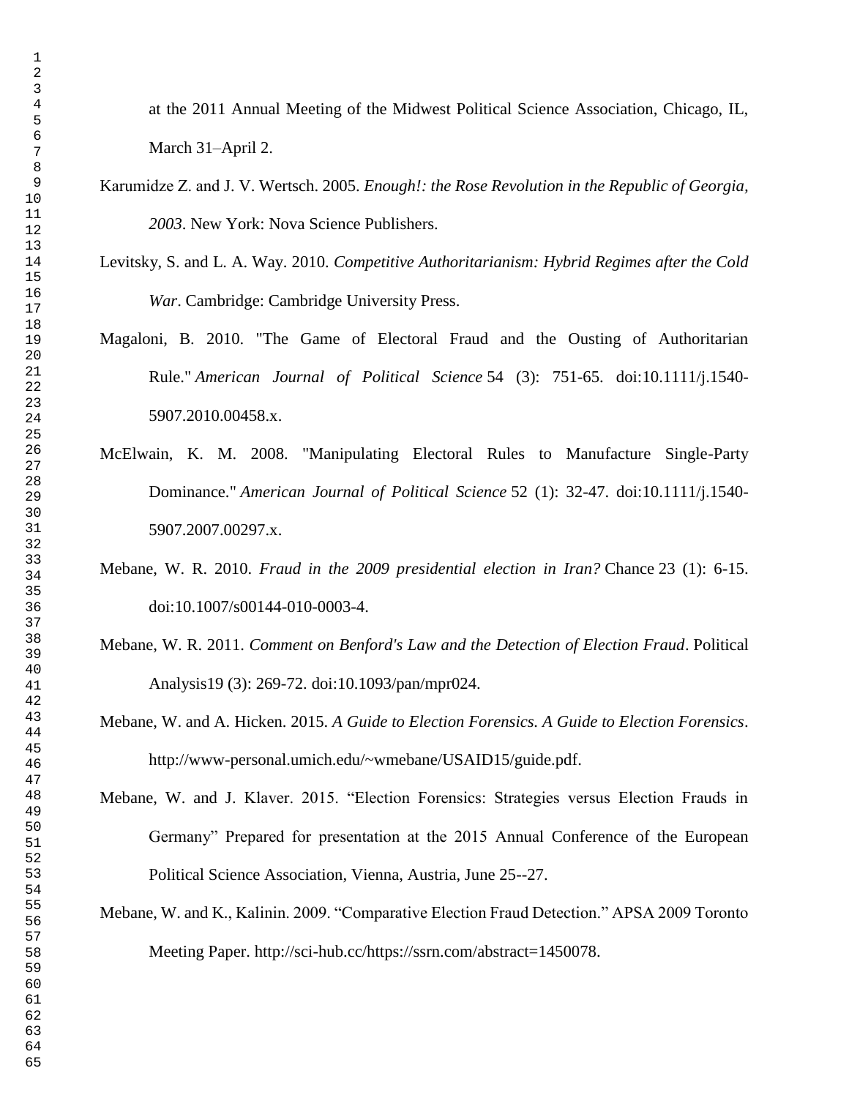at the 2011 Annual Meeting of the Midwest Political Science Association, Chicago, IL, March 31–April 2.

- Karumidze Z. and J. V. Wertsch. 2005. *Enough!: the Rose Revolution in the Republic of Georgia,*  . New York: Nova Science Publishers.
- Levitsky, S. and L. A. Way. 2010. *Competitive Authoritarianism: Hybrid Regimes after the Cold War*. Cambridge: Cambridge University Press.
- Magaloni, B. 2010. "The Game of Electoral Fraud and the Ousting of Authoritarian Rule." *American Journal of Political Science* 54 (3): 751-65. doi:10.1111/j.1540- 5907.2010.00458.x.
- McElwain, K. M. 2008. "Manipulating Electoral Rules to Manufacture Single-Party Dominance." *American Journal of Political Science* 52 (1): 32-47. doi:10.1111/j.1540- 5907.2007.00297.x.
- Mebane, W. R. 2010. *Fraud in the 2009 presidential election in Iran?* Chance 23 (1): 6-15. doi:10.1007/s00144-010-0003-4.
- Mebane, W. R. 2011. *Comment on Benford's Law and the Detection of Election Fraud*. Political Analysis19 (3): 269-72. doi:10.1093/pan/mpr024.
- Mebane, W. and A. Hicken. 2015. *A Guide to Election Forensics. A Guide to Election Forensics*. http://www-personal.umich.edu/~wmebane/USAID15/guide.pdf.
- Mebane, W. and J. Klaver. 2015. "Election Forensics: Strategies versus Election Frauds in Germany" Prepared for presentation at the 2015 Annual Conference of the European Political Science Association, Vienna, Austria, June 25--27.
- Mebane, W. and K., Kalinin. 2009. "Comparative Election Fraud Detection." APSA 2009 Toronto Meeting Paper. [http://sci-hub.cc/https://ssrn.com/abstract=1450078.](http://sci-hub.cc/https:/ssrn.com/abstract=1450078)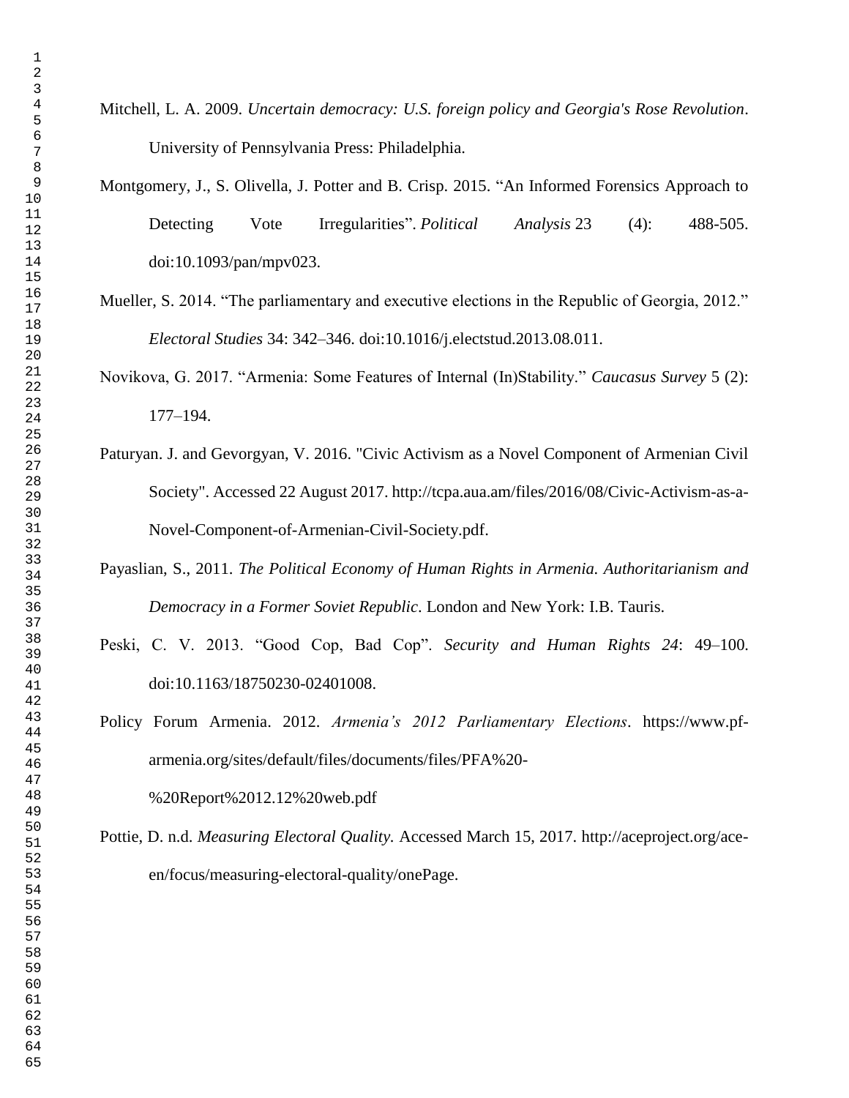- Mitchell, L. A. 2009. *Uncertain democracy: U.S. foreign policy and Georgia's Rose Revolution*. University of Pennsylvania Press: Philadelphia[.](http://www.bibme.org/items/67091232/edit)
- Montgomery, J., S. Olivella, J. Potter and B. Crisp. 2015. "An Informed Forensics Approach to Detecting Vote Irregularities". *Political Analysis* 23 (4): 488-505. doi:10.1093/pan/mpv023.
- Mueller, S. 2014. "The parliamentary and executive elections in the Republic of Georgia, 2012." *Electoral Studies* 34: 342–346. doi:10.1016/j.electstud.2013.08.011.
- Novikova, G. 2017. "Armenia: Some Features of Internal (In)Stability." *Caucasus Survey* 5 (2): 177–194.
- Paturyan. J. and Gevorgyan, V. 2016. "Civic Activism as a Novel Component of Armenian Civil Society". Accessed 22 August 2017. http://tcpa.aua.am/files/2016/08/Civic-Activism-as-a-Novel-Component-of-Armenian-Civil-Society.pdf.
- Payaslian, S., 2011. *The Political Economy of Human Rights in Armenia. Authoritarianism and Democracy in a Former Soviet Republic*. London and New York: I.B. Tauris.
- Peski, C. V. 2013. "Good Cop, Bad Cop". *Security and Human Rights 24*: 49–100. doi:10.1163/18750230-02401008.
- Policy Forum Armenia. 2012. *Armenia's 2012 Parliamentary Elections*. https://www.pfarmenia.org/sites/default/files/documents/files/PFA%20- %20Report%2012.12%20web.pdf
- Pottie, D. n.d. *Measuring Electoral Quality.* Accessed March 15, 2017. http://aceproject.org/aceen/focus/measuring-electoral-quality/onePage.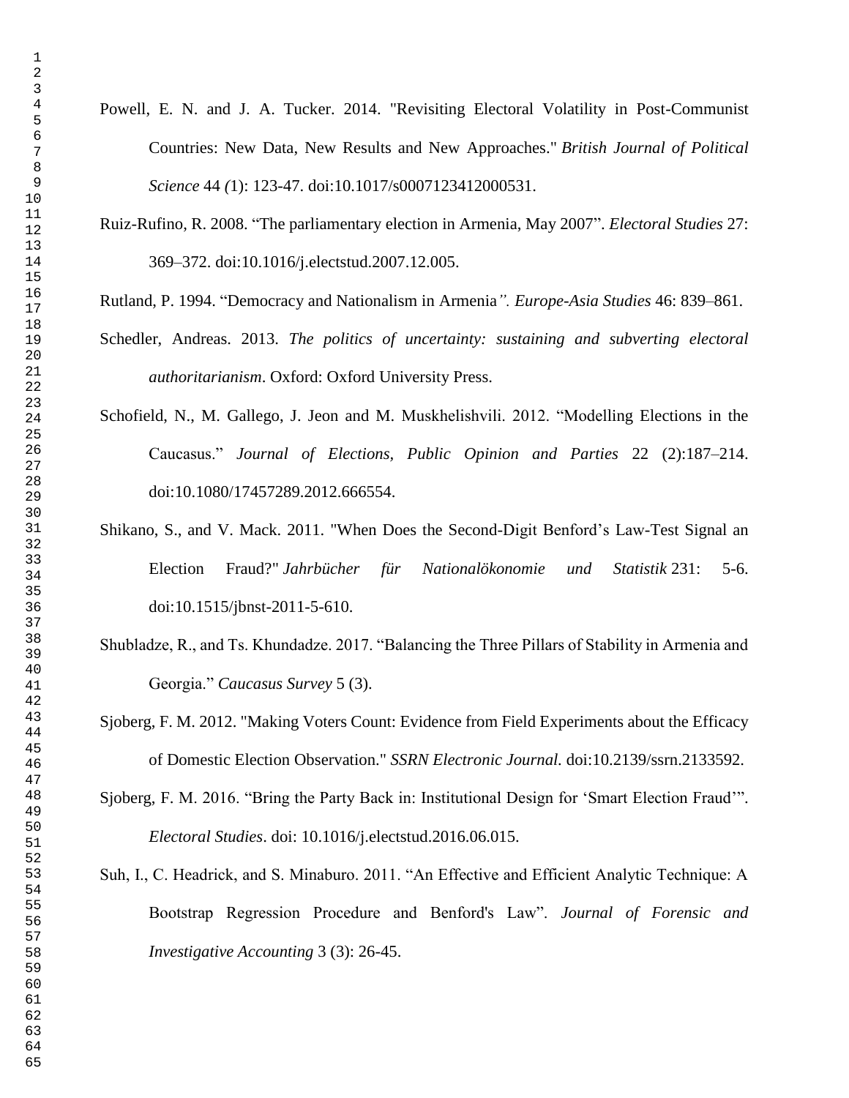- 
- Powell, E. N. and J. A. Tucker. 2014. "Revisiting Electoral Volatility in Post-Communist Countries: New Data, New Results and New Approaches." *British Journal of Political Science* 44 *(*1): 123-47. doi:10.1017/s0007123412000531.
- Ruiz-Rufino, R. 2008. "The parliamentary election in Armenia, May 2007". *Electoral Studies* 27: 369–372. doi:10.1016/j.electstud.2007.12.005.
- Rutland, P. 1994. "Democracy and Nationalism in Armenia*". Europe-Asia Studies* 46: 839–861.
- Schedler, Andreas. 2013. *The politics of uncertainty: sustaining and subverting electoral authoritarianism*. Oxford: Oxford University Press.
- Schofield, N., M. Gallego, J. Jeon and M. Muskhelishvili. 2012. "Modelling Elections in the Caucasus." *Journal of Elections, Public Opinion and Parties* 22 (2):187–214. doi:10.1080/17457289.2012.666554.
- Shikano, S., and V. Mack. 2011. "When Does the Second-Digit Benford's Law-Test Signal an Election Fraud?" *Jahrbücher für Nationalökonomie und Statistik* 231: 5-6. doi:10.1515/jbnst-2011-5-610.
- Shubladze, R., and Ts. Khundadze. 2017. "Balancing the Three Pillars of Stability in Armenia and Georgia." *Caucasus Survey* 5 (3).
- Sjoberg, F. M. 2012. "Making Voters Count: Evidence from Field Experiments about the Efficacy of Domestic Election Observation." *SSRN Electronic Journal.* doi:10.2139/ssrn.2133592.
- Sjoberg, F. M. 2016. "Bring the Party Back in: Institutional Design for 'Smart Election Fraud'". *Electoral Studies*. doi: 10.1016/j.electstud.2016.06.015.
- Suh, I., C. Headrick, and S. Minaburo. 2011. "An Effective and Efficient Analytic Technique: A Bootstrap Regression Procedure and Benford's Law". *Journal of Forensic and Investigative Accounting* 3 (3): 26-45.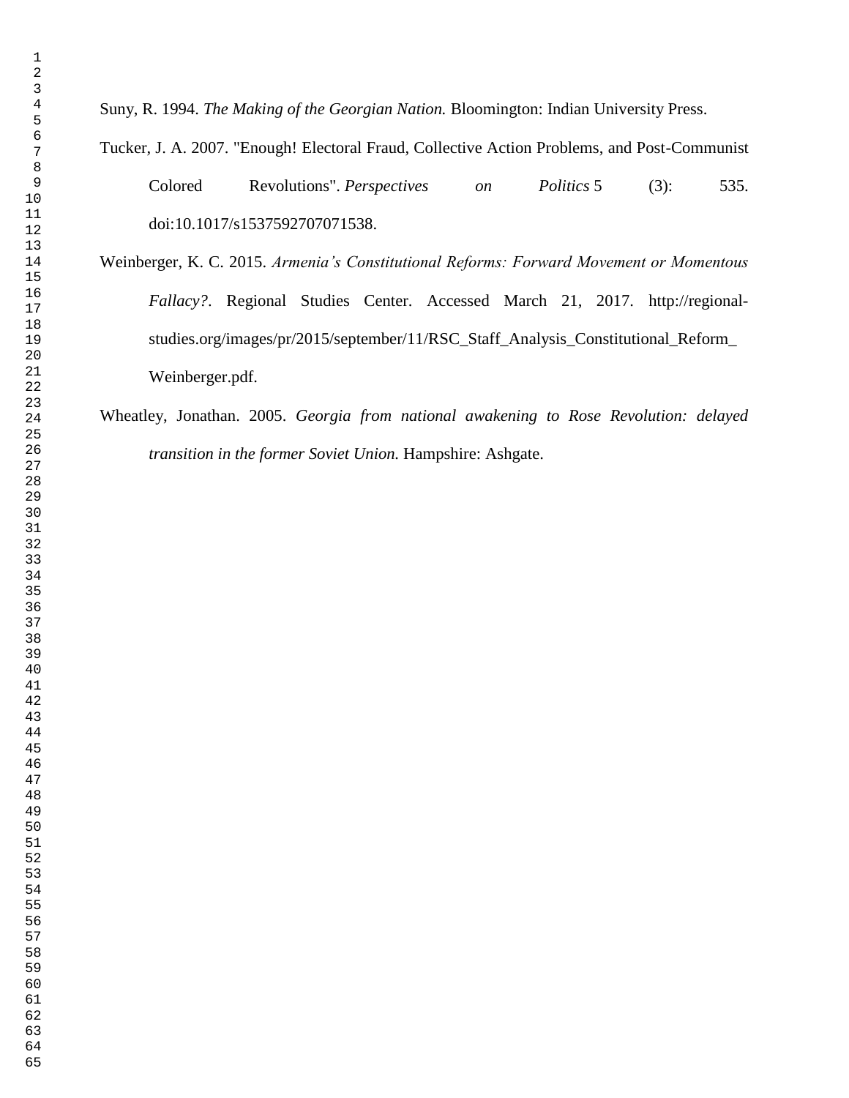Suny, R. 1994. *The Making of the Georgian Nation.* Bloomington: Indian University Press.

Tucker, J. A. 2007. "Enough! Electoral Fraud, Collective Action Problems, and Post-Communist

Colored Revolutions". *Perspectives on Politics* 5 (3): 535. doi:10.1017/s1537592707071538.

Weinberger, K. C. 2015. *Armenia's Constitutional Reforms: Forward Movement or Momentous Fallacy?*. Regional Studies Center. Accessed March 21, 2017. [http://regional](http://regional-studies.org/images/pr/2015/september/11/RSC_Staff_Analysis_Constitutional_Reform_Weinberger.pdf)[studies.org/images/pr/2015/september/11/RSC\\_Staff\\_Analysis\\_Constitutional\\_Reform\\_](http://regional-studies.org/images/pr/2015/september/11/RSC_Staff_Analysis_Constitutional_Reform_Weinberger.pdf) [Weinberger.pdf.](http://regional-studies.org/images/pr/2015/september/11/RSC_Staff_Analysis_Constitutional_Reform_Weinberger.pdf)

# Wheatley, Jonathan. 2005. *Georgia from national awakening to Rose Revolution: delayed transition in the former Soviet Union.* Hampshire: Ashgate.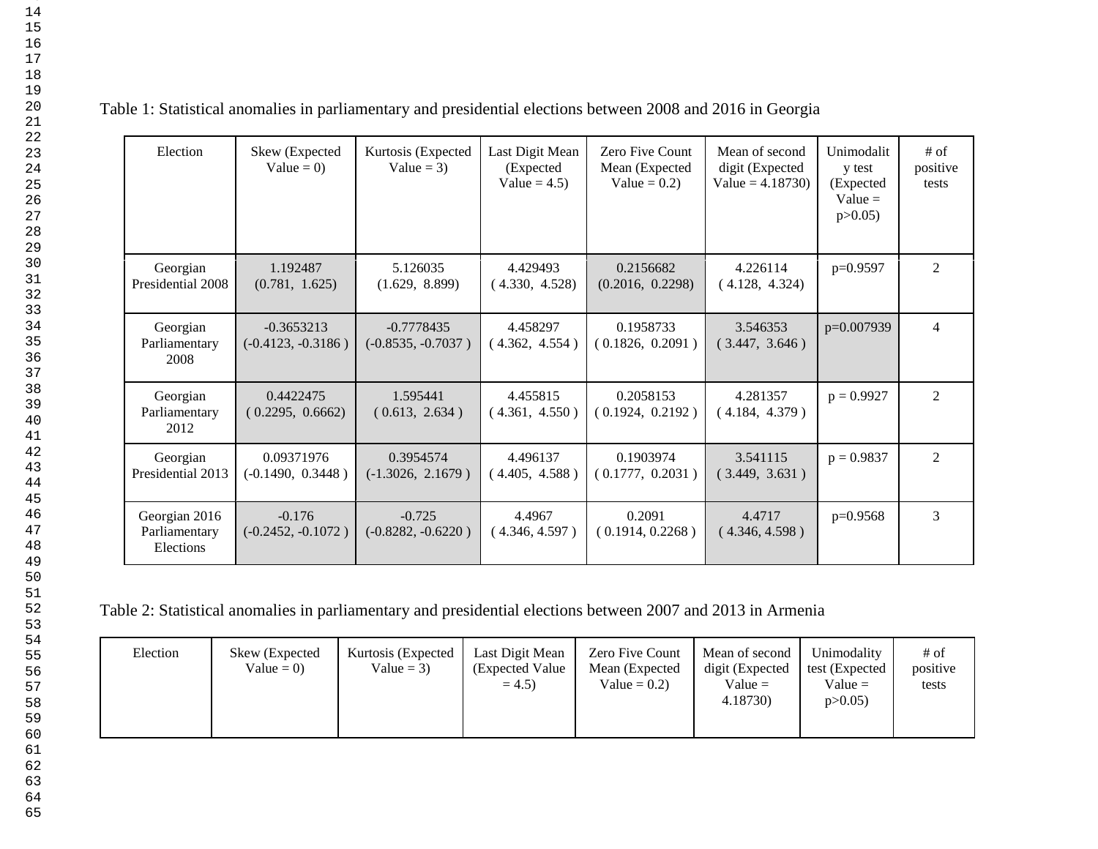| Election                                    | Skew (Expected<br>Value = $0$ )      | Kurtosis (Expected<br>Value = $3$ )  | Last Digit Mean<br>(Expected<br>Value = $4.5$ ) | <b>Zero Five Count</b><br>Mean (Expected<br>Value = $0.2$ ) | Mean of second<br>digit (Expected<br>Value = $4.18730$ ) | Unimodalit<br>y test<br>(Expected<br>Value $=$<br>p > 0.05 | $#$ of<br>positive<br>tests |
|---------------------------------------------|--------------------------------------|--------------------------------------|-------------------------------------------------|-------------------------------------------------------------|----------------------------------------------------------|------------------------------------------------------------|-----------------------------|
| Georgian<br>Presidential 2008               | 1.192487<br>(0.781, 1.625)           | 5.126035<br>(1.629, 8.899)           | 4.429493<br>(4.330, 4.528)                      | 0.2156682<br>(0.2016, 0.2298)                               | 4.226114<br>(4.128, 4.324)                               | $p=0.9597$                                                 | $\mathfrak{D}$              |
| Georgian<br>Parliamentary<br>2008           | $-0.3653213$<br>$(-0.4123, -0.3186)$ | $-0.7778435$<br>$(-0.8535, -0.7037)$ | 4.458297<br>(4.362, 4.554)                      | 0.1958733<br>(0.1826, 0.2091)                               | 3.546353<br>(3.447, 3.646)                               | p=0.007939                                                 | 4                           |
| Georgian<br>Parliamentary<br>2012           | 0.4422475<br>(0.2295, 0.6662)        | 1.595441<br>(0.613, 2.634)           | 4.455815<br>(4.361, 4.550)                      | 0.2058153<br>(0.1924, 0.2192)                               | 4.281357<br>(4.184, 4.379)                               | $p = 0.9927$                                               | $\mathfrak{D}$              |
| Georgian<br>Presidential 2013               | 0.09371976<br>$(-0.1490, 0.3448)$    | 0.3954574<br>$(-1.3026, 2.1679)$     | 4.496137<br>(4.405, 4.588)                      | 0.1903974<br>(0.1777, 0.2031)                               | 3.541115<br>(3.449, 3.631)                               | $p = 0.9837$                                               | $\mathfrak{D}$              |
| Georgian 2016<br>Parliamentary<br>Elections | $-0.176$<br>$(-0.2452, -0.1072)$     | $-0.725$<br>$(-0.8282, -0.6220)$     | 4.4967<br>(4.346, 4.597)                        | 0.2091<br>(0.1914, 0.2268)                                  | 4.4717<br>(4.346, 4.598)                                 | $p=0.9568$                                                 | 3                           |

Table 1: Statistical anomalies in parliamentary and presidential elections between 2008 and 2016 in Georgia

Table 2: Statistical anomalies in parliamentary and presidential elections between 2007 and 2013 in Armenia

| Election<br>Kurtosis (Expected<br>Skew (Expected)<br>Value $= 0$ )<br>Value = $3)$ | Last Digit Mean<br>(Expected Value)<br>$= 4.5$ | <b>Zero Five Count</b><br>Mean (Expected<br>Value = $0.2$ ) | Mean of second<br>digit (Expected<br>$Value =$<br>4.18730) | Unimodality<br>test (Expected)<br>$Value =$<br>p > 0.05 | # of<br>positive<br>tests |
|------------------------------------------------------------------------------------|------------------------------------------------|-------------------------------------------------------------|------------------------------------------------------------|---------------------------------------------------------|---------------------------|
|------------------------------------------------------------------------------------|------------------------------------------------|-------------------------------------------------------------|------------------------------------------------------------|---------------------------------------------------------|---------------------------|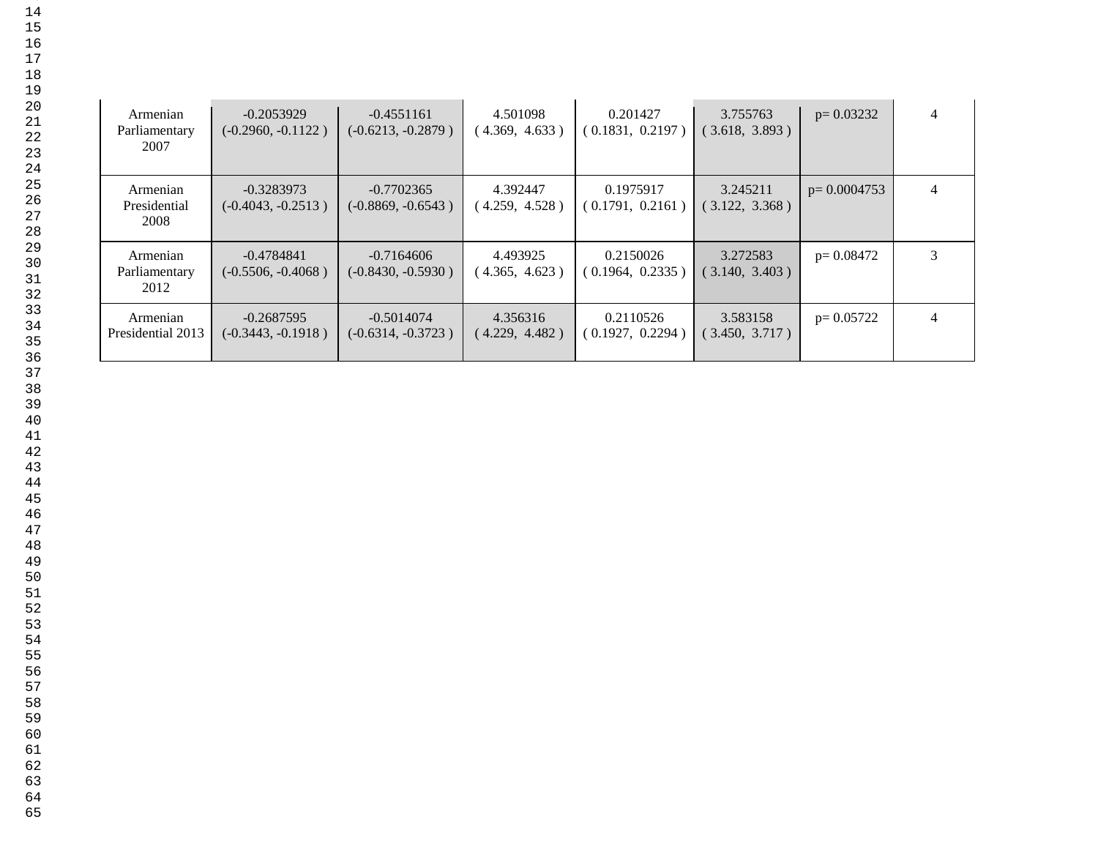| Armenian<br>Parliamentary<br>2007 | $-0.2053929$<br>$(-0.2960, -0.1122)$ | $-0.4551161$<br>$(-0.6213, -0.2879)$ | 4.501098<br>(4.369, 4.633) | 0.201427<br>(0.1831, 0.2197)  | 3.755763<br>(3.618, 3.893) | $p=0.03232$   | 4 |
|-----------------------------------|--------------------------------------|--------------------------------------|----------------------------|-------------------------------|----------------------------|---------------|---|
| Armenian<br>Presidential<br>2008  | $-0.3283973$<br>$(-0.4043, -0.2513)$ | $-0.7702365$<br>$(-0.8869, -0.6543)$ | 4.392447<br>(4.259, 4.528) | 0.1975917<br>(0.1791, 0.2161) | 3.245211<br>(3.122, 3.368) | $p=0.0004753$ |   |
| Armenian<br>Parliamentary<br>2012 | $-0.4784841$<br>$(-0.5506, -0.4068)$ | $-0.7164606$<br>$(-0.8430, -0.5930)$ | 4.493925<br>4.365, 4.623)  | 0.2150026<br>(0.1964, 0.2335) | 3.272583<br>(3.140, 3.403) | $p=0.08472$   | 3 |
| Armenian<br>Presidential 2013     | $-0.2687595$<br>$(-0.3443, -0.1918)$ | $-0.5014074$<br>$(-0.6314, -0.3723)$ | 4.356316<br>(4.229, 4.482) | 0.2110526<br>(0.1927, 0.2294) | 3.583158<br>(3.450, 3.717) | $p=0.05722$   |   |

64 65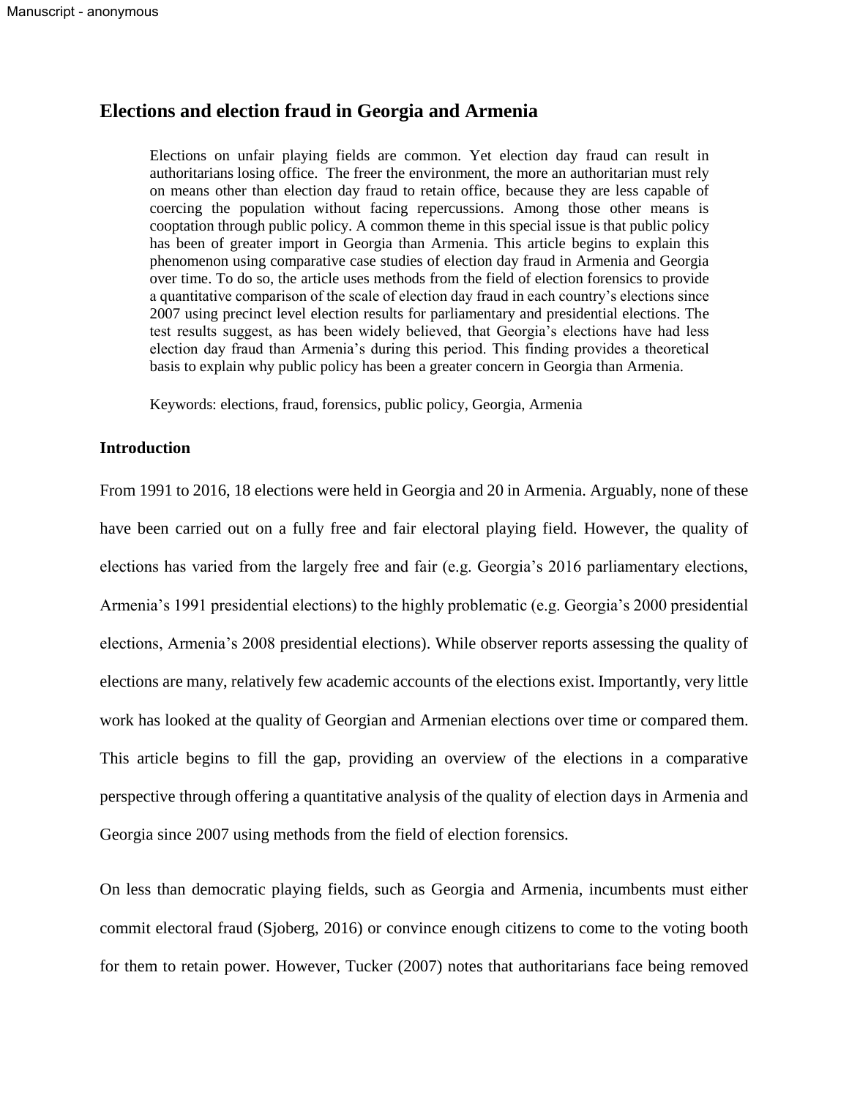## **Elections and election fraud in Georgia and Armenia**

Elections on unfair playing fields are common. Yet election day fraud can result in authoritarians losing office. The freer the environment, the more an authoritarian must rely on means other than election day fraud to retain office, because they are less capable of coercing the population without facing repercussions. Among those other means is cooptation through public policy. A common theme in this special issue is that public policy has been of greater import in Georgia than Armenia. This article begins to explain this phenomenon using comparative case studies of election day fraud in Armenia and Georgia over time. To do so, the article uses methods from the field of election forensics to provide a quantitative comparison of the scale of election day fraud in each country's elections since 2007 using precinct level election results for parliamentary and presidential elections. The test results suggest, as has been widely believed, that Georgia's elections have had less election day fraud than Armenia's during this period. This finding provides a theoretical basis to explain why public policy has been a greater concern in Georgia than Armenia.

Keywords: elections, fraud, forensics, public policy, Georgia, Armenia

## **Introduction**

From 1991 to 2016, 18 elections were held in Georgia and 20 in Armenia. Arguably, none of these have been carried out on a fully free and fair electoral playing field. However, the quality of elections has varied from the largely free and fair (e.g. Georgia's 2016 parliamentary elections, Armenia's 1991 presidential elections) to the highly problematic (e.g. Georgia's 2000 presidential elections, Armenia's 2008 presidential elections). While observer reports assessing the quality of elections are many, relatively few academic accounts of the elections exist. Importantly, very little work has looked at the quality of Georgian and Armenian elections over time or compared them. This article begins to fill the gap, providing an overview of the elections in a comparative perspective through offering a quantitative analysis of the quality of election days in Armenia and Georgia since 2007 using methods from the field of election forensics.

On less than democratic playing fields, such as Georgia and Armenia, incumbents must either commit electoral fraud (Sjoberg, 2016) or convince enough citizens to come to the voting booth for them to retain power. However, Tucker (2007) notes that authoritarians face being removed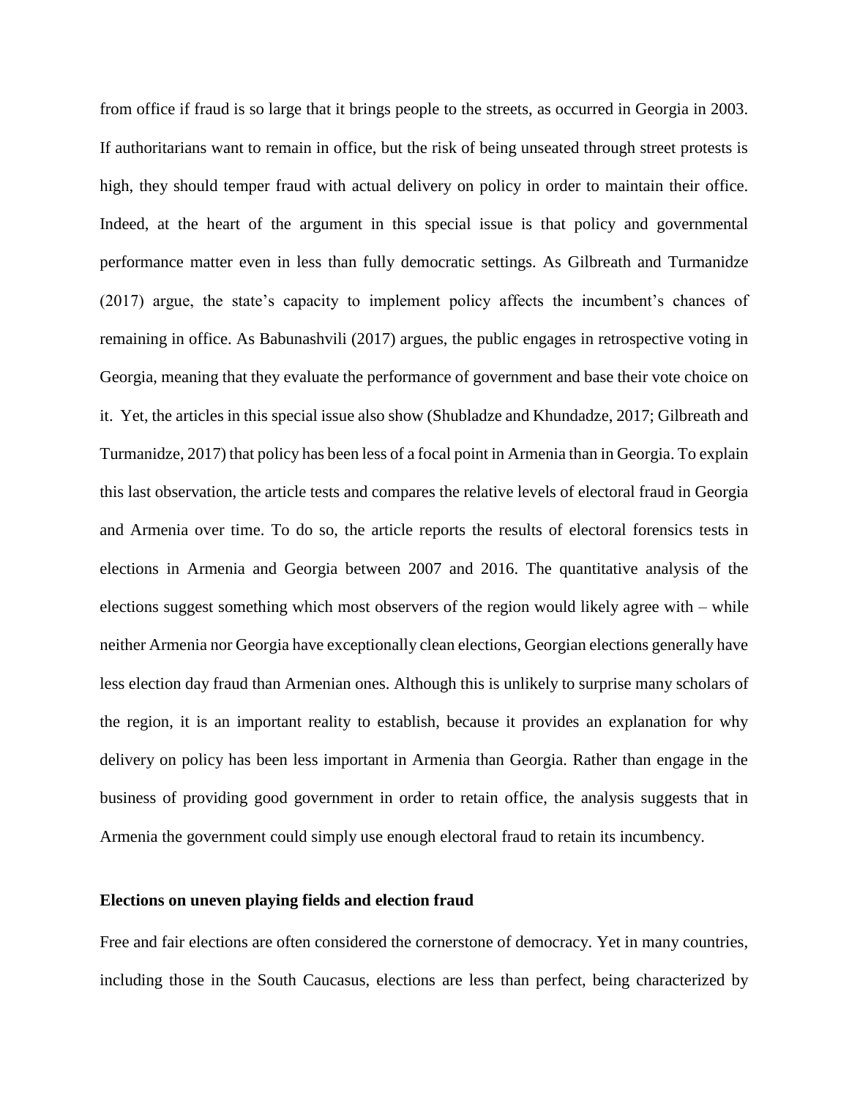from office if fraud is so large that it brings people to the streets, as occurred in Georgia in 2003. If authoritarians want to remain in office, but the risk of being unseated through street protests is high, they should temper fraud with actual delivery on policy in order to maintain their office. Indeed, at the heart of the argument in this special issue is that policy and governmental performance matter even in less than fully democratic settings. As Gilbreath and Turmanidze (2017) argue, the state's capacity to implement policy affects the incumbent's chances of remaining in office. As Babunashvili (2017) argues, the public engages in retrospective voting in Georgia, meaning that they evaluate the performance of government and base their vote choice on it. Yet, the articles in this special issue also show (Shubladze and Khundadze, 2017; Gilbreath and Turmanidze, 2017) that policy has been less of a focal point in Armenia than in Georgia. To explain this last observation, the article tests and compares the relative levels of electoral fraud in Georgia and Armenia over time. To do so, the article reports the results of electoral forensics tests in elections in Armenia and Georgia between 2007 and 2016. The quantitative analysis of the elections suggest something which most observers of the region would likely agree with – while neither Armenia nor Georgia have exceptionally clean elections, Georgian elections generally have less election day fraud than Armenian ones. Although this is unlikely to surprise many scholars of the region, it is an important reality to establish, because it provides an explanation for why delivery on policy has been less important in Armenia than Georgia. Rather than engage in the business of providing good government in order to retain office, the analysis suggests that in Armenia the government could simply use enough electoral fraud to retain its incumbency.

## **Elections on uneven playing fields and election fraud**

Free and fair elections are often considered the cornerstone of democracy. Yet in many countries, including those in the South Caucasus, elections are less than perfect, being characterized by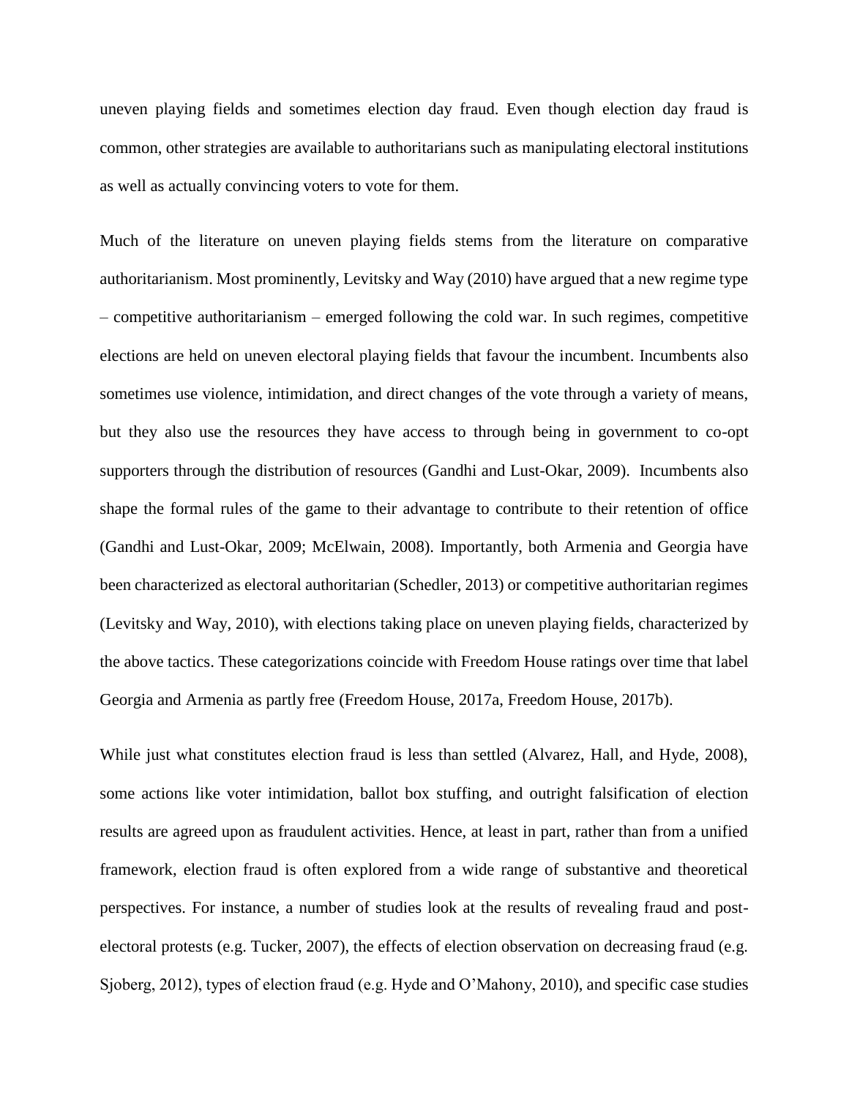uneven playing fields and sometimes election day fraud. Even though election day fraud is common, other strategies are available to authoritarians such as manipulating electoral institutions as well as actually convincing voters to vote for them.

Much of the literature on uneven playing fields stems from the literature on comparative authoritarianism. Most prominently, Levitsky and Way (2010) have argued that a new regime type – competitive authoritarianism – emerged following the cold war. In such regimes, competitive elections are held on uneven electoral playing fields that favour the incumbent. Incumbents also sometimes use violence, intimidation, and direct changes of the vote through a variety of means, but they also use the resources they have access to through being in government to co-opt supporters through the distribution of resources (Gandhi and Lust-Okar, 2009). Incumbents also shape the formal rules of the game to their advantage to contribute to their retention of office (Gandhi and Lust-Okar, 2009; McElwain, 2008). Importantly, both Armenia and Georgia have been characterized as electoral authoritarian (Schedler, 2013) or competitive authoritarian regimes (Levitsky and Way, 2010), with elections taking place on uneven playing fields, characterized by the above tactics. These categorizations coincide with Freedom House ratings over time that label Georgia and Armenia as partly free (Freedom House, 2017a, Freedom House, 2017b).

While just what constitutes election fraud is less than settled (Alvarez, Hall, and Hyde, 2008), some actions like voter intimidation, ballot box stuffing, and outright falsification of election results are agreed upon as fraudulent activities. Hence, at least in part, rather than from a unified framework, election fraud is often explored from a wide range of substantive and theoretical perspectives. For instance, a number of studies look at the results of revealing fraud and postelectoral protests (e.g. Tucker, 2007), the effects of election observation on decreasing fraud (e.g. Sjoberg, 2012), types of election fraud (e.g. Hyde and O'Mahony, 2010), and specific case studies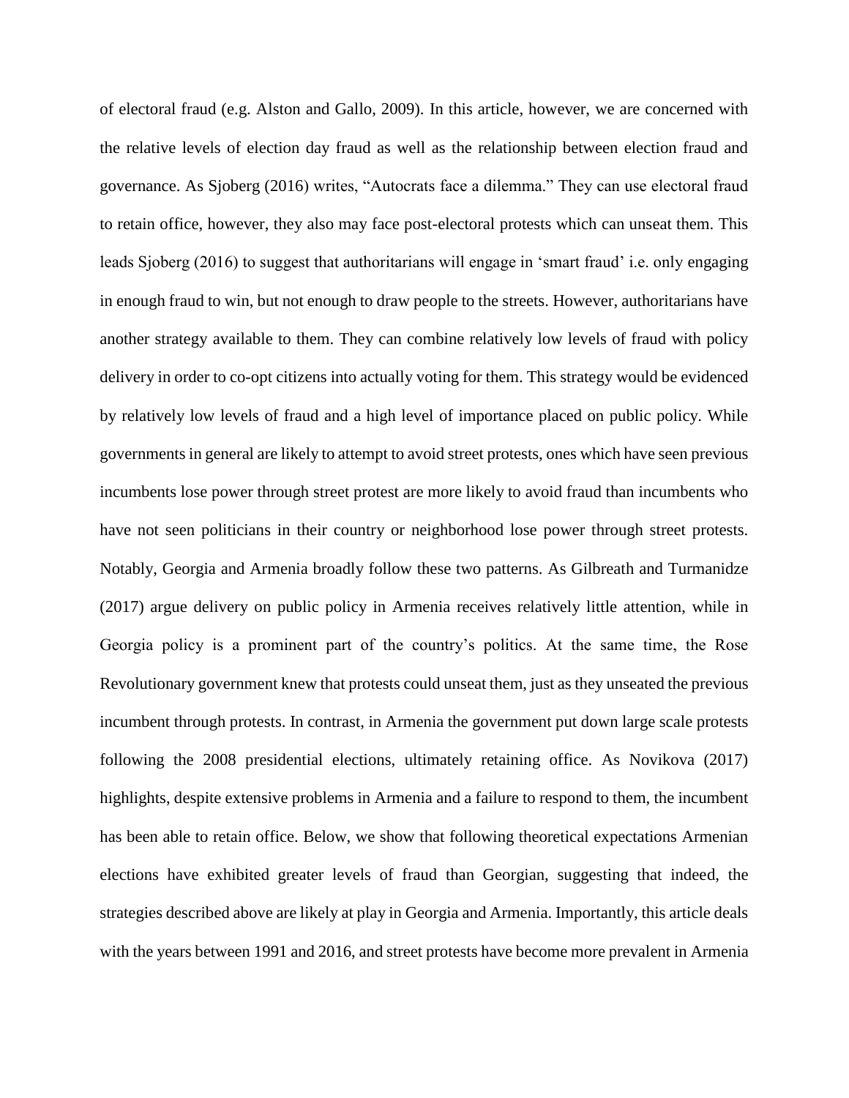of electoral fraud (e.g. Alston and Gallo, 2009). In this article, however, we are concerned with the relative levels of election day fraud as well as the relationship between election fraud and governance. As Sjoberg (2016) writes, "Autocrats face a dilemma." They can use electoral fraud to retain office, however, they also may face post-electoral protests which can unseat them. This leads Sjoberg (2016) to suggest that authoritarians will engage in 'smart fraud' i.e. only engaging in enough fraud to win, but not enough to draw people to the streets. However, authoritarians have another strategy available to them. They can combine relatively low levels of fraud with policy delivery in order to co-opt citizens into actually voting for them. This strategy would be evidenced by relatively low levels of fraud and a high level of importance placed on public policy. While governments in general are likely to attempt to avoid street protests, ones which have seen previous incumbents lose power through street protest are more likely to avoid fraud than incumbents who have not seen politicians in their country or neighborhood lose power through street protests. Notably, Georgia and Armenia broadly follow these two patterns. As Gilbreath and Turmanidze (2017) argue delivery on public policy in Armenia receives relatively little attention, while in Georgia policy is a prominent part of the country's politics. At the same time, the Rose Revolutionary government knew that protests could unseat them, just as they unseated the previous incumbent through protests. In contrast, in Armenia the government put down large scale protests following the 2008 presidential elections, ultimately retaining office. As Novikova (2017) highlights, despite extensive problems in Armenia and a failure to respond to them, the incumbent has been able to retain office. Below, we show that following theoretical expectations Armenian elections have exhibited greater levels of fraud than Georgian, suggesting that indeed, the strategies described above are likely at play in Georgia and Armenia. Importantly, this article deals with the years between 1991 and 2016, and street protests have become more prevalent in Armenia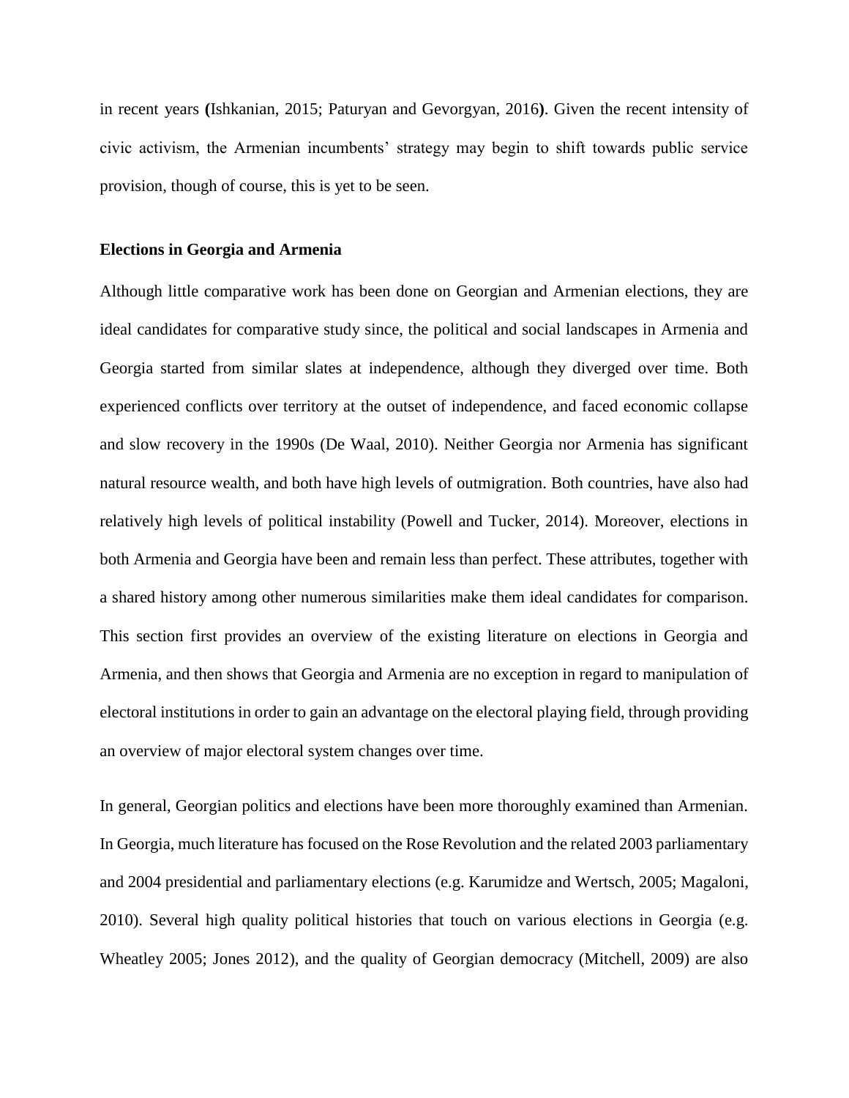in recent years **(**Ishkanian, 2015; Paturyan and Gevorgyan, 2016**)**. Given the recent intensity of civic activism, the Armenian incumbents' strategy may begin to shift towards public service provision, though of course, this is yet to be seen.

#### **Elections in Georgia and Armenia**

Although little comparative work has been done on Georgian and Armenian elections, they are ideal candidates for comparative study since, the political and social landscapes in Armenia and Georgia started from similar slates at independence, although they diverged over time. Both experienced conflicts over territory at the outset of independence, and faced economic collapse and slow recovery in the 1990s (De Waal, 2010). Neither Georgia nor Armenia has significant natural resource wealth, and both have high levels of outmigration. Both countries, have also had relatively high levels of political instability (Powell and Tucker, 2014). Moreover, elections in both Armenia and Georgia have been and remain less than perfect. These attributes, together with a shared history among other numerous similarities make them ideal candidates for comparison. This section first provides an overview of the existing literature on elections in Georgia and Armenia, and then shows that Georgia and Armenia are no exception in regard to manipulation of electoral institutions in order to gain an advantage on the electoral playing field, through providing an overview of major electoral system changes over time.

In general, Georgian politics and elections have been more thoroughly examined than Armenian. In Georgia, much literature has focused on the Rose Revolution and the related 2003 parliamentary and 2004 presidential and parliamentary elections (e.g. Karumidze and Wertsch, 2005; Magaloni, 2010). Several high quality political histories that touch on various elections in Georgia (e.g. Wheatley 2005; Jones 2012), and the quality of Georgian democracy (Mitchell, 2009) are also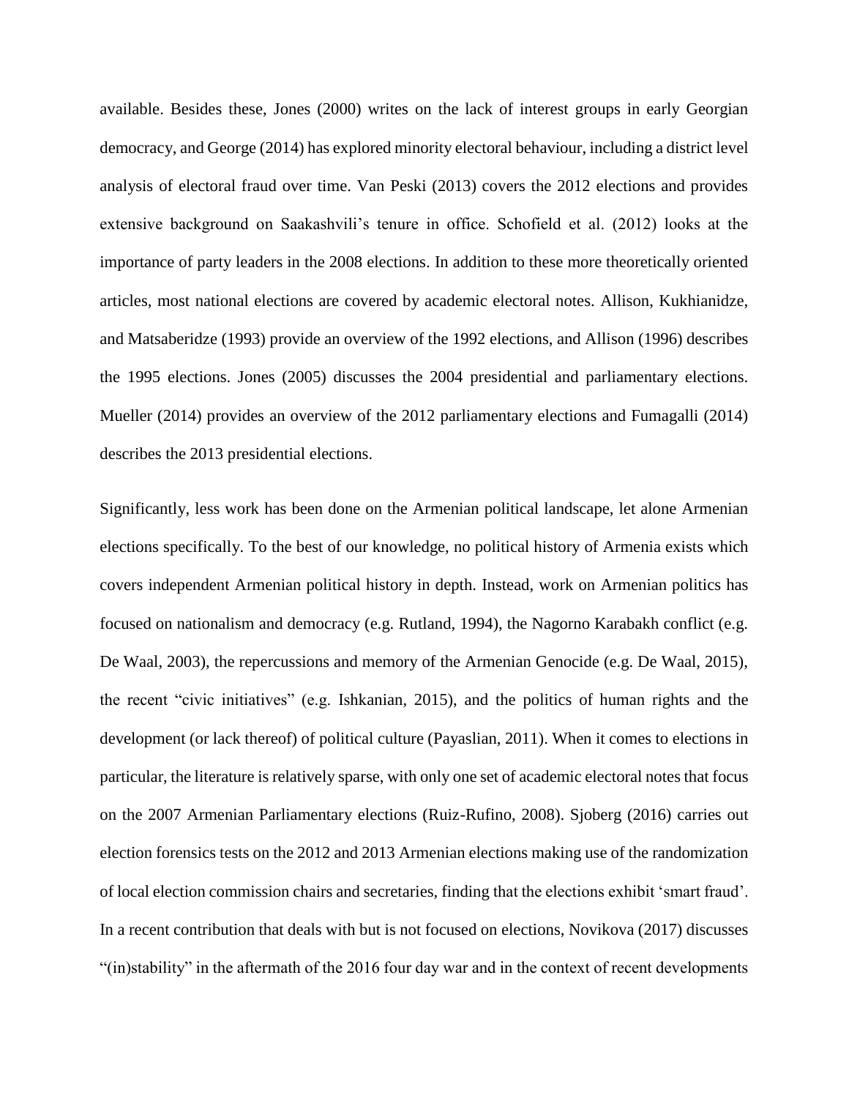available. Besides these, Jones (2000) writes on the lack of interest groups in early Georgian democracy, and George (2014) has explored minority electoral behaviour, including a district level analysis of electoral fraud over time. Van Peski (2013) covers the 2012 elections and provides extensive background on Saakashvili's tenure in office. Schofield et al. (2012) looks at the importance of party leaders in the 2008 elections. In addition to these more theoretically oriented articles, most national elections are covered by academic electoral notes. Allison, Kukhianidze, and Matsaberidze (1993) provide an overview of the 1992 elections, and Allison (1996) describes the 1995 elections. Jones (2005) discusses the 2004 presidential and parliamentary elections. Mueller (2014) provides an overview of the 2012 parliamentary elections and Fumagalli (2014) describes the 2013 presidential elections.

Significantly, less work has been done on the Armenian political landscape, let alone Armenian elections specifically. To the best of our knowledge, no political history of Armenia exists which covers independent Armenian political history in depth. Instead, work on Armenian politics has focused on nationalism and democracy (e.g. Rutland, 1994), the Nagorno Karabakh conflict (e.g. De Waal, 2003), the repercussions and memory of the Armenian Genocide (e.g. De Waal, 2015), the recent "civic initiatives" (e.g. Ishkanian, 2015), and the politics of human rights and the development (or lack thereof) of political culture (Payaslian, 2011). When it comes to elections in particular, the literature is relatively sparse, with only one set of academic electoral notes that focus on the 2007 Armenian Parliamentary elections (Ruiz-Rufino, 2008). Sjoberg (2016) carries out election forensics tests on the 2012 and 2013 Armenian elections making use of the randomization of local election commission chairs and secretaries, finding that the elections exhibit 'smart fraud'. In a recent contribution that deals with but is not focused on elections, Novikova (2017) discusses "(in)stability" in the aftermath of the 2016 four day war and in the context of recent developments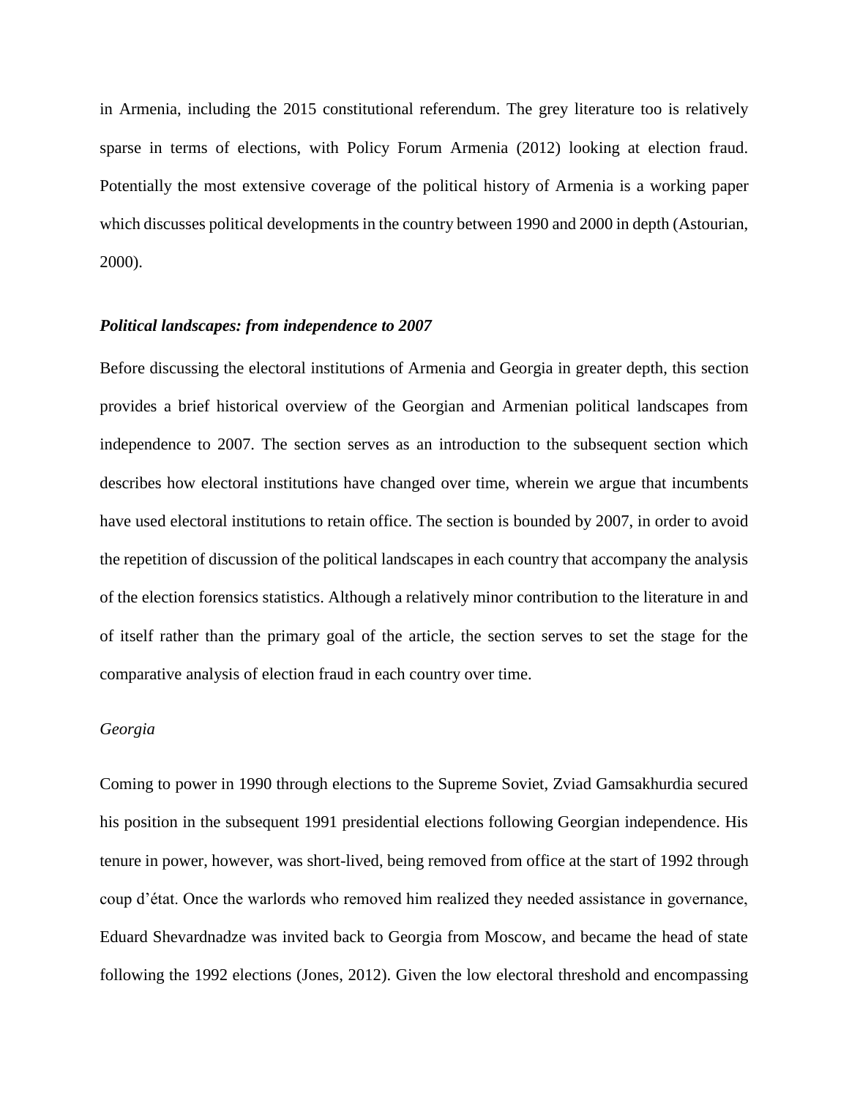in Armenia, including the 2015 constitutional referendum. The grey literature too is relatively sparse in terms of elections, with Policy Forum Armenia (2012) looking at election fraud. Potentially the most extensive coverage of the political history of Armenia is a working paper which discusses political developments in the country between 1990 and 2000 in depth (Astourian, 2000).

#### *Political landscapes: from independence to 2007*

Before discussing the electoral institutions of Armenia and Georgia in greater depth, this section provides a brief historical overview of the Georgian and Armenian political landscapes from independence to 2007. The section serves as an introduction to the subsequent section which describes how electoral institutions have changed over time, wherein we argue that incumbents have used electoral institutions to retain office. The section is bounded by 2007, in order to avoid the repetition of discussion of the political landscapes in each country that accompany the analysis of the election forensics statistics. Although a relatively minor contribution to the literature in and of itself rather than the primary goal of the article, the section serves to set the stage for the comparative analysis of election fraud in each country over time.

## *Georgia*

Coming to power in 1990 through elections to the Supreme Soviet, Zviad Gamsakhurdia secured his position in the subsequent 1991 presidential elections following Georgian independence. His tenure in power, however, was short-lived, being removed from office at the start of 1992 through coup d'état. Once the warlords who removed him realized they needed assistance in governance, Eduard Shevardnadze was invited back to Georgia from Moscow, and became the head of state following the 1992 elections (Jones, 2012). Given the low electoral threshold and encompassing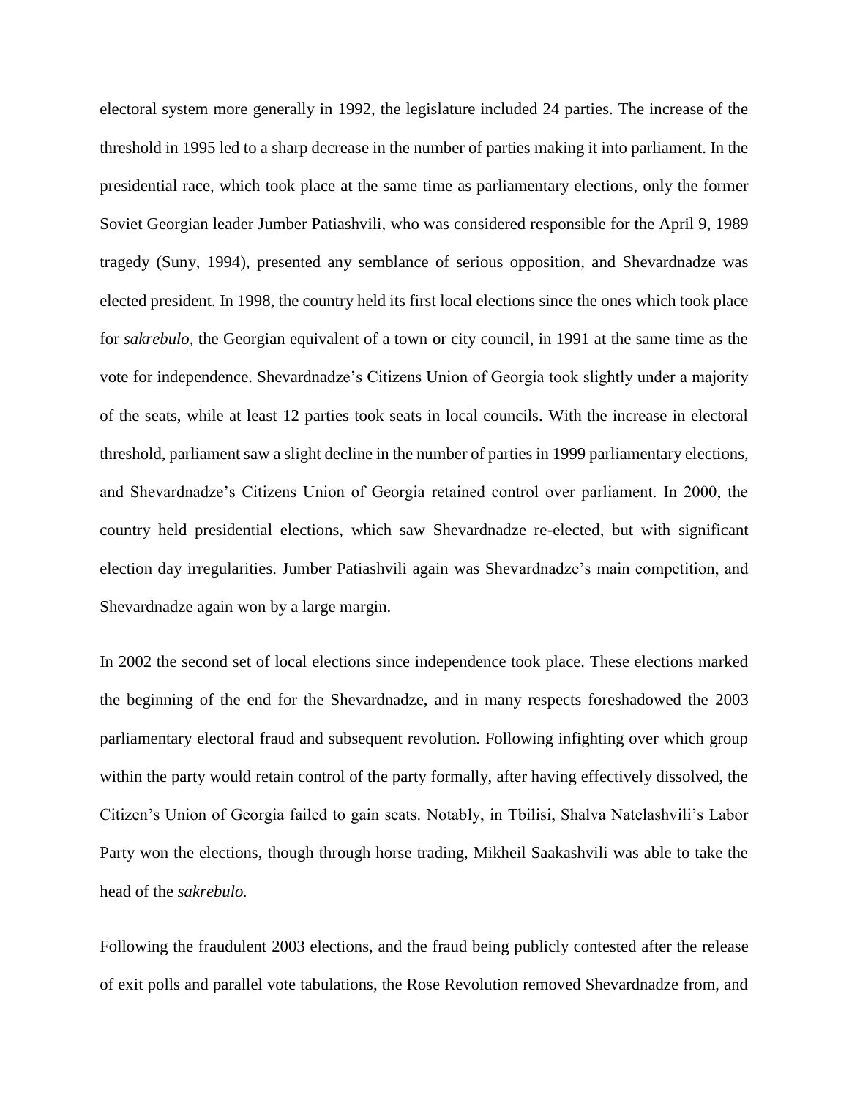electoral system more generally in 1992, the legislature included 24 parties. The increase of the threshold in 1995 led to a sharp decrease in the number of parties making it into parliament. In the presidential race, which took place at the same time as parliamentary elections, only the former Soviet Georgian leader Jumber Patiashvili, who was considered responsible for the April 9, 1989 tragedy (Suny, 1994), presented any semblance of serious opposition, and Shevardnadze was elected president. In 1998, the country held its first local elections since the ones which took place for *sakrebulo,* the Georgian equivalent of a town or city council, in 1991 at the same time as the vote for independence. Shevardnadze's Citizens Union of Georgia took slightly under a majority of the seats, while at least 12 parties took seats in local councils. With the increase in electoral threshold, parliament saw a slight decline in the number of parties in 1999 parliamentary elections, and Shevardnadze's Citizens Union of Georgia retained control over parliament. In 2000, the country held presidential elections, which saw Shevardnadze re-elected, but with significant election day irregularities. Jumber Patiashvili again was Shevardnadze's main competition, and Shevardnadze again won by a large margin.

In 2002 the second set of local elections since independence took place. These elections marked the beginning of the end for the Shevardnadze, and in many respects foreshadowed the 2003 parliamentary electoral fraud and subsequent revolution. Following infighting over which group within the party would retain control of the party formally, after having effectively dissolved, the Citizen's Union of Georgia failed to gain seats. Notably, in Tbilisi, Shalva Natelashvili's Labor Party won the elections, though through horse trading, Mikheil Saakashvili was able to take the head of the *sakrebulo.* 

Following the fraudulent 2003 elections, and the fraud being publicly contested after the release of exit polls and parallel vote tabulations, the Rose Revolution removed Shevardnadze from, and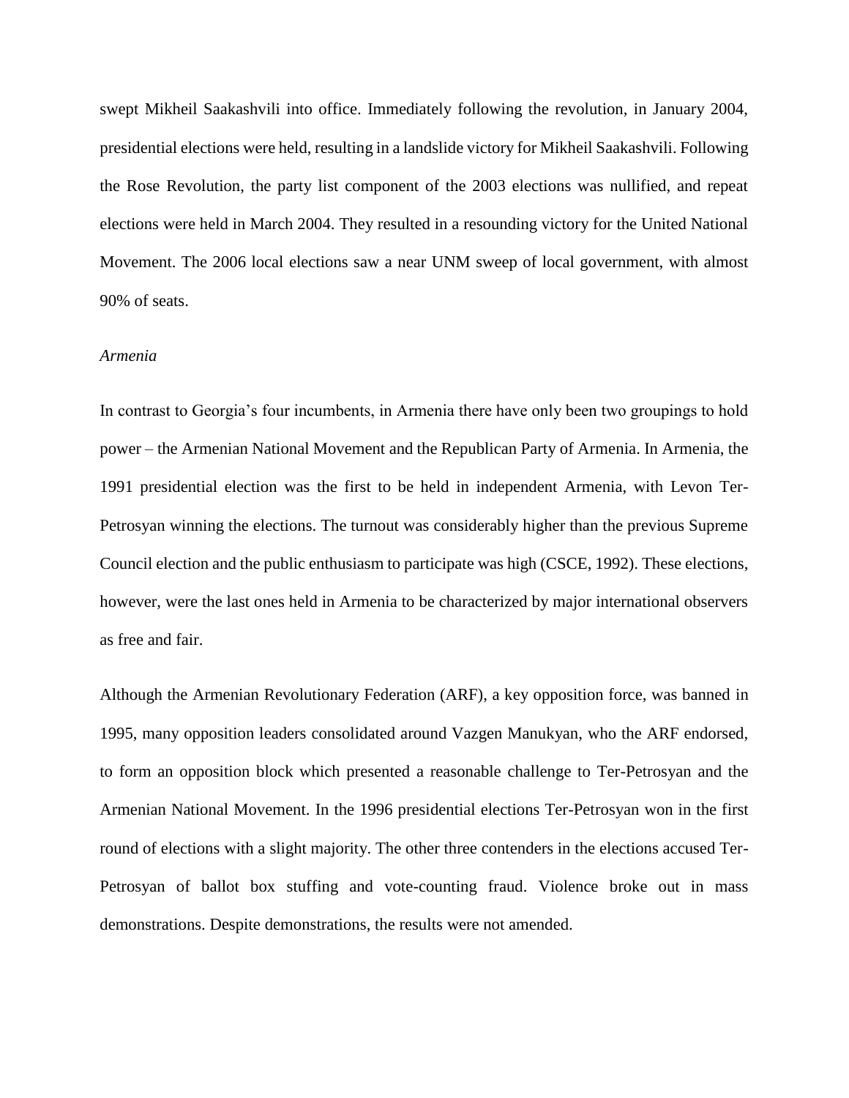swept Mikheil Saakashvili into office. Immediately following the revolution, in January 2004, presidential elections were held, resulting in a landslide victory for Mikheil Saakashvili. Following the Rose Revolution, the party list component of the 2003 elections was nullified, and repeat elections were held in March 2004. They resulted in a resounding victory for the United National Movement. The 2006 local elections saw a near UNM sweep of local government, with almost 90% of seats.

#### *Armenia*

In contrast to Georgia's four incumbents, in Armenia there have only been two groupings to hold power – the Armenian National Movement and the Republican Party of Armenia. In Armenia, the 1991 presidential election was the first to be held in independent Armenia, with Levon Ter-Petrosyan winning the elections. The turnout was considerably higher than the previous Supreme Council election and the public enthusiasm to participate was high (CSCE, 1992). These elections, however, were the last ones held in Armenia to be characterized by major international observers as free and fair.

Although the Armenian Revolutionary Federation (ARF), a key opposition force, was banned in 1995, many opposition leaders consolidated around Vazgen Manukyan, who the ARF endorsed, to form an opposition block which presented a reasonable challenge to Ter-Petrosyan and the Armenian National Movement. In the 1996 presidential elections Ter-Petrosyan won in the first round of elections with a slight majority. The other three contenders in the elections accused Ter-Petrosyan of ballot box stuffing and vote-counting fraud. Violence broke out in mass demonstrations. Despite demonstrations, the results were not amended.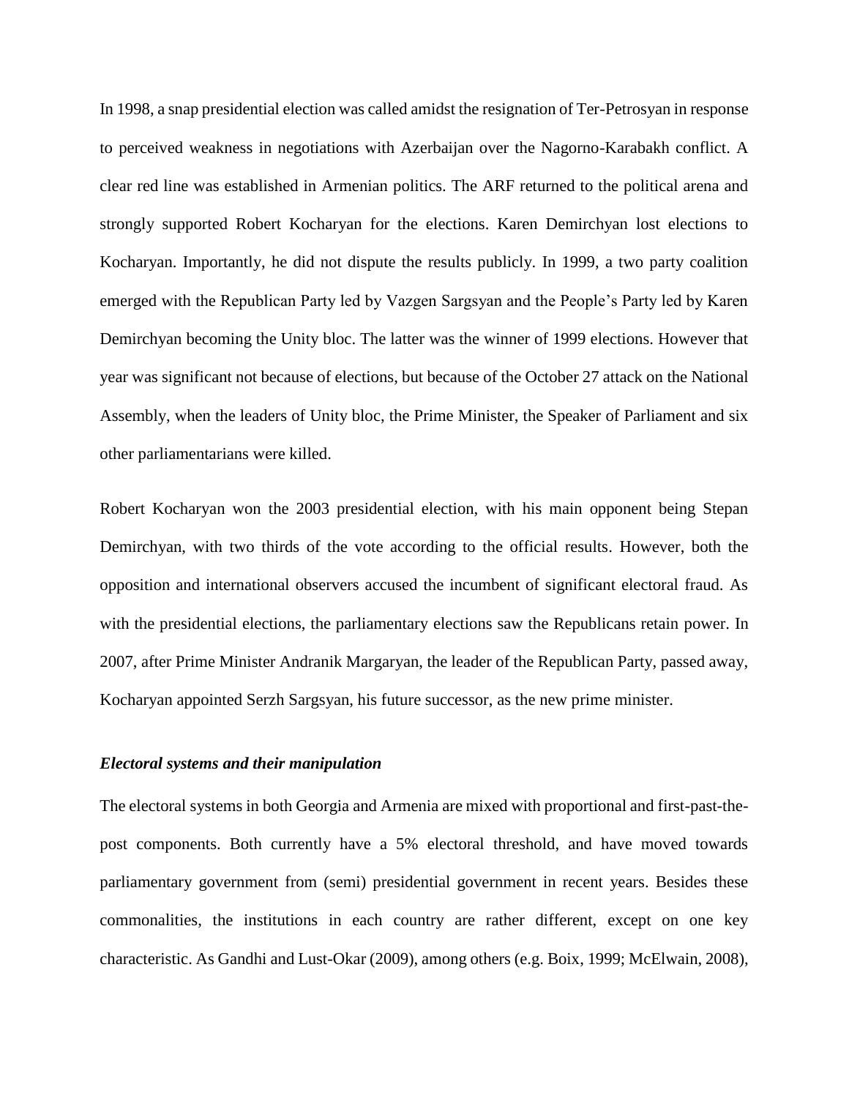In 1998, a snap presidential election was called amidst the resignation of Ter-Petrosyan in response to perceived weakness in negotiations with Azerbaijan over the Nagorno-Karabakh conflict. A clear red line was established in Armenian politics. The ARF returned to the political arena and strongly supported Robert Kocharyan for the elections. Karen Demirchyan lost elections to Kocharyan. Importantly, he did not dispute the results publicly. In 1999, a two party coalition emerged with the Republican Party led by Vazgen Sargsyan and the People's Party led by Karen Demirchyan becoming the Unity bloc. The latter was the winner of 1999 elections. However that year was significant not because of elections, but because of the October 27 attack on the National Assembly, when the leaders of Unity bloc, the Prime Minister, the Speaker of Parliament and six other parliamentarians were killed.

Robert Kocharyan won the 2003 presidential election, with his main opponent being Stepan Demirchyan, with two thirds of the vote according to the official results. However, both the opposition and international observers accused the incumbent of significant electoral fraud. As with the presidential elections, the parliamentary elections saw the Republicans retain power. In 2007, after Prime Minister Andranik Margaryan, the leader of the Republican Party, passed away, Kocharyan appointed Serzh Sargsyan, his future successor, as the new prime minister.

#### *Electoral systems and their manipulation*

The electoral systems in both Georgia and Armenia are mixed with proportional and first-past-thepost components. Both currently have a 5% electoral threshold, and have moved towards parliamentary government from (semi) presidential government in recent years. Besides these commonalities, the institutions in each country are rather different, except on one key characteristic. As Gandhi and Lust-Okar (2009), among others (e.g. Boix, 1999; McElwain, 2008),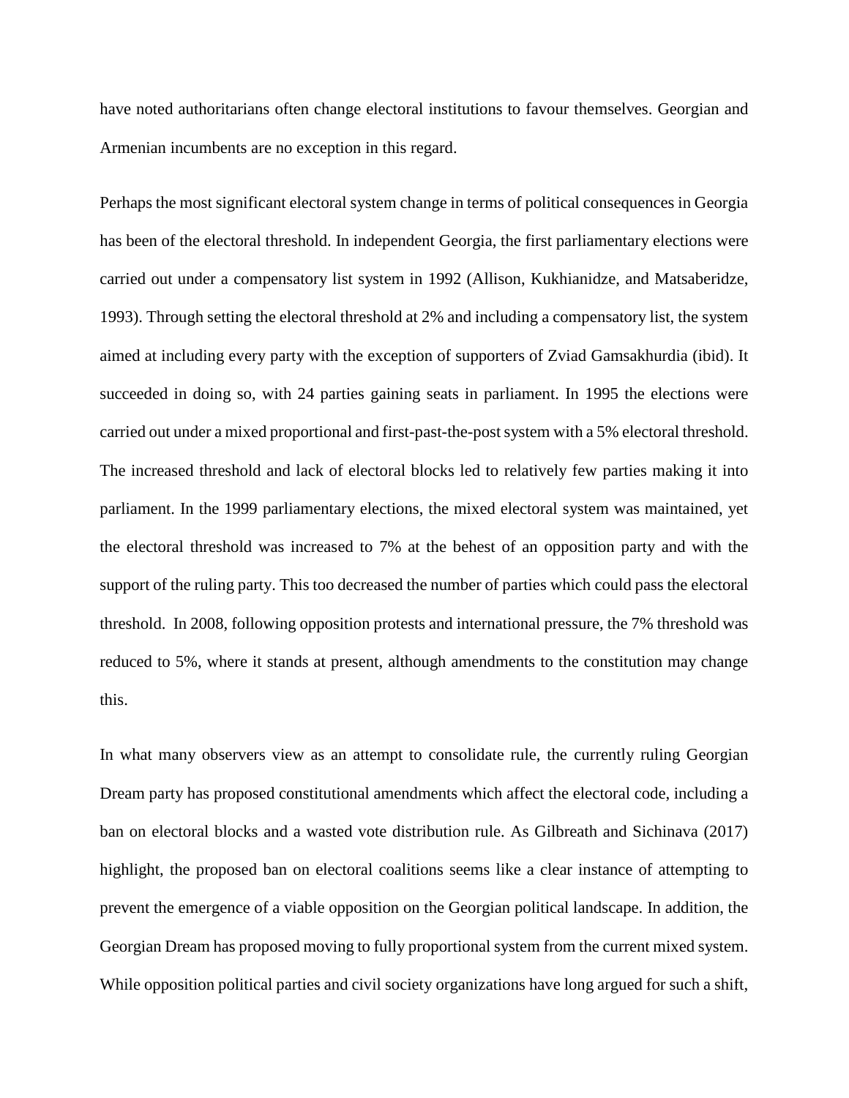have noted authoritarians often change electoral institutions to favour themselves. Georgian and Armenian incumbents are no exception in this regard.

Perhaps the most significant electoral system change in terms of political consequences in Georgia has been of the electoral threshold. In independent Georgia, the first parliamentary elections were carried out under a compensatory list system in 1992 (Allison, Kukhianidze, and Matsaberidze, 1993). Through setting the electoral threshold at 2% and including a compensatory list, the system aimed at including every party with the exception of supporters of Zviad Gamsakhurdia (ibid). It succeeded in doing so, with 24 parties gaining seats in parliament. In 1995 the elections were carried out under a mixed proportional and first-past-the-post system with a 5% electoral threshold. The increased threshold and lack of electoral blocks led to relatively few parties making it into parliament. In the 1999 parliamentary elections, the mixed electoral system was maintained, yet the electoral threshold was increased to 7% at the behest of an opposition party and with the support of the ruling party. This too decreased the number of parties which could pass the electoral threshold.In 2008, following opposition protests and international pressure, the 7% threshold was reduced to 5%, where it stands at present, although amendments to the constitution may change this.

In what many observers view as an attempt to consolidate rule, the currently ruling Georgian Dream party has proposed constitutional amendments which affect the electoral code, including a ban on electoral blocks and a wasted vote distribution rule. As Gilbreath and Sichinava (2017) highlight, the proposed ban on electoral coalitions seems like a clear instance of attempting to prevent the emergence of a viable opposition on the Georgian political landscape. In addition, the Georgian Dream has proposed moving to fully proportional system from the current mixed system. While opposition political parties and civil society organizations have long argued for such a shift,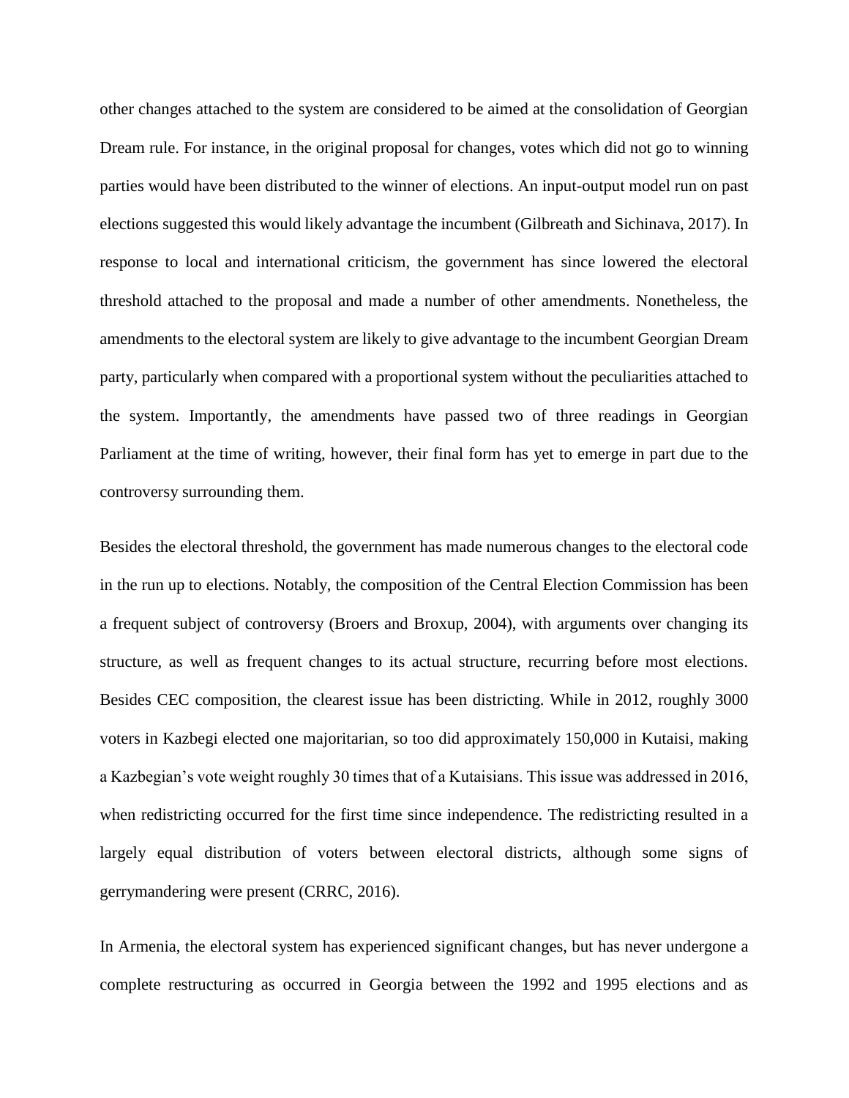other changes attached to the system are considered to be aimed at the consolidation of Georgian Dream rule. For instance, in the original proposal for changes, votes which did not go to winning parties would have been distributed to the winner of elections. An input-output model run on past elections suggested this would likely advantage the incumbent (Gilbreath and Sichinava, 2017). In response to local and international criticism, the government has since lowered the electoral threshold attached to the proposal and made a number of other amendments. Nonetheless, the amendments to the electoral system are likely to give advantage to the incumbent Georgian Dream party, particularly when compared with a proportional system without the peculiarities attached to the system. Importantly, the amendments have passed two of three readings in Georgian Parliament at the time of writing, however, their final form has yet to emerge in part due to the controversy surrounding them.

Besides the electoral threshold, the government has made numerous changes to the electoral code in the run up to elections. Notably, the composition of the Central Election Commission has been a frequent subject of controversy (Broers and Broxup, 2004), with arguments over changing its structure, as well as frequent changes to its actual structure, recurring before most elections. Besides CEC composition, the clearest issue has been districting. While in 2012, roughly 3000 voters in Kazbegi elected one majoritarian, so too did approximately 150,000 in Kutaisi, making a Kazbegian's vote weight roughly 30 times that of a Kutaisians. This issue was addressed in 2016, when redistricting occurred for the first time since independence. The redistricting resulted in a largely equal distribution of voters between electoral districts, although some signs of gerrymandering were present (CRRC, 2016).

In Armenia, the electoral system has experienced significant changes, but has never undergone a complete restructuring as occurred in Georgia between the 1992 and 1995 elections and as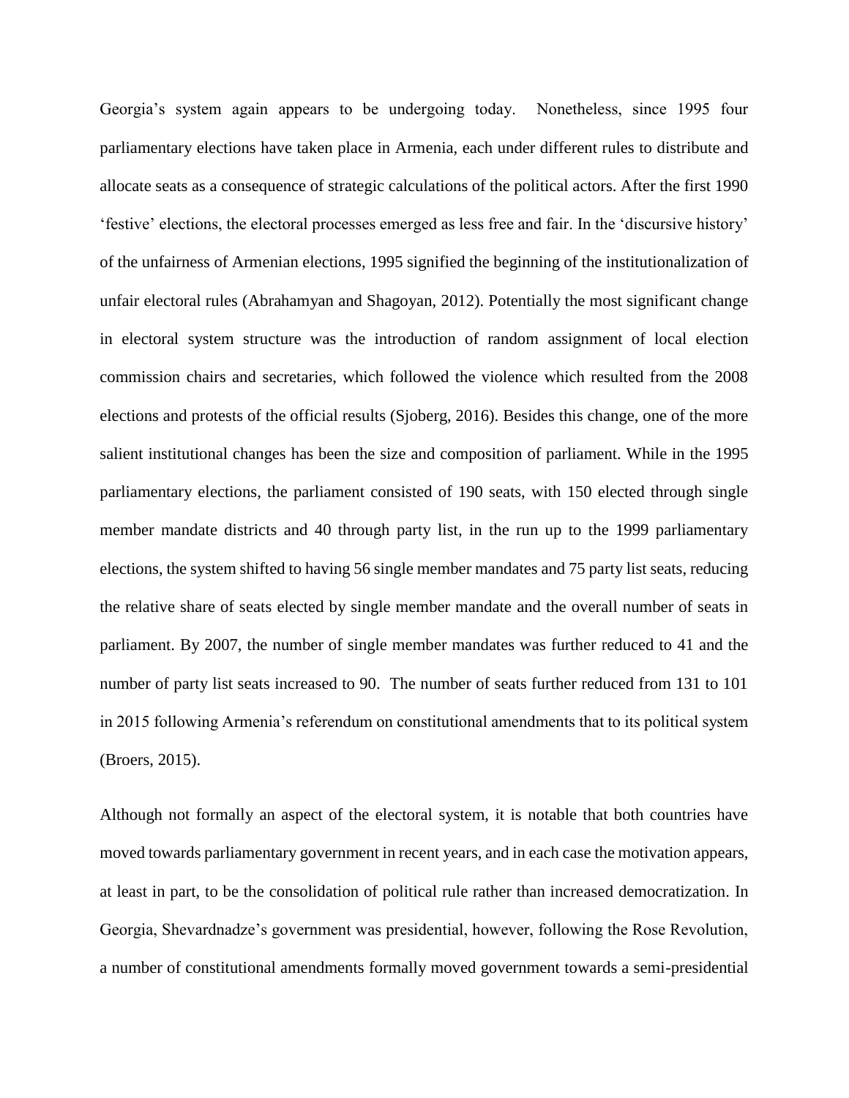Georgia's system again appears to be undergoing today. Nonetheless, since 1995 four parliamentary elections have taken place in Armenia, each under different rules to distribute and allocate seats as a consequence of strategic calculations of the political actors. After the first 1990 'festive' elections, the electoral processes emerged as less free and fair. In the 'discursive history' of the unfairness of Armenian elections, 1995 signified the beginning of the institutionalization of unfair electoral rules (Abrahamyan and Shagoyan, 2012). Potentially the most significant change in electoral system structure was the introduction of random assignment of local election commission chairs and secretaries, which followed the violence which resulted from the 2008 elections and protests of the official results (Sjoberg, 2016). Besides this change, one of the more salient institutional changes has been the size and composition of parliament. While in the 1995 parliamentary elections, the parliament consisted of 190 seats, with 150 elected through single member mandate districts and 40 through party list, in the run up to the 1999 parliamentary elections, the system shifted to having 56 single member mandates and 75 party list seats, reducing the relative share of seats elected by single member mandate and the overall number of seats in parliament. By 2007, the number of single member mandates was further reduced to 41 and the number of party list seats increased to 90. The number of seats further reduced from 131 to 101 in 2015 following Armenia's referendum on constitutional amendments that to its political system (Broers, 2015).

Although not formally an aspect of the electoral system, it is notable that both countries have moved towards parliamentary government in recent years, and in each case the motivation appears, at least in part, to be the consolidation of political rule rather than increased democratization. In Georgia, Shevardnadze's government was presidential, however, following the Rose Revolution, a number of constitutional amendments formally moved government towards a semi-presidential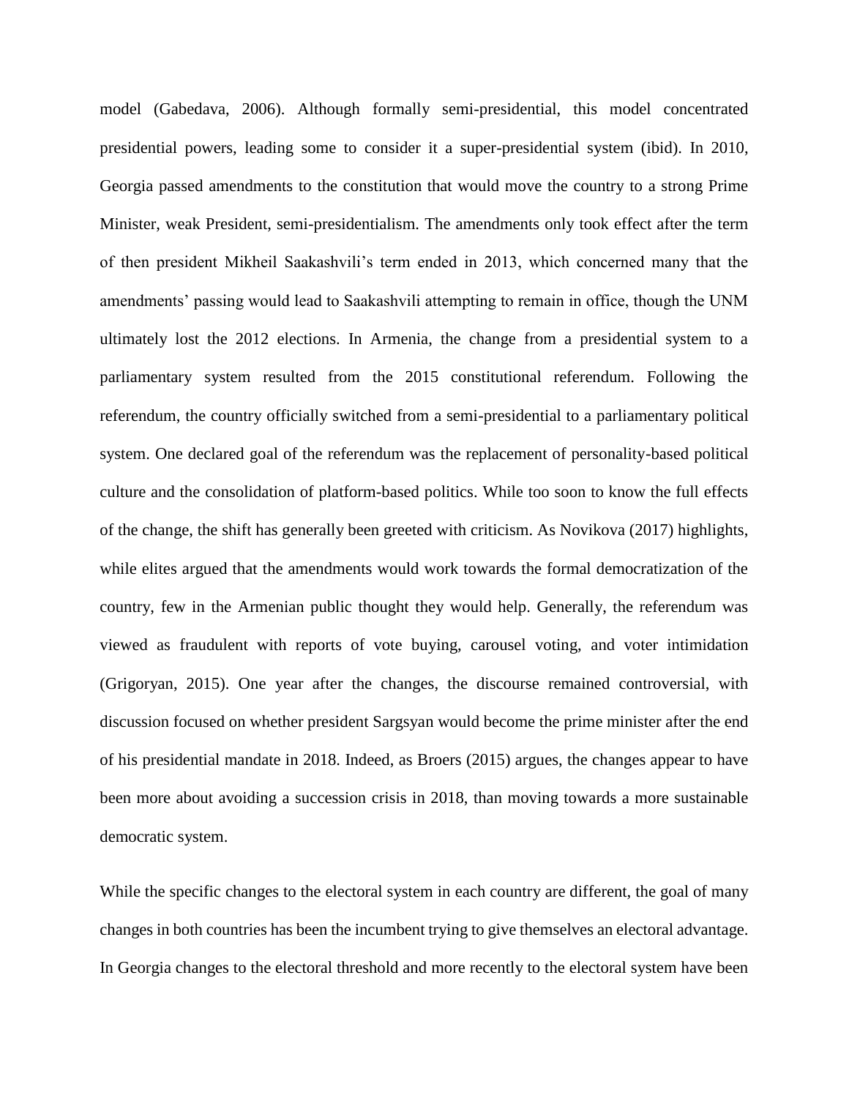model (Gabedava, 2006). Although formally semi-presidential, this model concentrated presidential powers, leading some to consider it a super-presidential system (ibid). In 2010, Georgia passed amendments to the constitution that would move the country to a strong Prime Minister, weak President, semi-presidentialism. The amendments only took effect after the term of then president Mikheil Saakashvili's term ended in 2013, which concerned many that the amendments' passing would lead to Saakashvili attempting to remain in office, though the UNM ultimately lost the 2012 elections. In Armenia, the change from a presidential system to a parliamentary system resulted from the 2015 constitutional referendum. Following the referendum, the country officially switched from a semi-presidential to a parliamentary political system. One declared goal of the referendum was the replacement of personality-based political culture and the consolidation of platform-based politics. While too soon to know the full effects of the change, the shift has generally been greeted with criticism. As Novikova (2017) highlights, while elites argued that the amendments would work towards the formal democratization of the country, few in the Armenian public thought they would help. Generally, the referendum was viewed as fraudulent with reports of vote buying, carousel voting, and voter intimidation (Grigoryan, 2015). One year after the changes, the discourse remained controversial, with discussion focused on whether president Sargsyan would become the prime minister after the end of his presidential mandate in 2018. Indeed, as Broers (2015) argues, the changes appear to have been more about avoiding a succession crisis in 2018, than moving towards a more sustainable democratic system.

While the specific changes to the electoral system in each country are different, the goal of many changes in both countries has been the incumbent trying to give themselves an electoral advantage. In Georgia changes to the electoral threshold and more recently to the electoral system have been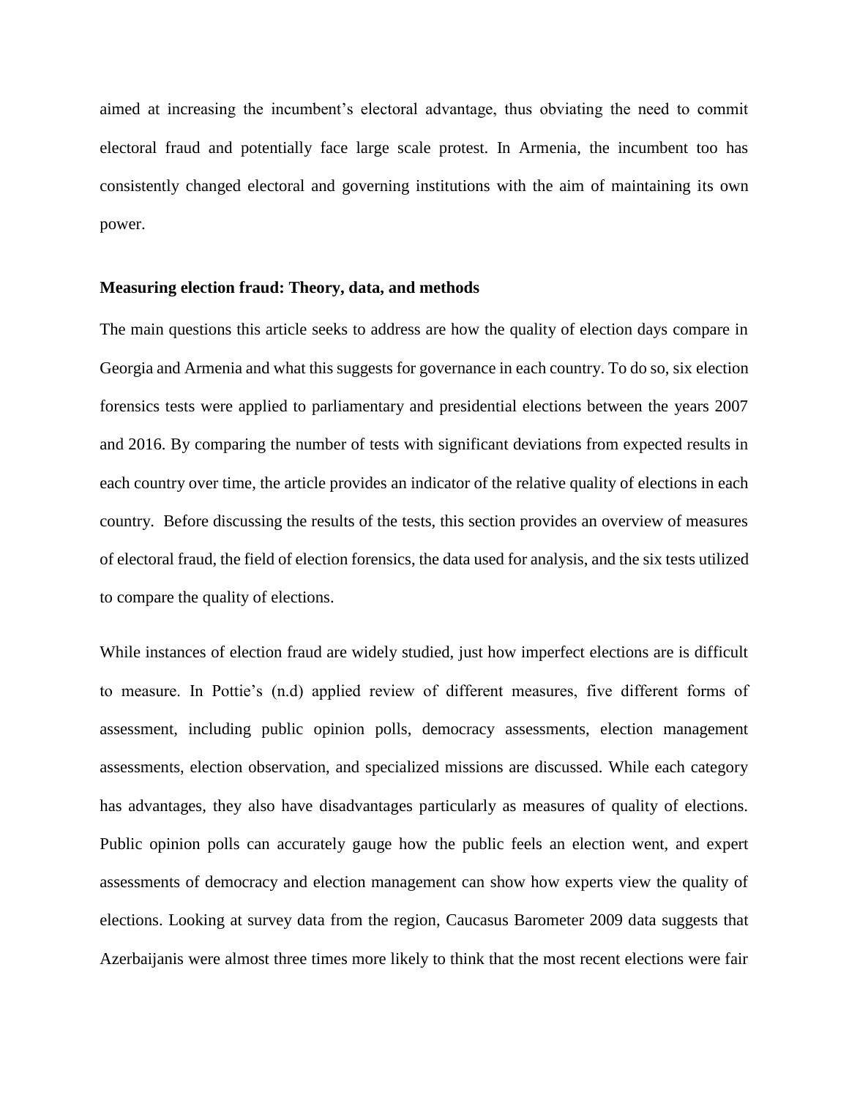aimed at increasing the incumbent's electoral advantage, thus obviating the need to commit electoral fraud and potentially face large scale protest. In Armenia, the incumbent too has consistently changed electoral and governing institutions with the aim of maintaining its own power.

#### **Measuring election fraud: Theory, data, and methods**

The main questions this article seeks to address are how the quality of election days compare in Georgia and Armenia and what this suggests for governance in each country. To do so, six election forensics tests were applied to parliamentary and presidential elections between the years 2007 and 2016. By comparing the number of tests with significant deviations from expected results in each country over time, the article provides an indicator of the relative quality of elections in each country. Before discussing the results of the tests, this section provides an overview of measures of electoral fraud, the field of election forensics, the data used for analysis, and the six tests utilized to compare the quality of elections.

While instances of election fraud are widely studied, just how imperfect elections are is difficult to measure. In Pottie's (n.d) applied review of different measures, five different forms of assessment, including public opinion polls, democracy assessments, election management assessments, election observation, and specialized missions are discussed. While each category has advantages, they also have disadvantages particularly as measures of quality of elections. Public opinion polls can accurately gauge how the public feels an election went, and expert assessments of democracy and election management can show how experts view the quality of elections. Looking at survey data from the region, Caucasus Barometer 2009 data suggests that Azerbaijanis were almost three times more likely to think that the most recent elections were fair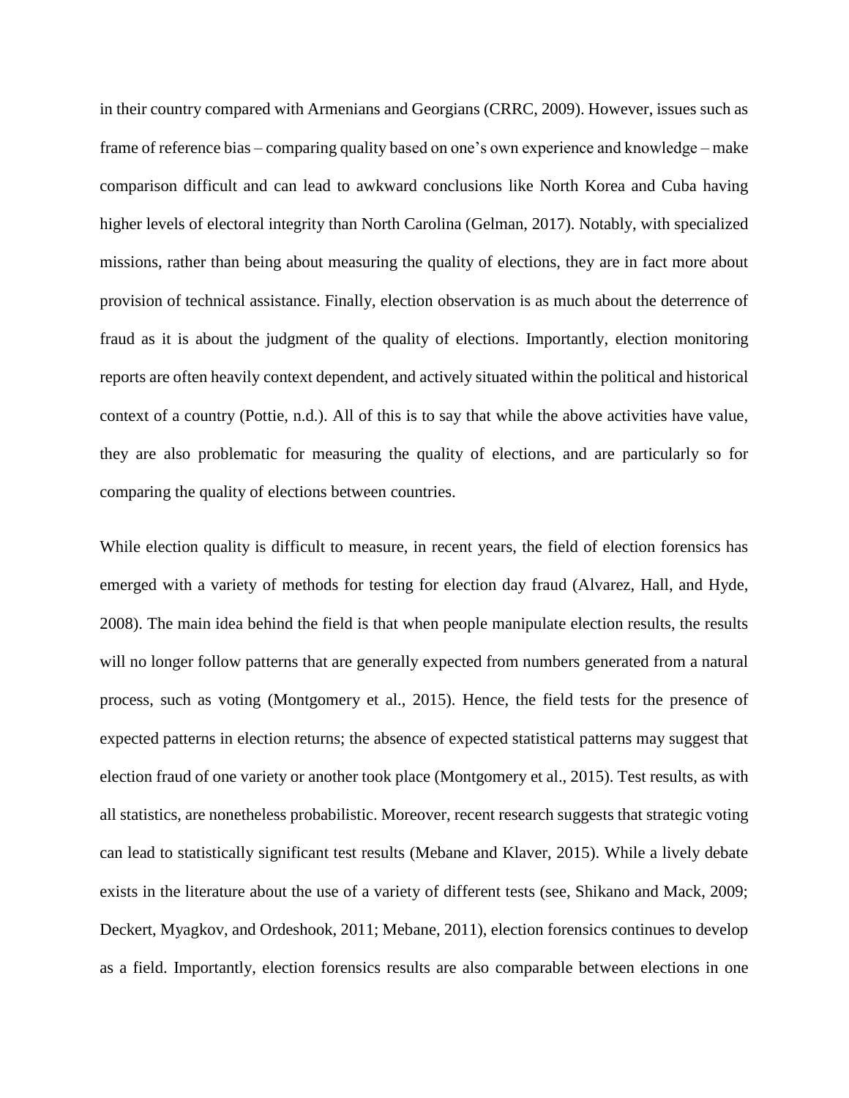in their country compared with Armenians and Georgians (CRRC, 2009). However, issues such as frame of reference bias – comparing quality based on one's own experience and knowledge – make comparison difficult and can lead to awkward conclusions like North Korea and Cuba having higher levels of electoral integrity than North Carolina (Gelman, 2017). Notably, with specialized missions, rather than being about measuring the quality of elections, they are in fact more about provision of technical assistance. Finally, election observation is as much about the deterrence of fraud as it is about the judgment of the quality of elections. Importantly, election monitoring reports are often heavily context dependent, and actively situated within the political and historical context of a country (Pottie, n.d.). All of this is to say that while the above activities have value, they are also problematic for measuring the quality of elections, and are particularly so for comparing the quality of elections between countries.

While election quality is difficult to measure, in recent years, the field of election forensics has emerged with a variety of methods for testing for election day fraud (Alvarez, Hall, and Hyde, 2008). The main idea behind the field is that when people manipulate election results, the results will no longer follow patterns that are generally expected from numbers generated from a natural process, such as voting (Montgomery et al., 2015). Hence, the field tests for the presence of expected patterns in election returns; the absence of expected statistical patterns may suggest that election fraud of one variety or another took place (Montgomery et al., 2015). Test results, as with all statistics, are nonetheless probabilistic. Moreover, recent research suggests that strategic voting can lead to statistically significant test results (Mebane and Klaver, 2015). While a lively debate exists in the literature about the use of a variety of different tests (see, Shikano and Mack, 2009; Deckert, Myagkov, and Ordeshook, 2011; Mebane, 2011), election forensics continues to develop as a field. Importantly, election forensics results are also comparable between elections in one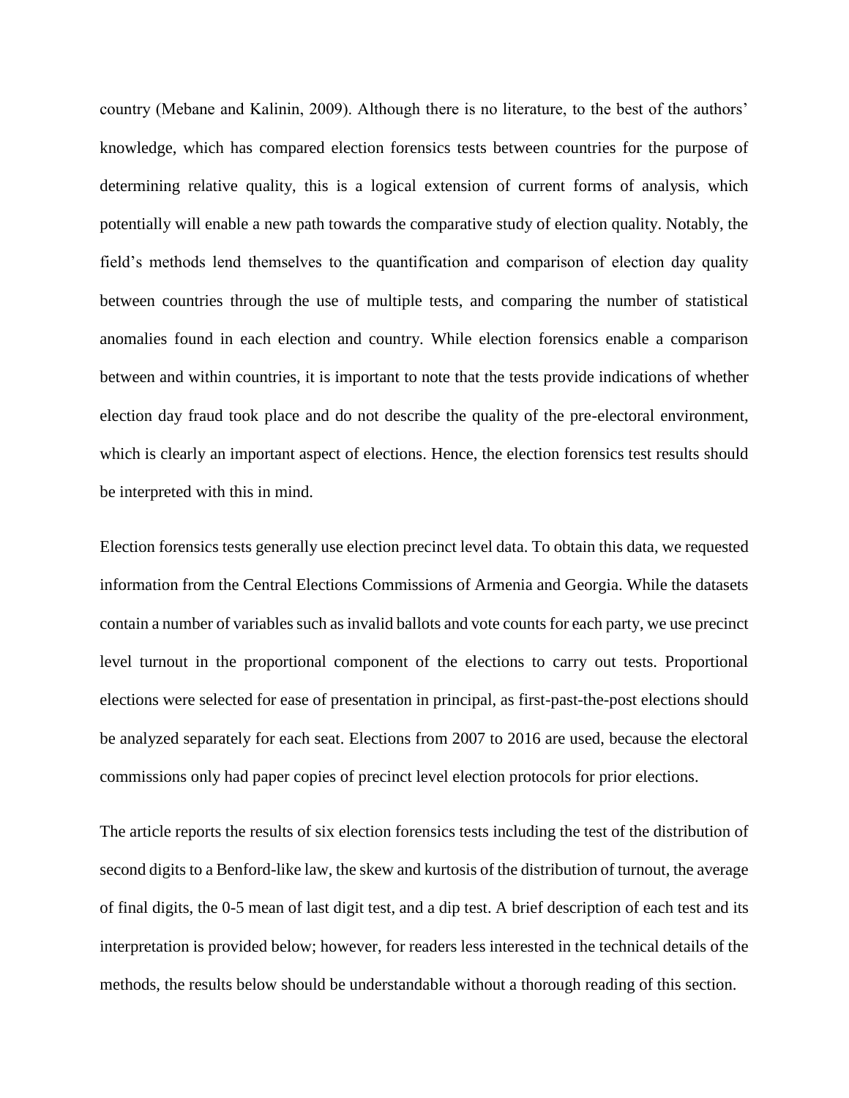country (Mebane and Kalinin, 2009). Although there is no literature, to the best of the authors' knowledge, which has compared election forensics tests between countries for the purpose of determining relative quality, this is a logical extension of current forms of analysis, which potentially will enable a new path towards the comparative study of election quality. Notably, the field's methods lend themselves to the quantification and comparison of election day quality between countries through the use of multiple tests, and comparing the number of statistical anomalies found in each election and country. While election forensics enable a comparison between and within countries, it is important to note that the tests provide indications of whether election day fraud took place and do not describe the quality of the pre-electoral environment, which is clearly an important aspect of elections. Hence, the election forensics test results should be interpreted with this in mind.

Election forensics tests generally use election precinct level data. To obtain this data, we requested information from the Central Elections Commissions of Armenia and Georgia. While the datasets contain a number of variables such as invalid ballots and vote counts for each party, we use precinct level turnout in the proportional component of the elections to carry out tests. Proportional elections were selected for ease of presentation in principal, as first-past-the-post elections should be analyzed separately for each seat. Elections from 2007 to 2016 are used, because the electoral commissions only had paper copies of precinct level election protocols for prior elections.

The article reports the results of six election forensics tests including the test of the distribution of second digits to a Benford-like law, the skew and kurtosis of the distribution of turnout, the average of final digits, the 0-5 mean of last digit test, and a dip test. A brief description of each test and its interpretation is provided below; however, for readers less interested in the technical details of the methods, the results below should be understandable without a thorough reading of this section.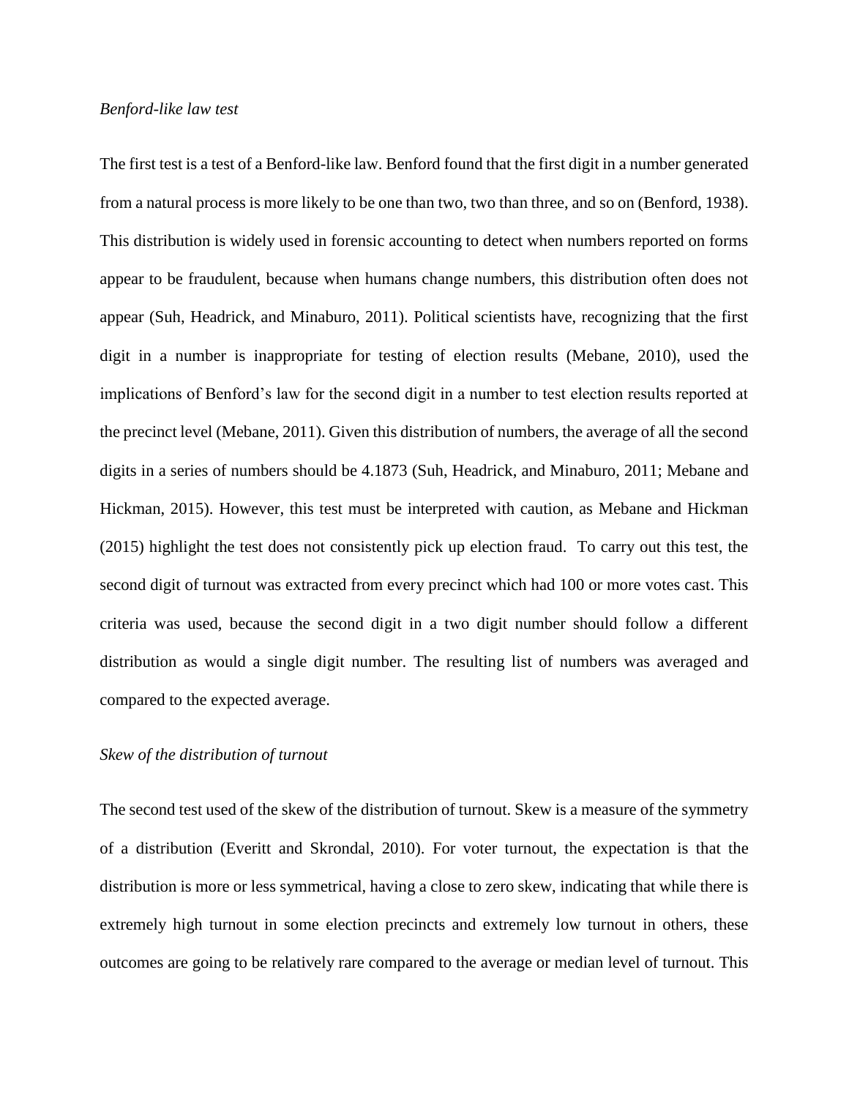#### *Benford-like law test*

The first test is a test of a Benford-like law. Benford found that the first digit in a number generated from a natural process is more likely to be one than two, two than three, and so on (Benford, 1938). This distribution is widely used in forensic accounting to detect when numbers reported on forms appear to be fraudulent, because when humans change numbers, this distribution often does not appear (Suh, Headrick, and Minaburo, 2011). Political scientists have, recognizing that the first digit in a number is inappropriate for testing of election results (Mebane, 2010), used the implications of Benford's law for the second digit in a number to test election results reported at the precinct level (Mebane, 2011). Given this distribution of numbers, the average of all the second digits in a series of numbers should be 4.1873 (Suh, Headrick, and Minaburo, 2011; Mebane and Hickman, 2015). However, this test must be interpreted with caution, as Mebane and Hickman (2015) highlight the test does not consistently pick up election fraud. To carry out this test, the second digit of turnout was extracted from every precinct which had 100 or more votes cast. This criteria was used, because the second digit in a two digit number should follow a different distribution as would a single digit number. The resulting list of numbers was averaged and compared to the expected average.

## *Skew of the distribution of turnout*

The second test used of the skew of the distribution of turnout. Skew is a measure of the symmetry of a distribution (Everitt and Skrondal, 2010). For voter turnout, the expectation is that the distribution is more or less symmetrical, having a close to zero skew, indicating that while there is extremely high turnout in some election precincts and extremely low turnout in others, these outcomes are going to be relatively rare compared to the average or median level of turnout. This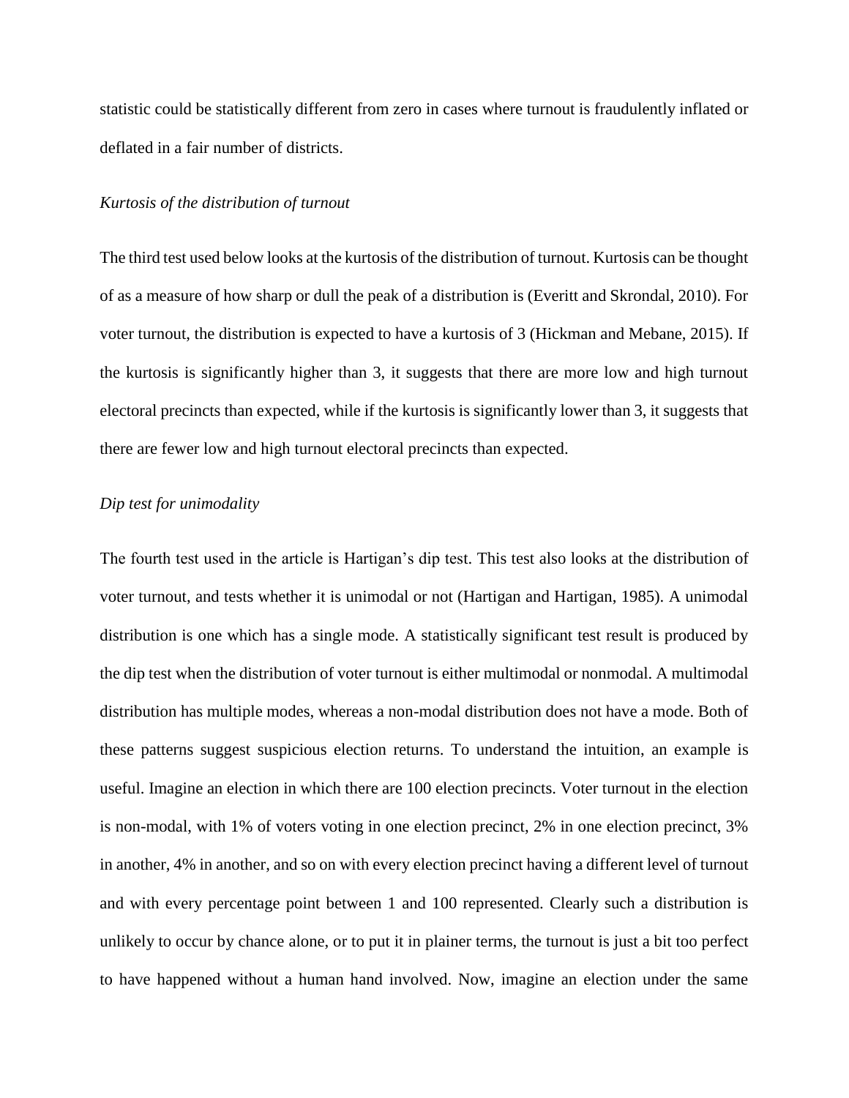statistic could be statistically different from zero in cases where turnout is fraudulently inflated or deflated in a fair number of districts.

## *Kurtosis of the distribution of turnout*

The third test used below looks at the kurtosis of the distribution of turnout. Kurtosis can be thought of as a measure of how sharp or dull the peak of a distribution is (Everitt and Skrondal, 2010). For voter turnout, the distribution is expected to have a kurtosis of 3 (Hickman and Mebane, 2015). If the kurtosis is significantly higher than 3, it suggests that there are more low and high turnout electoral precincts than expected, while if the kurtosis is significantly lower than 3, it suggests that there are fewer low and high turnout electoral precincts than expected.

## *Dip test for unimodality*

The fourth test used in the article is Hartigan's dip test. This test also looks at the distribution of voter turnout, and tests whether it is unimodal or not (Hartigan and Hartigan, 1985). A unimodal distribution is one which has a single mode. A statistically significant test result is produced by the dip test when the distribution of voter turnout is either multimodal or nonmodal. A multimodal distribution has multiple modes, whereas a non-modal distribution does not have a mode. Both of these patterns suggest suspicious election returns. To understand the intuition, an example is useful. Imagine an election in which there are 100 election precincts. Voter turnout in the election is non-modal, with 1% of voters voting in one election precinct, 2% in one election precinct, 3% in another, 4% in another, and so on with every election precinct having a different level of turnout and with every percentage point between 1 and 100 represented. Clearly such a distribution is unlikely to occur by chance alone, or to put it in plainer terms, the turnout is just a bit too perfect to have happened without a human hand involved. Now, imagine an election under the same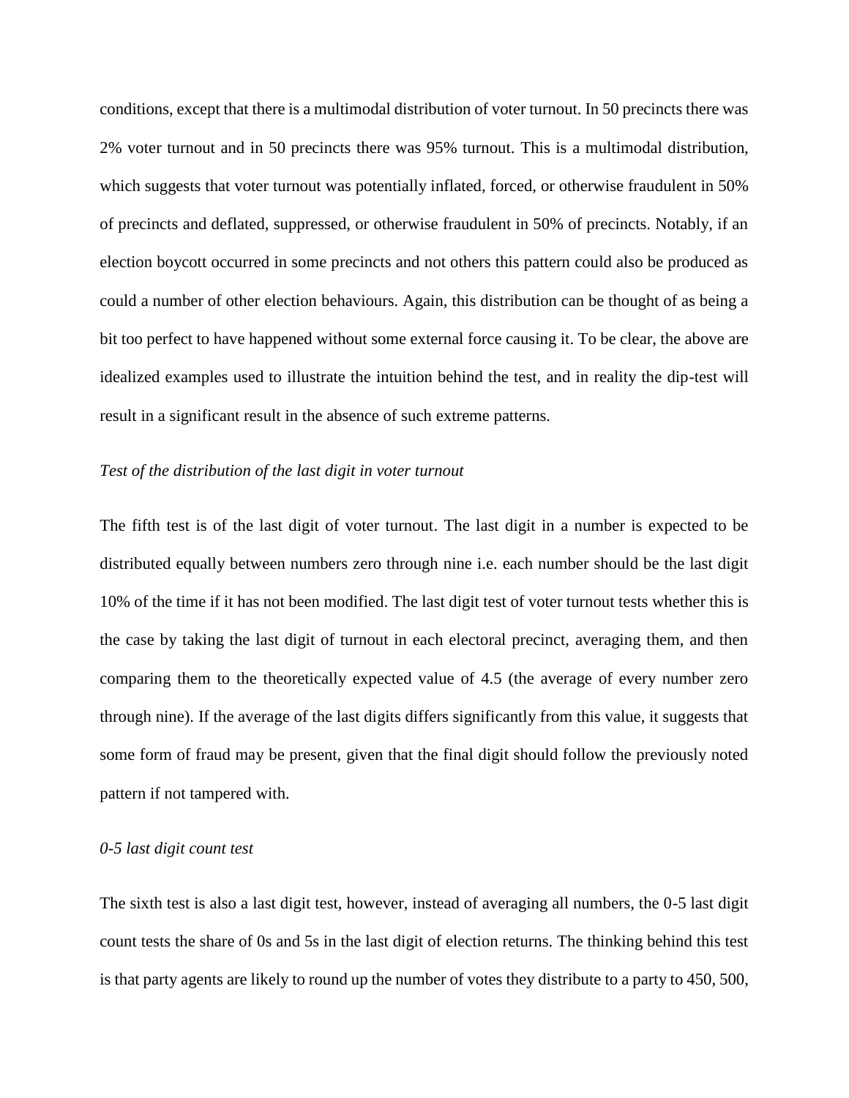conditions, except that there is a multimodal distribution of voter turnout. In 50 precincts there was 2% voter turnout and in 50 precincts there was 95% turnout. This is a multimodal distribution, which suggests that voter turnout was potentially inflated, forced, or otherwise fraudulent in 50% of precincts and deflated, suppressed, or otherwise fraudulent in 50% of precincts. Notably, if an election boycott occurred in some precincts and not others this pattern could also be produced as could a number of other election behaviours. Again, this distribution can be thought of as being a bit too perfect to have happened without some external force causing it. To be clear, the above are idealized examples used to illustrate the intuition behind the test, and in reality the dip-test will result in a significant result in the absence of such extreme patterns.

#### *Test of the distribution of the last digit in voter turnout*

The fifth test is of the last digit of voter turnout. The last digit in a number is expected to be distributed equally between numbers zero through nine i.e. each number should be the last digit 10% of the time if it has not been modified. The last digit test of voter turnout tests whether this is the case by taking the last digit of turnout in each electoral precinct, averaging them, and then comparing them to the theoretically expected value of 4.5 (the average of every number zero through nine). If the average of the last digits differs significantly from this value, it suggests that some form of fraud may be present, given that the final digit should follow the previously noted pattern if not tampered with.

#### *0-5 last digit count test*

The sixth test is also a last digit test, however, instead of averaging all numbers, the 0-5 last digit count tests the share of 0s and 5s in the last digit of election returns. The thinking behind this test is that party agents are likely to round up the number of votes they distribute to a party to 450, 500,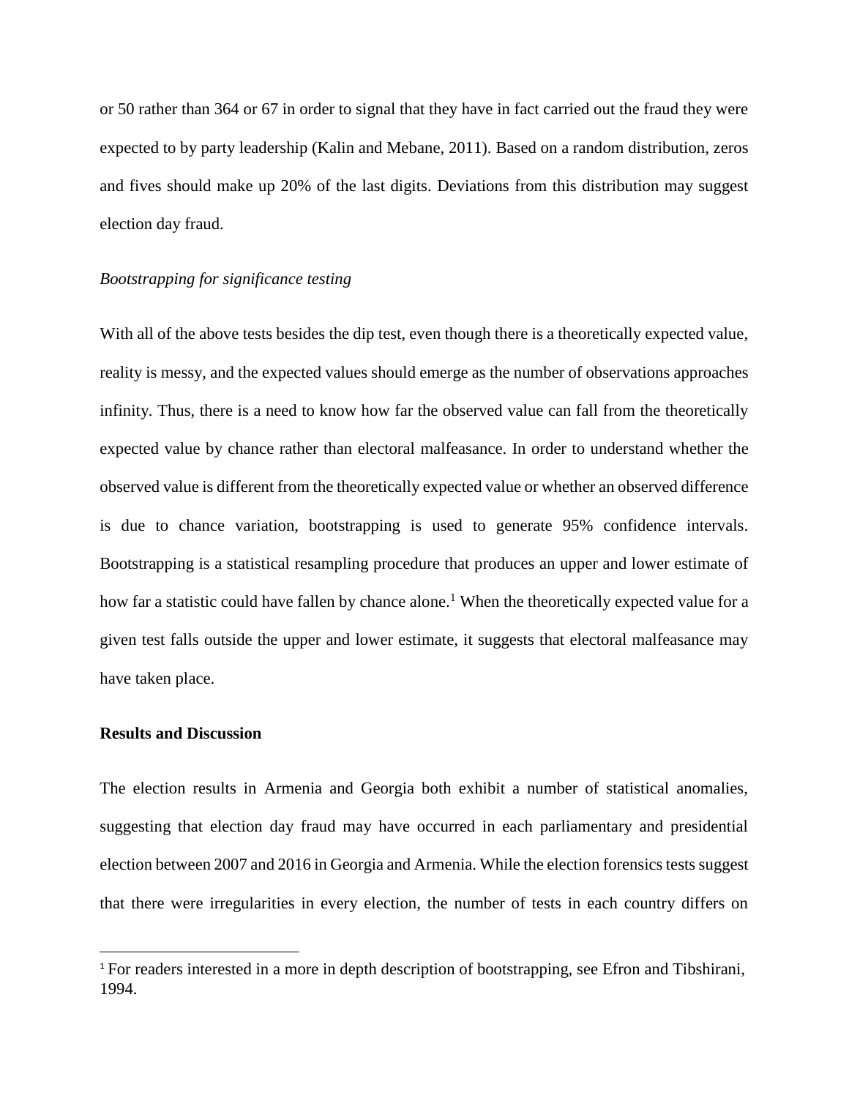or 50 rather than 364 or 67 in order to signal that they have in fact carried out the fraud they were expected to by party leadership (Kalin and Mebane, 2011). Based on a random distribution, zeros and fives should make up 20% of the last digits. Deviations from this distribution may suggest election day fraud.

### *Bootstrapping for significance testing*

With all of the above tests besides the dip test, even though there is a theoretically expected value, reality is messy, and the expected values should emerge as the number of observations approaches infinity. Thus, there is a need to know how far the observed value can fall from the theoretically expected value by chance rather than electoral malfeasance. In order to understand whether the observed value is different from the theoretically expected value or whether an observed difference is due to chance variation, bootstrapping is used to generate 95% confidence intervals. Bootstrapping is a statistical resampling procedure that produces an upper and lower estimate of how far a statistic could have fallen by chance alone.<sup>1</sup> When the theoretically expected value for a given test falls outside the upper and lower estimate, it suggests that electoral malfeasance may have taken place.

### **Results and Discussion**

 $\overline{\phantom{a}}$ 

The election results in Armenia and Georgia both exhibit a number of statistical anomalies, suggesting that election day fraud may have occurred in each parliamentary and presidential election between 2007 and 2016 in Georgia and Armenia. While the election forensics tests suggest that there were irregularities in every election, the number of tests in each country differs on

<sup>1</sup> For readers interested in a more in depth description of bootstrapping, see Efron and Tibshirani, 1994.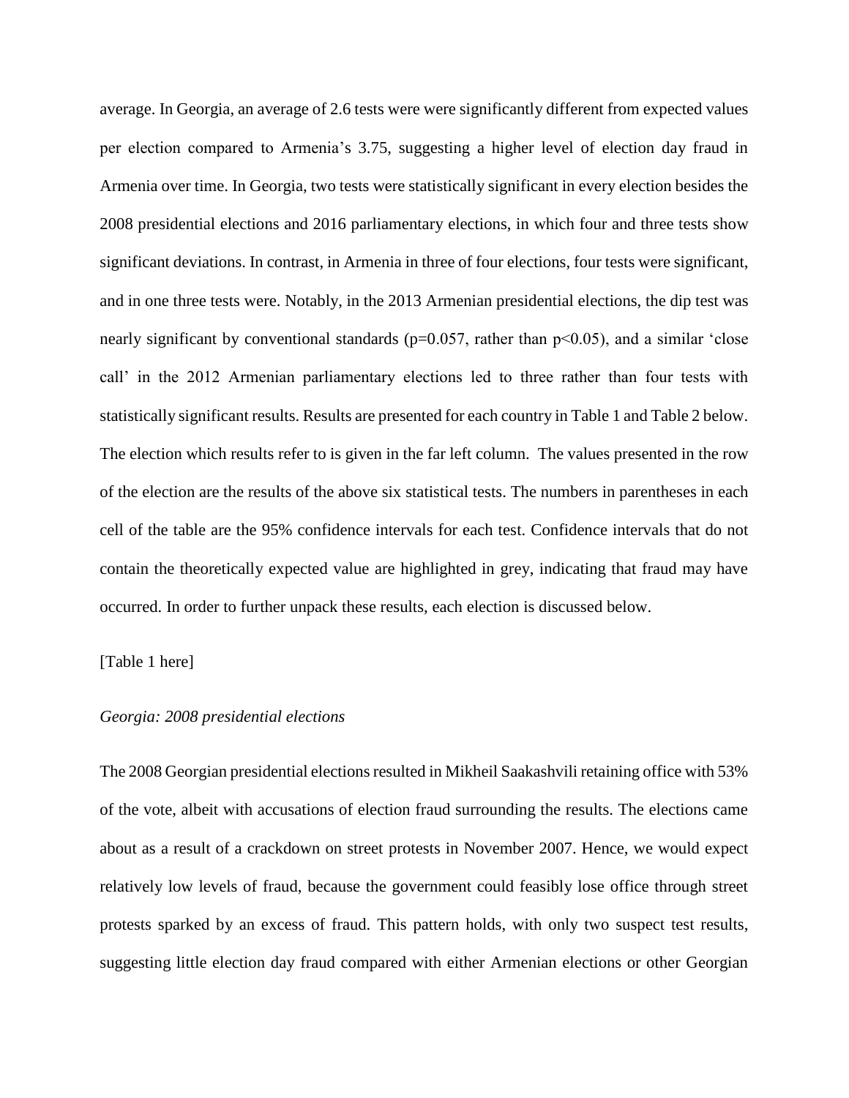average. In Georgia, an average of 2.6 tests were were significantly different from expected values per election compared to Armenia's 3.75, suggesting a higher level of election day fraud in Armenia over time. In Georgia, two tests were statistically significant in every election besides the 2008 presidential elections and 2016 parliamentary elections, in which four and three tests show significant deviations. In contrast, in Armenia in three of four elections, four tests were significant, and in one three tests were. Notably, in the 2013 Armenian presidential elections, the dip test was nearly significant by conventional standards ( $p=0.057$ , rather than  $p<0.05$ ), and a similar 'close call' in the 2012 Armenian parliamentary elections led to three rather than four tests with statistically significant results. Results are presented for each country in Table 1 and Table 2 below. The election which results refer to is given in the far left column. The values presented in the row of the election are the results of the above six statistical tests. The numbers in parentheses in each cell of the table are the 95% confidence intervals for each test. Confidence intervals that do not contain the theoretically expected value are highlighted in grey, indicating that fraud may have occurred. In order to further unpack these results, each election is discussed below.

## [Table 1 here]

## *Georgia: 2008 presidential elections*

The 2008 Georgian presidential elections resulted in Mikheil Saakashvili retaining office with 53% of the vote, albeit with accusations of election fraud surrounding the results. The elections came about as a result of a crackdown on street protests in November 2007. Hence, we would expect relatively low levels of fraud, because the government could feasibly lose office through street protests sparked by an excess of fraud. This pattern holds, with only two suspect test results, suggesting little election day fraud compared with either Armenian elections or other Georgian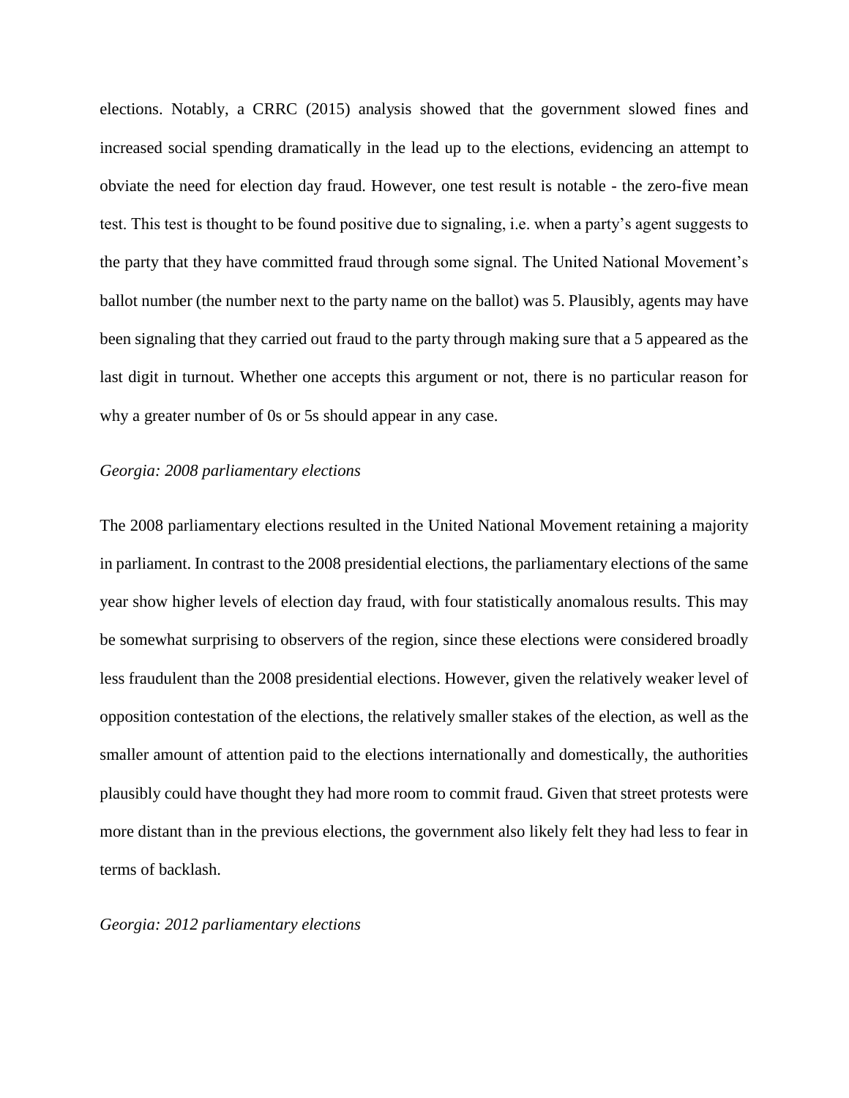elections. Notably, a CRRC (2015) analysis showed that the government slowed fines and increased social spending dramatically in the lead up to the elections, evidencing an attempt to obviate the need for election day fraud. However, one test result is notable - the zero-five mean test. This test is thought to be found positive due to signaling, i.e. when a party's agent suggests to the party that they have committed fraud through some signal. The United National Movement's ballot number (the number next to the party name on the ballot) was 5. Plausibly, agents may have been signaling that they carried out fraud to the party through making sure that a 5 appeared as the last digit in turnout. Whether one accepts this argument or not, there is no particular reason for why a greater number of 0s or 5s should appear in any case.

#### *Georgia: 2008 parliamentary elections*

The 2008 parliamentary elections resulted in the United National Movement retaining a majority in parliament. In contrast to the 2008 presidential elections, the parliamentary elections of the same year show higher levels of election day fraud, with four statistically anomalous results. This may be somewhat surprising to observers of the region, since these elections were considered broadly less fraudulent than the 2008 presidential elections. However, given the relatively weaker level of opposition contestation of the elections, the relatively smaller stakes of the election, as well as the smaller amount of attention paid to the elections internationally and domestically, the authorities plausibly could have thought they had more room to commit fraud. Given that street protests were more distant than in the previous elections, the government also likely felt they had less to fear in terms of backlash.

#### *Georgia: 2012 parliamentary elections*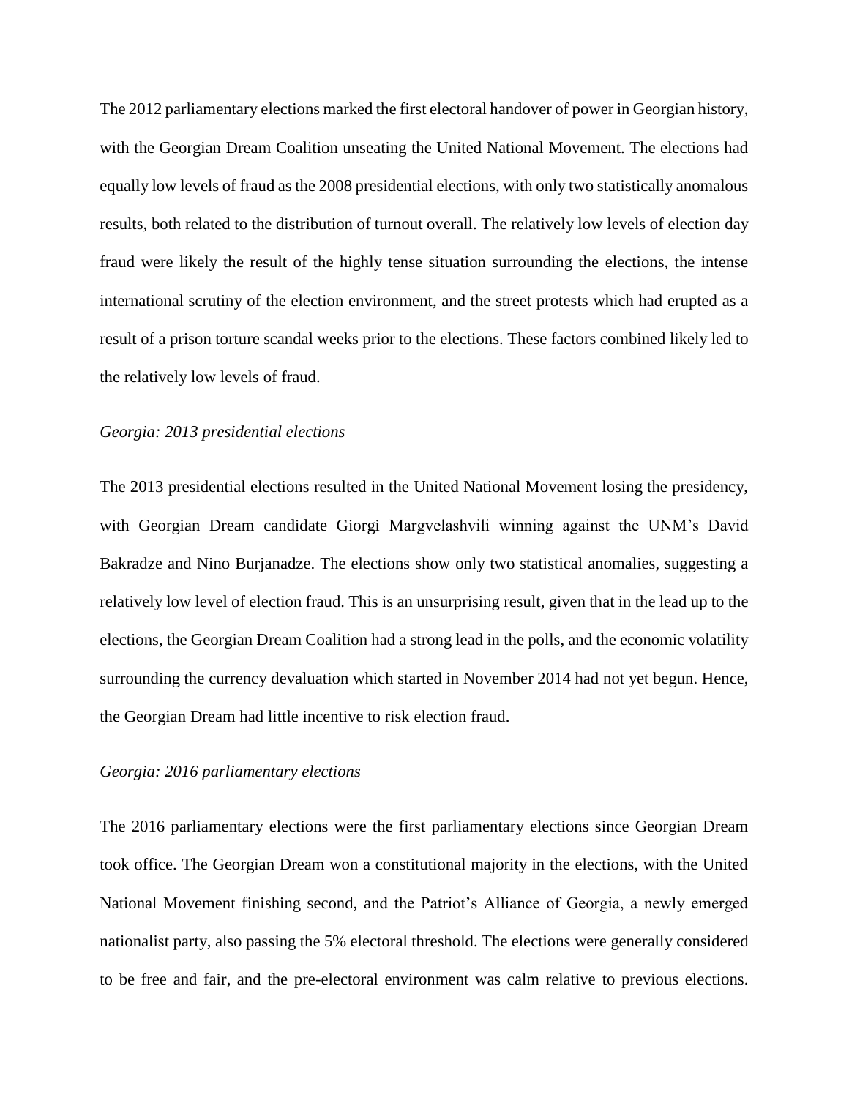The 2012 parliamentary elections marked the first electoral handover of power in Georgian history, with the Georgian Dream Coalition unseating the United National Movement. The elections had equally low levels of fraud as the 2008 presidential elections, with only two statistically anomalous results, both related to the distribution of turnout overall. The relatively low levels of election day fraud were likely the result of the highly tense situation surrounding the elections, the intense international scrutiny of the election environment, and the street protests which had erupted as a result of a prison torture scandal weeks prior to the elections. These factors combined likely led to the relatively low levels of fraud.

#### *Georgia: 2013 presidential elections*

The 2013 presidential elections resulted in the United National Movement losing the presidency, with Georgian Dream candidate Giorgi Margvelashvili winning against the UNM's David Bakradze and Nino Burjanadze. The elections show only two statistical anomalies, suggesting a relatively low level of election fraud. This is an unsurprising result, given that in the lead up to the elections, the Georgian Dream Coalition had a strong lead in the polls, and the economic volatility surrounding the currency devaluation which started in November 2014 had not yet begun. Hence, the Georgian Dream had little incentive to risk election fraud.

## *Georgia: 2016 parliamentary elections*

The 2016 parliamentary elections were the first parliamentary elections since Georgian Dream took office. The Georgian Dream won a constitutional majority in the elections, with the United National Movement finishing second, and the Patriot's Alliance of Georgia, a newly emerged nationalist party, also passing the 5% electoral threshold. The elections were generally considered to be free and fair, and the pre-electoral environment was calm relative to previous elections.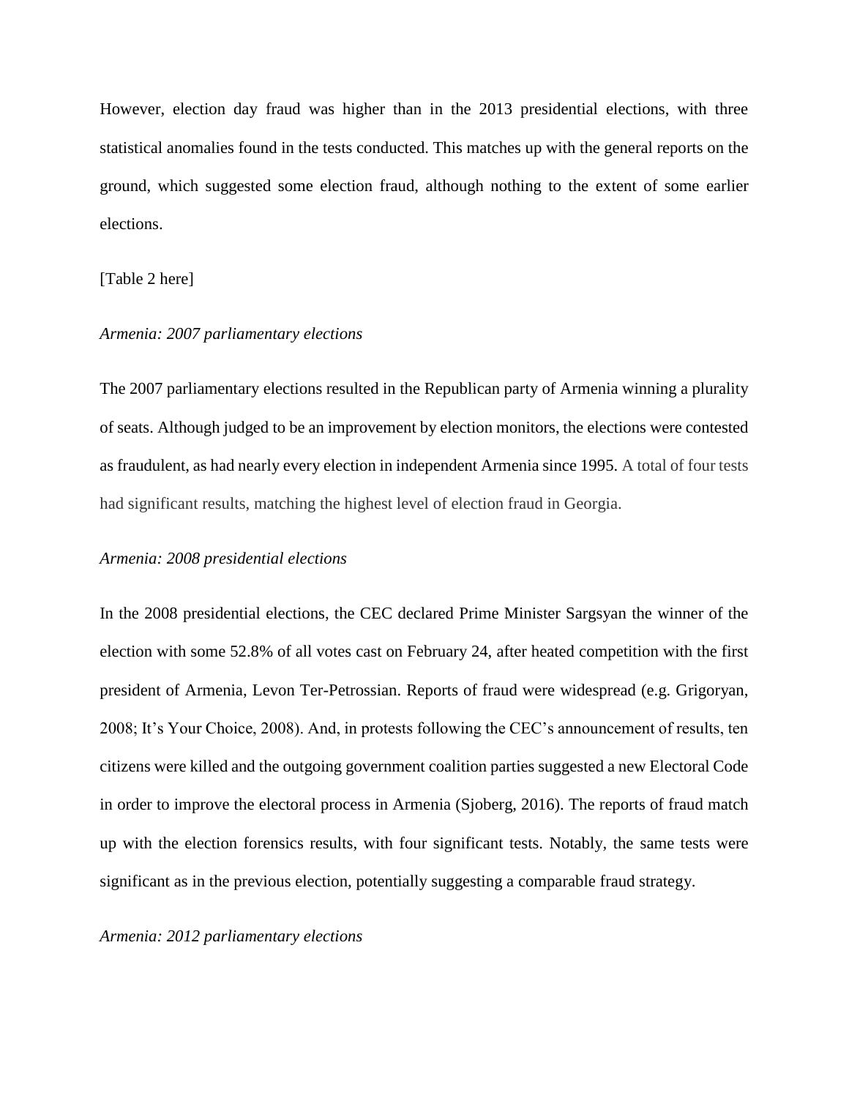However, election day fraud was higher than in the 2013 presidential elections, with three statistical anomalies found in the tests conducted. This matches up with the general reports on the ground, which suggested some election fraud, although nothing to the extent of some earlier elections.

#### [Table 2 here]

## *Armenia: 2007 parliamentary elections*

The 2007 parliamentary elections resulted in the Republican party of Armenia winning a plurality of seats. Although judged to be an improvement by election monitors, the elections were contested as fraudulent, as had nearly every election in independent Armenia since 1995. A total of four tests had significant results, matching the highest level of election fraud in Georgia.

#### *Armenia: 2008 presidential elections*

In the 2008 presidential elections, the CEC declared Prime Minister Sargsyan the winner of the election with some 52.8% of all votes cast on February 24, after heated competition with the first president of Armenia, Levon Ter-Petrossian. Reports of fraud were widespread (e.g. Grigoryan, 2008; It's Your Choice, 2008). And, in protests following the CEC's announcement of results, ten citizens were killed and the outgoing government coalition parties suggested a new Electoral Code in order to improve the electoral process in Armenia (Sjoberg, 2016). The reports of fraud match up with the election forensics results, with four significant tests. Notably, the same tests were significant as in the previous election, potentially suggesting a comparable fraud strategy.

#### *Armenia: 2012 parliamentary elections*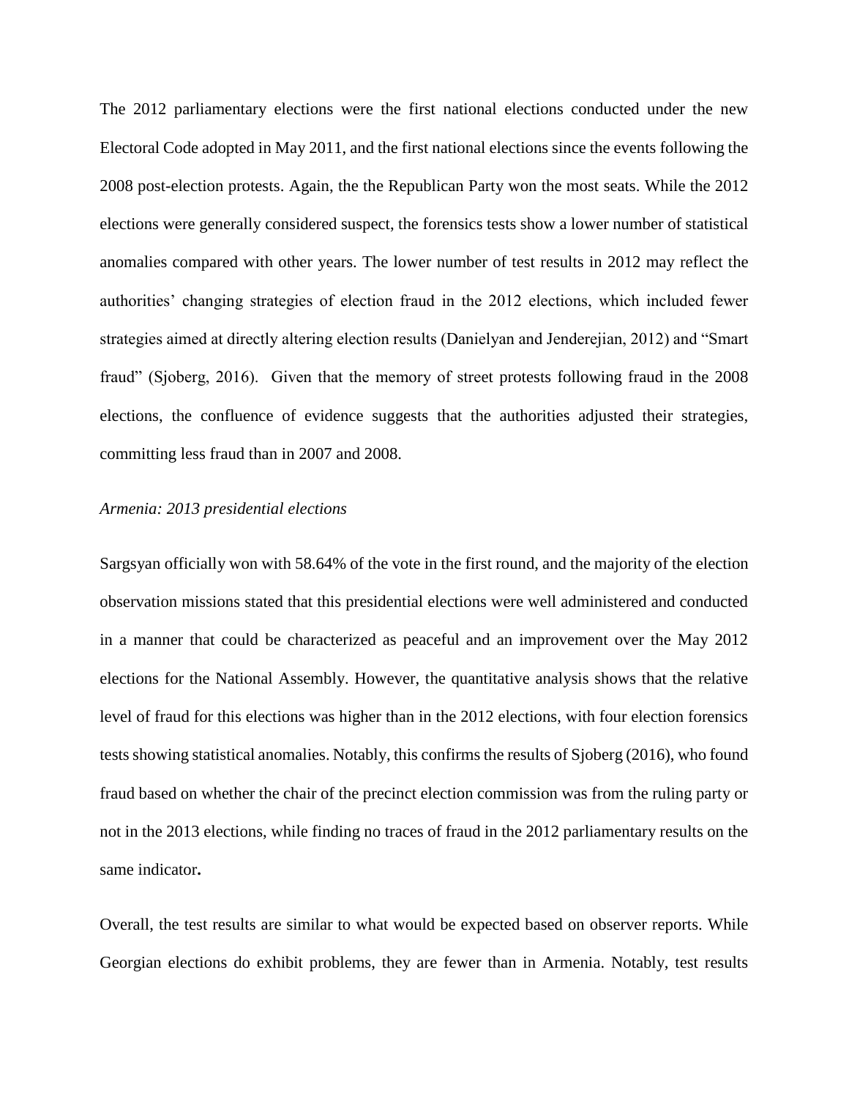The 2012 parliamentary elections were the first national elections conducted under the new Electoral Code adopted in May 2011, and the first national elections since the events following the 2008 post-election protests. Again, the the Republican Party won the most seats. While the 2012 elections were generally considered suspect, the forensics tests show a lower number of statistical anomalies compared with other years. The lower number of test results in 2012 may reflect the authorities' changing strategies of election fraud in the 2012 elections, which included fewer strategies aimed at directly altering election results (Danielyan and Jenderejian, 2012) and "Smart fraud" (Sjoberg, 2016). Given that the memory of street protests following fraud in the 2008 elections, the confluence of evidence suggests that the authorities adjusted their strategies, committing less fraud than in 2007 and 2008.

#### *Armenia: 2013 presidential elections*

Sargsyan officially won with 58.64% of the vote in the first round, and the majority of the election observation missions stated that this presidential elections were well administered and conducted in a manner that could be characterized as peaceful and an improvement over the May 2012 elections for the National Assembly. However, the quantitative analysis shows that the relative level of fraud for this elections was higher than in the 2012 elections, with four election forensics tests showing statistical anomalies. Notably, this confirms the results of Sjoberg (2016), who found fraud based on whether the chair of the precinct election commission was from the ruling party or not in the 2013 elections, while finding no traces of fraud in the 2012 parliamentary results on the same indicator**.** 

Overall, the test results are similar to what would be expected based on observer reports. While Georgian elections do exhibit problems, they are fewer than in Armenia. Notably, test results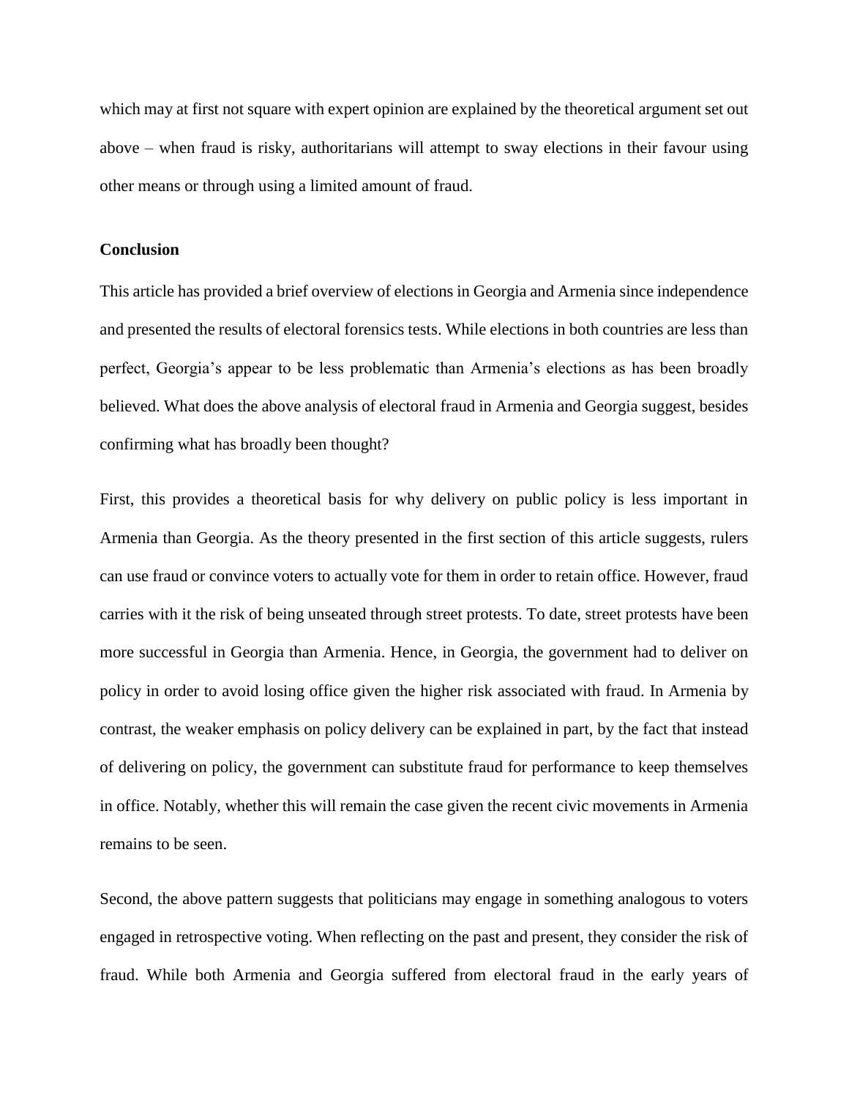which may at first not square with expert opinion are explained by the theoretical argument set out above – when fraud is risky, authoritarians will attempt to sway elections in their favour using other means or through using a limited amount of fraud.

#### **Conclusion**

This article has provided a brief overview of elections in Georgia and Armenia since independence and presented the results of electoral forensics tests. While elections in both countries are less than perfect, Georgia's appear to be less problematic than Armenia's elections as has been broadly believed. What does the above analysis of electoral fraud in Armenia and Georgia suggest, besides confirming what has broadly been thought?

First, this provides a theoretical basis for why delivery on public policy is less important in Armenia than Georgia. As the theory presented in the first section of this article suggests, rulers can use fraud or convince voters to actually vote for them in order to retain office. However, fraud carries with it the risk of being unseated through street protests. To date, street protests have been more successful in Georgia than Armenia. Hence, in Georgia, the government had to deliver on policy in order to avoid losing office given the higher risk associated with fraud. In Armenia by contrast, the weaker emphasis on policy delivery can be explained in part, by the fact that instead of delivering on policy, the government can substitute fraud for performance to keep themselves in office. Notably, whether this will remain the case given the recent civic movements in Armenia remains to be seen.

Second, the above pattern suggests that politicians may engage in something analogous to voters engaged in retrospective voting. When reflecting on the past and present, they consider the risk of fraud. While both Armenia and Georgia suffered from electoral fraud in the early years of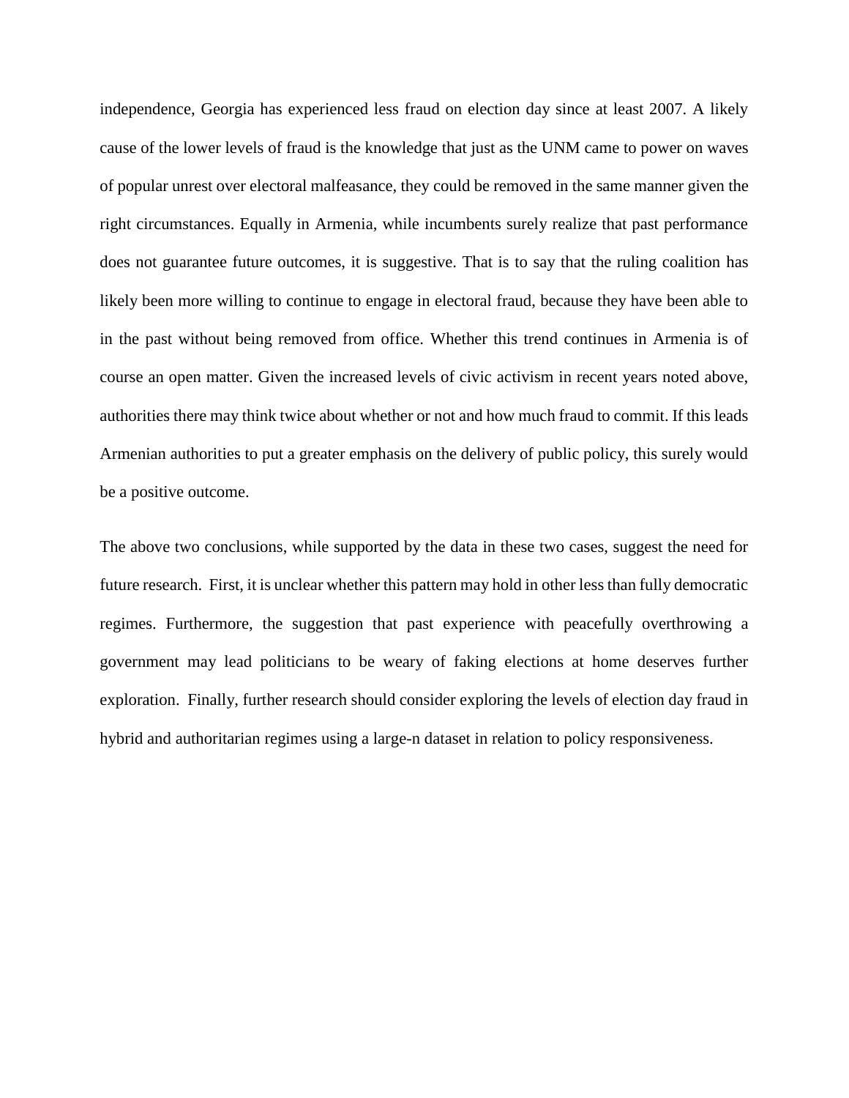independence, Georgia has experienced less fraud on election day since at least 2007. A likely cause of the lower levels of fraud is the knowledge that just as the UNM came to power on waves of popular unrest over electoral malfeasance, they could be removed in the same manner given the right circumstances. Equally in Armenia, while incumbents surely realize that past performance does not guarantee future outcomes, it is suggestive. That is to say that the ruling coalition has likely been more willing to continue to engage in electoral fraud, because they have been able to in the past without being removed from office. Whether this trend continues in Armenia is of course an open matter. Given the increased levels of civic activism in recent years noted above, authorities there may think twice about whether or not and how much fraud to commit. If this leads Armenian authorities to put a greater emphasis on the delivery of public policy, this surely would be a positive outcome.

The above two conclusions, while supported by the data in these two cases, suggest the need for future research. First, it is unclear whether this pattern may hold in other less than fully democratic regimes. Furthermore, the suggestion that past experience with peacefully overthrowing a government may lead politicians to be weary of faking elections at home deserves further exploration. Finally, further research should consider exploring the levels of election day fraud in hybrid and authoritarian regimes using a large-n dataset in relation to policy responsiveness.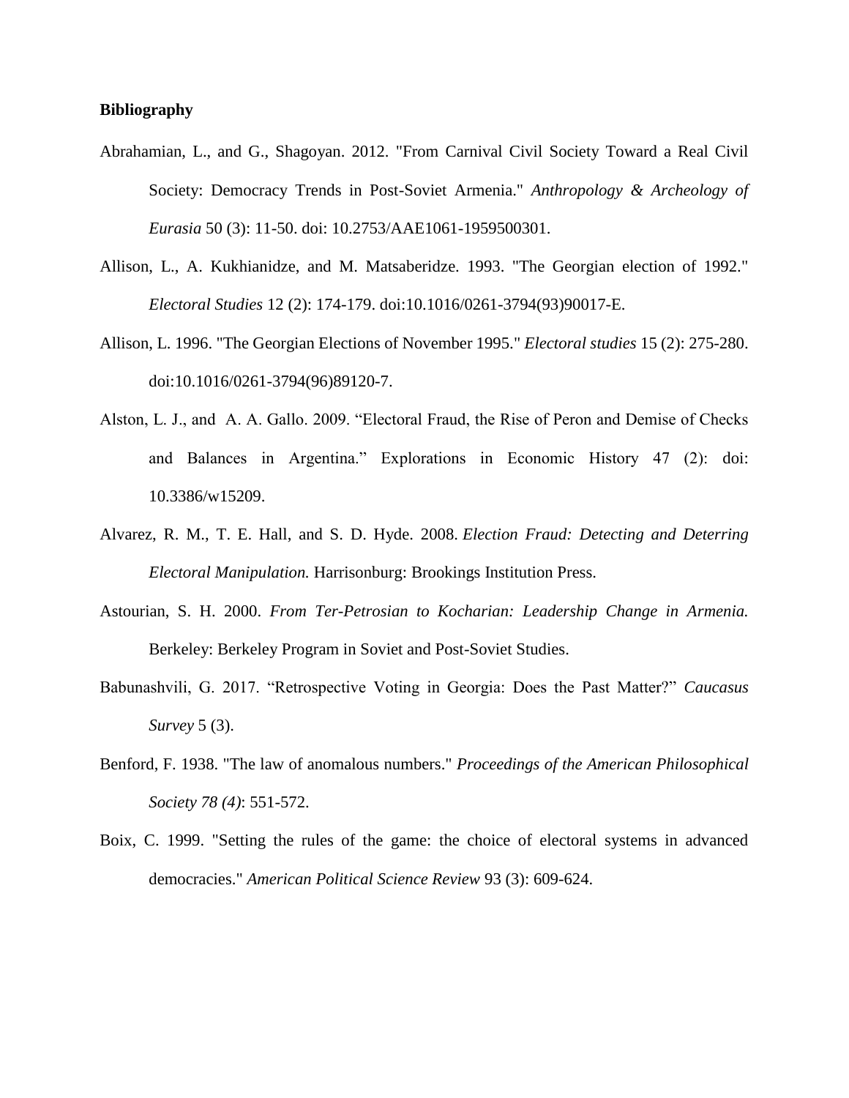## **Bibliography**

- Abrahamian, L., and G., Shagoyan. 2012. "From Carnival Civil Society Toward a Real Civil Society: Democracy Trends in Post-Soviet Armenia." *Anthropology & Archeology of Eurasia* 50 (3): 11-50. doi: 10.2753/AAE1061-1959500301.
- Allison, L., A. Kukhianidze, and M. Matsaberidze. 1993. "The Georgian election of 1992." *Electoral Studies* 12 (2): 174-179. doi:10.1016/0261-3794(93)90017-E.
- Allison, L. 1996. "The Georgian Elections of November 1995." *Electoral studies* 15 (2): 275-280. doi:10.1016/0261-3794(96)89120-7.
- Alston, L. J., and A. A. Gallo. 2009. "Electoral Fraud, the Rise of Peron and Demise of Checks and Balances in Argentina." Explorations in Economic History 47 (2): doi: 10.3386/w15209.
- Alvarez, R. M., T. E. Hall, and S. D. Hyde. 2008. *Election Fraud: Detecting and Deterring Electoral Manipulation.* Harrisonburg: Brookings Institution Press.
- Astourian, S. H. 2000. *From Ter-Petrosian to Kocharian: Leadership Change in Armenia.*  Berkeley: Berkeley Program in Soviet and Post-Soviet Studies.
- Babunashvili, G. 2017. "Retrospective Voting in Georgia: Does the Past Matter?" *Caucasus Survey* 5 (3).
- Benford, F. 1938. "The law of anomalous numbers." *Proceedings of the American Philosophical Society 78 (4)*: 551-572.
- Boix, C. 1999. "Setting the rules of the game: the choice of electoral systems in advanced democracies." *American Political Science Review* 93 (3): 609-624.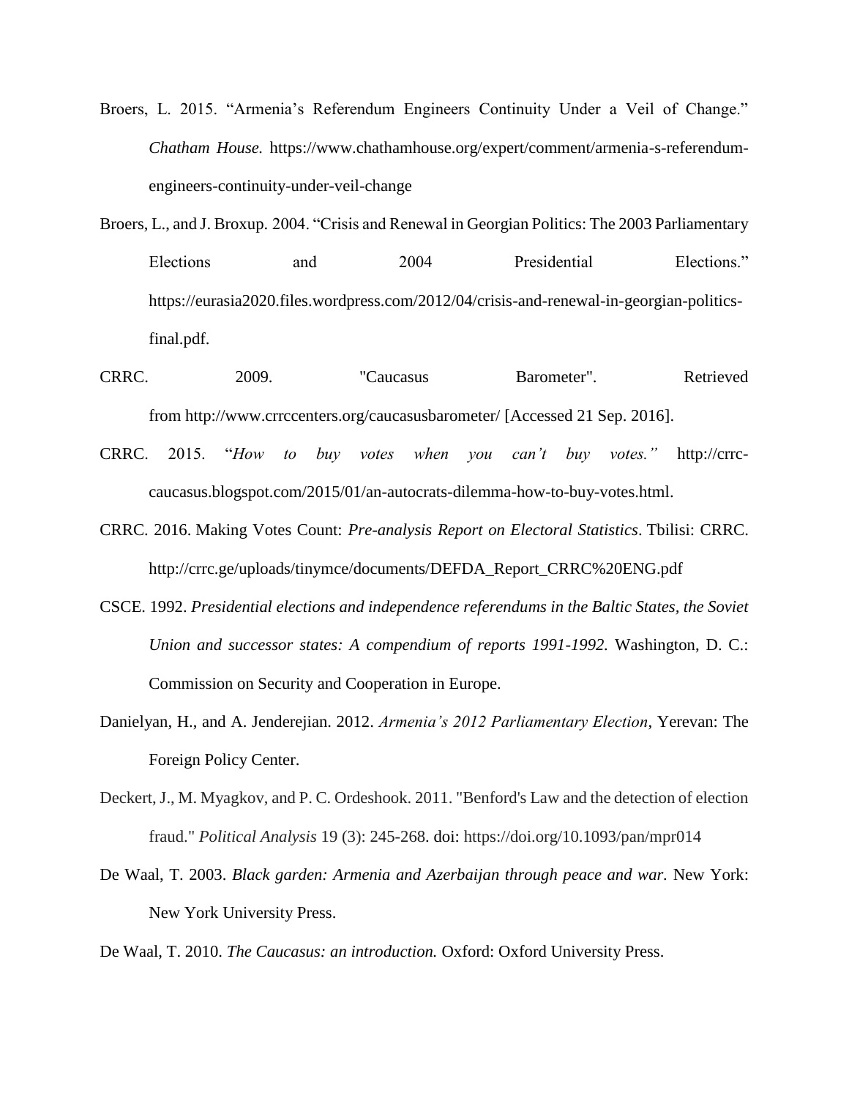- Broers, L. 2015. "Armenia's Referendum Engineers Continuity Under a Veil of Change." *Chatham House.* https://www.chathamhouse.org/expert/comment/armenia-s-referendumengineers-continuity-under-veil-change
- Broers, L., and J. Broxup. 2004. "Crisis and Renewal in Georgian Politics: The 2003 Parliamentary Elections and 2004 Presidential Elections." https://eurasia2020.files.wordpress.com/2012/04/crisis-and-renewal-in-georgian-politicsfinal.pdf.
- CRRC. 2009. "Caucasus Barometer". Retrieved from <http://www.crrccenters.org/caucasusbarometer/> [Accessed 21 Sep. 2016].
- CRRC. 2015. "*How to buy votes when you can't buy votes."* http://crrccaucasus.blogspot.com/2015/01/an-autocrats-dilemma-how-to-buy-votes.html.
- CRRC. 2016. Making Votes Count: *Pre-analysis Report on Electoral Statistics*. Tbilisi: CRRC. http://crrc.ge/uploads/tinymce/documents/DEFDA\_Report\_CRRC%20ENG.pdf
- CSCE. 1992. *Presidential elections and independence referendums in the Baltic States, the Soviet Union and successor states: A compendium of reports 1991-1992.* Washington, D. C.: Commission on Security and Cooperation in Europe.
- Danielyan, H., and A. Jenderejian. 2012. *Armenia's 2012 Parliamentary Election*, Yerevan: The Foreign Policy Center.
- Deckert, J., M. Myagkov, and P. C. Ordeshook. 2011. "Benford's Law and the detection of election fraud." *Political Analysis* 19 (3): 245-268. doi: https://doi.org/10.1093/pan/mpr014
- De Waal, T. 2003. *Black garden: Armenia and Azerbaijan through peace and war.* New York: New York University Press.
- De Waal, T. 2010. *The Caucasus: an introduction.* Oxford: Oxford University Press.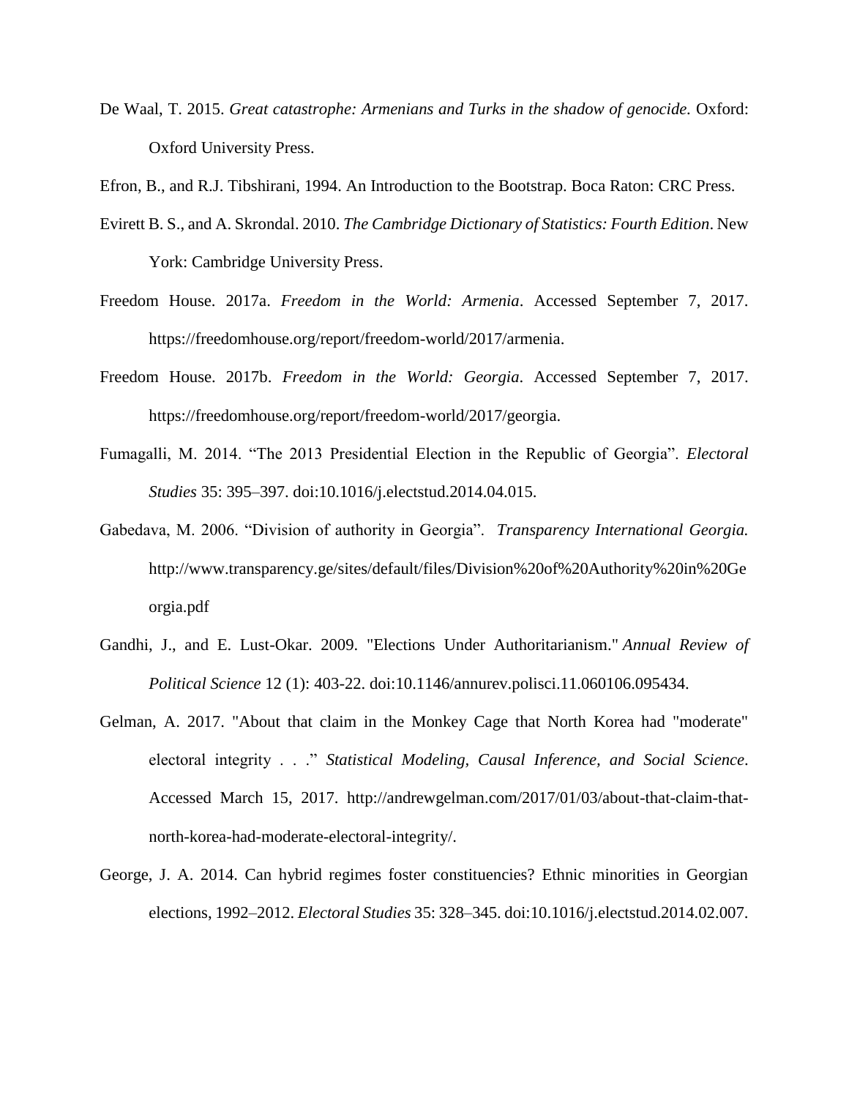- De Waal, T. 2015. *Great catastrophe: Armenians and Turks in the shadow of genocide.* Oxford: Oxford University Press.
- Efron, B., and R.J. Tibshirani, 1994. An Introduction to the Bootstrap. Boca Raton: CRC Press.
- Evirett B. S., and A. Skrondal. 2010. *The Cambridge Dictionary of Statistics: Fourth Edition*. New York: Cambridge University Press.
- Freedom House. 2017a. *Freedom in the World: Armenia*. Accessed September 7, 2017. https://freedomhouse.org/report/freedom-world/2017/armenia.
- Freedom House. 2017b. *Freedom in the World: Georgia*. Accessed September 7, 2017. https://freedomhouse.org/report/freedom-world/2017/georgia.
- Fumagalli, M. 2014. "The 2013 Presidential Election in the Republic of Georgia". *Electoral Studies* 35: 395–397. doi:10.1016/j.electstud.2014.04.015.
- Gabedava, M. 2006. "Division of authority in Georgia". *Transparency International Georgia.*  http://www.transparency.ge/sites/default/files/Division%20of%20Authority%20in%20Ge orgia.pdf
- Gandhi, J., and E. Lust-Okar. 2009. "Elections Under Authoritarianism." *Annual Review of Political Science* 12 (1): 403-22. doi:10.1146/annurev.polisci.11.060106.095434.
- Gelman, A. 2017. "About that claim in the Monkey Cage that North Korea had "moderate" electoral integrity . . ." *Statistical Modeling, Causal Inference, and Social Science*. Accessed March 15, 2017. http://andrewgelman.com/2017/01/03/about-that-claim-thatnorth-korea-had-moderate-electoral-integrity/.
- George, J. A. 2014. Can hybrid regimes foster constituencies? Ethnic minorities in Georgian elections, 1992–2012. *Electoral Studies* 35: 328–345. doi:10.1016/j.electstud.2014.02.007.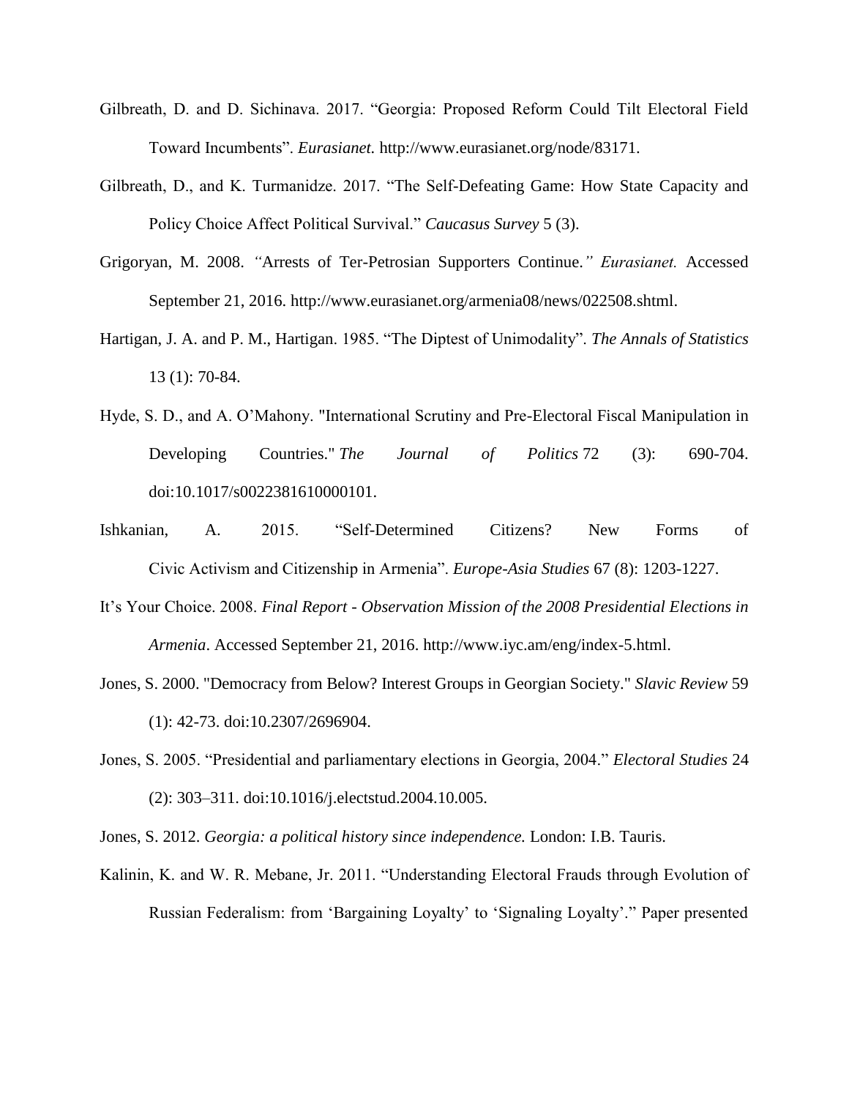- Gilbreath, D. and D. Sichinava. 2017. "Georgia: Proposed Reform Could Tilt Electoral Field Toward Incumbents". *Eurasianet.* http://www.eurasianet.org/node/83171.
- Gilbreath, D., and K. Turmanidze. 2017. "The Self-Defeating Game: How State Capacity and Policy Choice Affect Political Survival." *Caucasus Survey* 5 (3).
- Grigoryan, M. 2008. *"*Arrests of Ter-Petrosian Supporters Continue.*" Eurasianet.* [Accessed](http://www.eurasianet.org/armenia08/news/022508.shtml)  [September 21, 2016. http://www.eurasianet.org/armenia08/news/022508.shtml.](http://www.eurasianet.org/armenia08/news/022508.shtml)
- Hartigan, J. A. and P. M., Hartigan. 1985. "The Diptest of Unimodality". *The Annals of Statistics* 13 (1): 70-84.
- Hyde, S. D., and A. O'Mahony. "International Scrutiny and Pre-Electoral Fiscal Manipulation in Developing Countries." *The Journal of Politics* 72 (3): 690-704. doi:10.1017/s0022381610000101.
- Ishkanian, A. 2015. "Self-Determined Citizens? New Forms of Civic Activism and Citizenship in Armenia". *Europe-Asia Studies* 67 (8): 1203-1227.
- It's Your Choice. 2008. *Final Report - Observation Mission of the 2008 Presidential Elections in Armenia*. Accessed September 21, 2016. [http://www.iyc.am/eng/index-5.html.](http://www.iyc.am/eng/index-5.html)
- Jones, S. 2000. "Democracy from Below? Interest Groups in Georgian Society." *Slavic Review* 59 (1): 42-73. doi:10.2307/2696904.
- Jones, S. 2005. "Presidential and parliamentary elections in Georgia, 2004." *Electoral Studies* 24 (2): 303–311. doi:10.1016/j.electstud.2004.10.005.

Jones, S. 2012. *Georgia: a political history since independence.* London: I.B. Tauris.

Kalinin, K. and W. R. Mebane, Jr. 2011. "Understanding Electoral Frauds through Evolution of Russian Federalism: from 'Bargaining Loyalty' to 'Signaling Loyalty'." Paper presented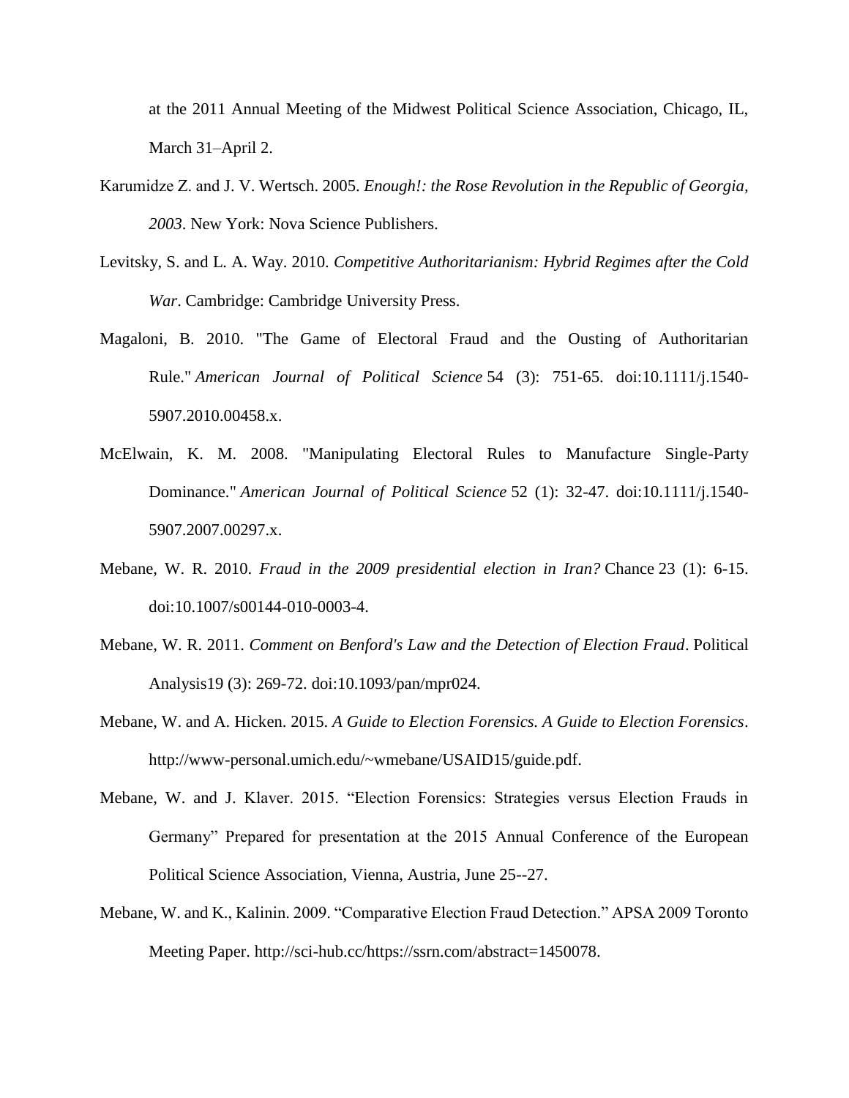at the 2011 Annual Meeting of the Midwest Political Science Association, Chicago, IL, March 31–April 2.

- Karumidze Z. and J. V. Wertsch. 2005. *Enough!: the Rose Revolution in the Republic of Georgia, 2003*. New York: Nova Science Publishers.
- Levitsky, S. and L. A. Way. 2010. *Competitive Authoritarianism: Hybrid Regimes after the Cold War*. Cambridge: Cambridge University Press.
- Magaloni, B. 2010. "The Game of Electoral Fraud and the Ousting of Authoritarian Rule." *American Journal of Political Science* 54 (3): 751-65. doi:10.1111/j.1540- 5907.2010.00458.x.
- McElwain, K. M. 2008. "Manipulating Electoral Rules to Manufacture Single-Party Dominance." *American Journal of Political Science* 52 (1): 32-47. doi:10.1111/j.1540- 5907.2007.00297.x.
- Mebane, W. R. 2010. *Fraud in the 2009 presidential election in Iran?* Chance 23 (1): 6-15. doi:10.1007/s00144-010-0003-4.
- Mebane, W. R. 2011. *Comment on Benford's Law and the Detection of Election Fraud*. Political Analysis19 (3): 269-72. doi:10.1093/pan/mpr024.
- Mebane, W. and A. Hicken. 2015. *A Guide to Election Forensics. A Guide to Election Forensics*. http://www-personal.umich.edu/~wmebane/USAID15/guide.pdf.
- Mebane, W. and J. Klaver. 2015. "Election Forensics: Strategies versus Election Frauds in Germany" Prepared for presentation at the 2015 Annual Conference of the European Political Science Association, Vienna, Austria, June 25--27.
- Mebane, W. and K., Kalinin. 2009. "Comparative Election Fraud Detection." APSA 2009 Toronto Meeting Paper. [http://sci-hub.cc/https://ssrn.com/abstract=1450078.](http://sci-hub.cc/https:/ssrn.com/abstract=1450078)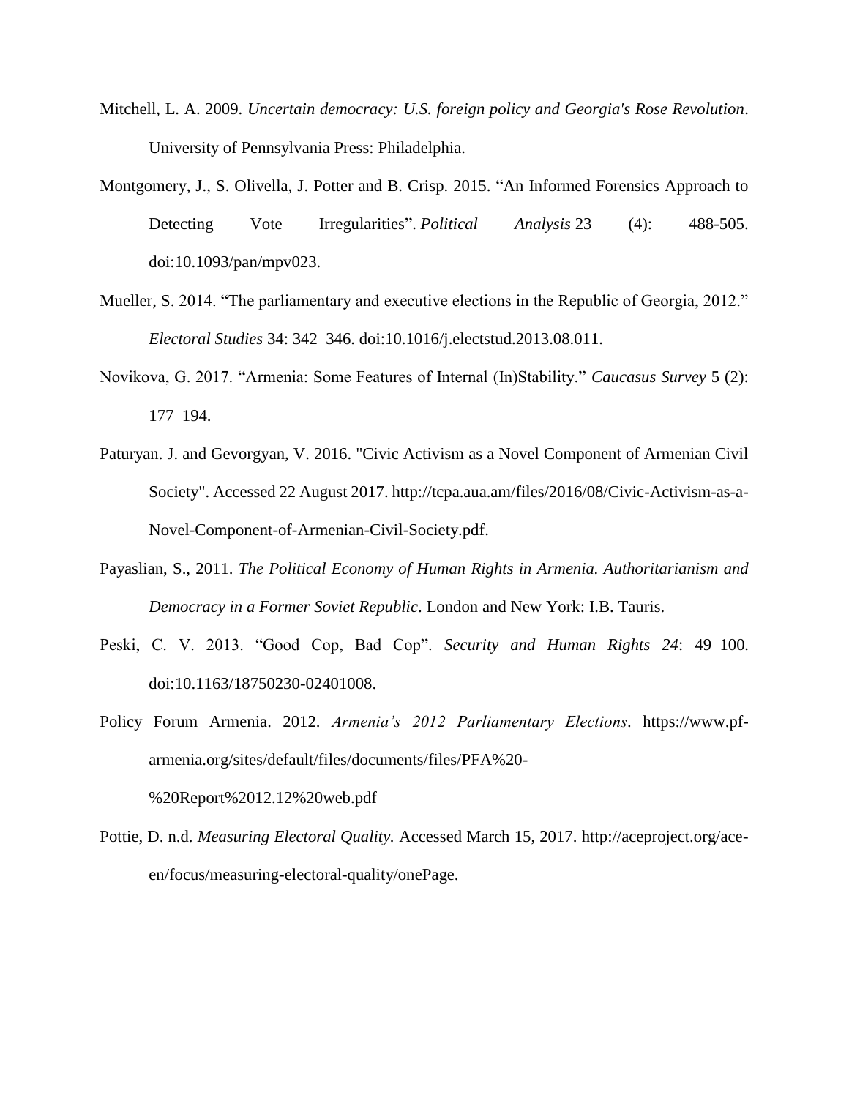- Mitchell, L. A. 2009. *Uncertain democracy: U.S. foreign policy and Georgia's Rose Revolution*. University of Pennsylvania Press: Philadelphia[.](http://www.bibme.org/items/67091232/edit)
- Montgomery, J., S. Olivella, J. Potter and B. Crisp. 2015. "An Informed Forensics Approach to Detecting Vote Irregularities". *Political Analysis* 23 (4): 488-505. doi:10.1093/pan/mpv023.
- Mueller, S. 2014. "The parliamentary and executive elections in the Republic of Georgia, 2012." *Electoral Studies* 34: 342–346. doi:10.1016/j.electstud.2013.08.011.
- Novikova, G. 2017. "Armenia: Some Features of Internal (In)Stability." *Caucasus Survey* 5 (2): 177–194.
- Paturyan. J. and Gevorgyan, V. 2016. "Civic Activism as a Novel Component of Armenian Civil Society". Accessed 22 August 2017. http://tcpa.aua.am/files/2016/08/Civic-Activism-as-a-Novel-Component-of-Armenian-Civil-Society.pdf.
- Payaslian, S., 2011. *The Political Economy of Human Rights in Armenia. Authoritarianism and Democracy in a Former Soviet Republic*. London and New York: I.B. Tauris.
- Peski, C. V. 2013. "Good Cop, Bad Cop". *Security and Human Rights 24*: 49–100. doi:10.1163/18750230-02401008.
- Policy Forum Armenia. 2012. *Armenia's 2012 Parliamentary Elections*. https://www.pfarmenia.org/sites/default/files/documents/files/PFA%20- %20Report%2012.12%20web.pdf
- Pottie, D. n.d. *Measuring Electoral Quality.* Accessed March 15, 2017. http://aceproject.org/aceen/focus/measuring-electoral-quality/onePage.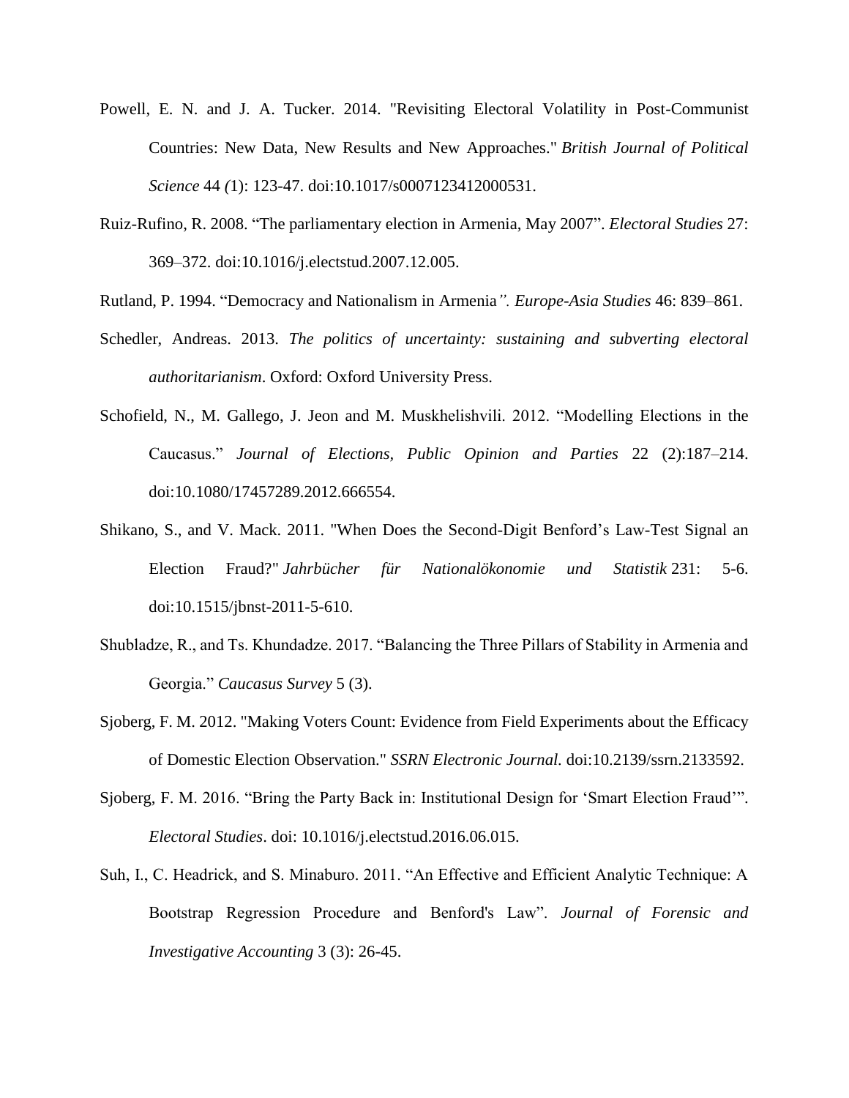- Powell, E. N. and J. A. Tucker. 2014. "Revisiting Electoral Volatility in Post-Communist Countries: New Data, New Results and New Approaches." *British Journal of Political Science* 44 *(*1): 123-47. doi:10.1017/s0007123412000531.
- Ruiz-Rufino, R. 2008. "The parliamentary election in Armenia, May 2007". *Electoral Studies* 27: 369–372. doi:10.1016/j.electstud.2007.12.005.
- Rutland, P. 1994. "Democracy and Nationalism in Armenia*". Europe-Asia Studies* 46: 839–861.
- Schedler, Andreas. 2013. *The politics of uncertainty: sustaining and subverting electoral authoritarianism*. Oxford: Oxford University Press.
- Schofield, N., M. Gallego, J. Jeon and M. Muskhelishvili. 2012. "Modelling Elections in the Caucasus." *Journal of Elections, Public Opinion and Parties* 22 (2):187–214. doi:10.1080/17457289.2012.666554.
- Shikano, S., and V. Mack. 2011. "When Does the Second-Digit Benford's Law-Test Signal an Election Fraud?" *Jahrbücher für Nationalökonomie und Statistik* 231: 5-6. doi:10.1515/jbnst-2011-5-610.
- Shubladze, R., and Ts. Khundadze. 2017. "Balancing the Three Pillars of Stability in Armenia and Georgia." *Caucasus Survey* 5 (3).
- Sjoberg, F. M. 2012. "Making Voters Count: Evidence from Field Experiments about the Efficacy of Domestic Election Observation." *SSRN Electronic Journal.* doi:10.2139/ssrn.2133592.
- Sjoberg, F. M. 2016. "Bring the Party Back in: Institutional Design for 'Smart Election Fraud'". *Electoral Studies*. doi: 10.1016/j.electstud.2016.06.015.
- Suh, I., C. Headrick, and S. Minaburo. 2011. "An Effective and Efficient Analytic Technique: A Bootstrap Regression Procedure and Benford's Law". *Journal of Forensic and Investigative Accounting* 3 (3): 26-45.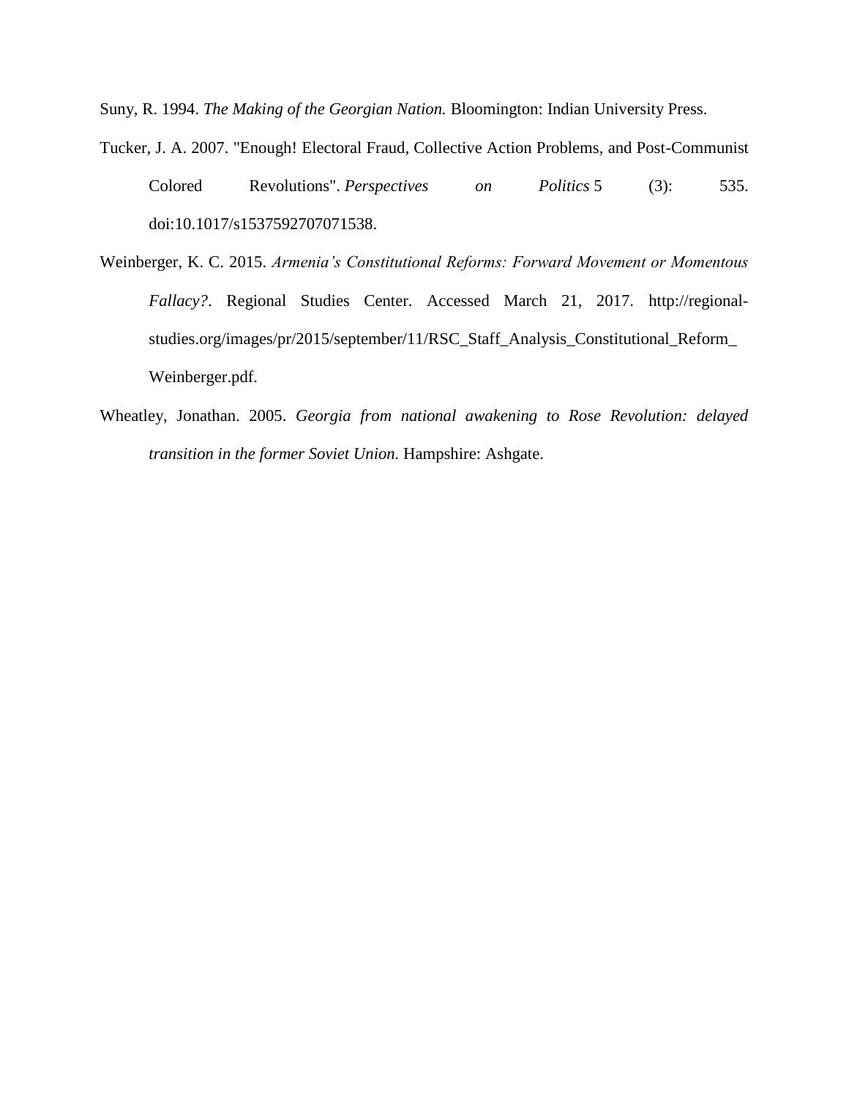Suny, R. 1994. *The Making of the Georgian Nation.* Bloomington: Indian University Press.

- Tucker, J. A. 2007. "Enough! Electoral Fraud, Collective Action Problems, and Post-Communist Colored Revolutions". *Perspectives on Politics* 5 (3): 535. doi:10.1017/s1537592707071538.
- Weinberger, K. C. 2015. *Armenia's Constitutional Reforms: Forward Movement or Momentous Fallacy?*. Regional Studies Center. Accessed March 21, 2017. [http://regional](http://regional-studies.org/images/pr/2015/september/11/RSC_Staff_Analysis_Constitutional_Reform_Weinberger.pdf)[studies.org/images/pr/2015/september/11/RSC\\_Staff\\_Analysis\\_Constitutional\\_Reform\\_](http://regional-studies.org/images/pr/2015/september/11/RSC_Staff_Analysis_Constitutional_Reform_Weinberger.pdf) [Weinberger.pdf.](http://regional-studies.org/images/pr/2015/september/11/RSC_Staff_Analysis_Constitutional_Reform_Weinberger.pdf)
- Wheatley, Jonathan. 2005. *Georgia from national awakening to Rose Revolution: delayed transition in the former Soviet Union.* Hampshire: Ashgate.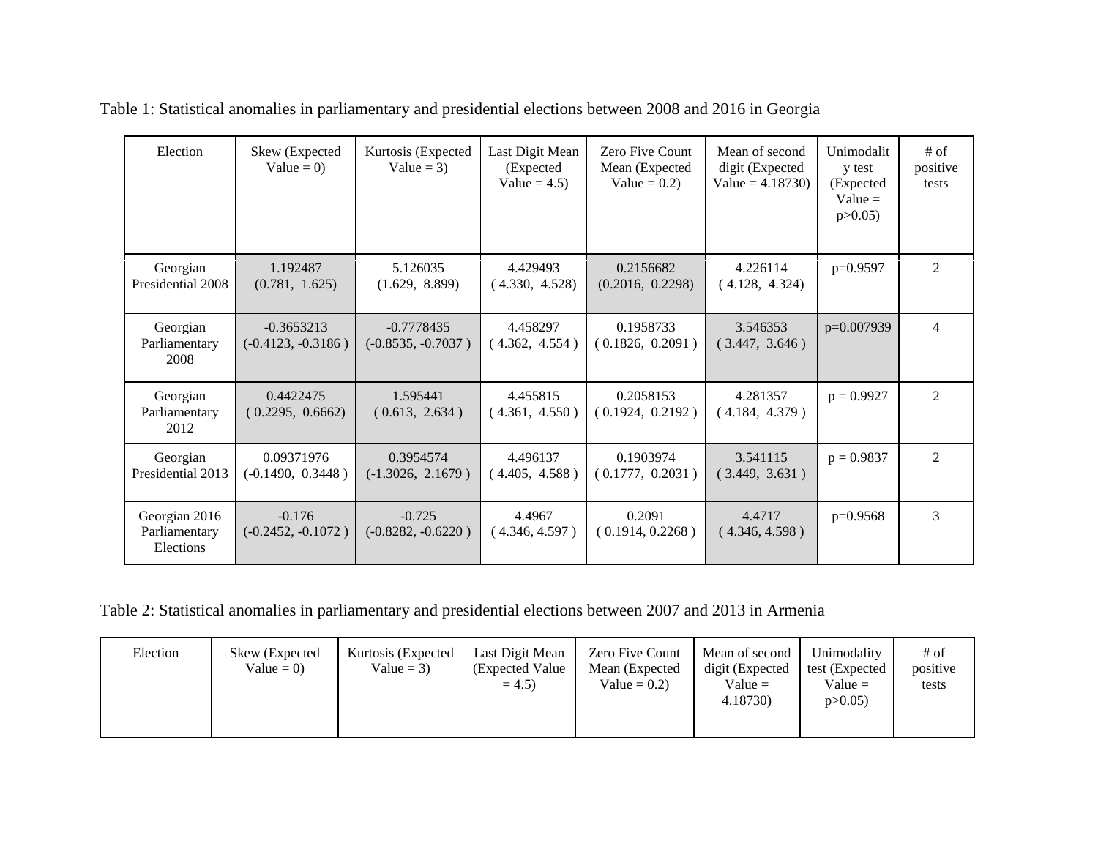Table 1: Statistical anomalies in parliamentary and presidential elections between 2008 and 2016 in Georgia

| Election                                    | Skew (Expected<br>Value = $0$ )      | Kurtosis (Expected<br>Value = $3)$   | Last Digit Mean<br>(Expected<br>Value = $4.5$ ) | <b>Zero Five Count</b><br>Mean (Expected<br>Value = $0.2$ ) | Mean of second<br>digit (Expected<br>Value = $4.18730$ ) | Unimodalit<br>y test<br>(Expected<br>Value $=$<br>p > 0.05 | $#$ of<br>positive<br>tests |
|---------------------------------------------|--------------------------------------|--------------------------------------|-------------------------------------------------|-------------------------------------------------------------|----------------------------------------------------------|------------------------------------------------------------|-----------------------------|
| Georgian<br>Presidential 2008               | 1.192487<br>(0.781, 1.625)           | 5.126035<br>(1.629, 8.899)           | 4.429493<br>(4.330, 4.528)                      | 0.2156682<br>(0.2016, 0.2298)                               | 4.226114<br>(4.128, 4.324)                               | p=0.9597                                                   | $\mathfrak{D}$              |
| Georgian<br>Parliamentary<br>2008           | $-0.3653213$<br>$(-0.4123, -0.3186)$ | $-0.7778435$<br>$(-0.8535, -0.7037)$ | 4.458297<br>(4.362, 4.554)                      | 0.1958733<br>(0.1826, 0.2091)                               | 3.546353<br>(3.447, 3.646)                               | p=0.007939                                                 | 4                           |
| Georgian<br>Parliamentary<br>2012           | 0.4422475<br>(0.2295, 0.6662)        | 1.595441<br>(0.613, 2.634)           | 4.455815<br>(4.361, 4.550)                      | 0.2058153<br>(0.1924, 0.2192)                               | 4.281357<br>(4.184, 4.379)                               | $p = 0.9927$                                               | $\mathfrak{D}$              |
| Georgian<br>Presidential 2013               | 0.09371976<br>$(-0.1490, 0.3448)$    | 0.3954574<br>$(-1.3026, 2.1679)$     | 4.496137<br>(4.405, 4.588)                      | 0.1903974<br>(0.1777, 0.2031)                               | 3.541115<br>(3.449, 3.631)                               | $p = 0.9837$                                               | $\mathfrak{D}$              |
| Georgian 2016<br>Parliamentary<br>Elections | $-0.176$<br>$(-0.2452, -0.1072)$     | $-0.725$<br>$(-0.8282, -0.6220)$     | 4.4967<br>( 4.346, 4.597 )                      | 0.2091<br>(0.1914, 0.2268)                                  | 4.4717<br>(4.346, 4.598)                                 | $p=0.9568$                                                 | 3                           |

Table 2: Statistical anomalies in parliamentary and presidential elections between 2007 and 2013 in Armenia

| Election | Skew (Expected)<br>$Value = 0$ | Kurtosis (Expected)<br>Value = $3)$ | Last Digit Mean<br>(Expected Value)<br>$= 4.5$ | <b>Zero Five Count</b><br>Mean (Expected)<br>Value = $0.2$ ) | Mean of second<br>digit (Expected<br>$Value =$<br>4.18730) | Unimodality<br>test (Expected)<br>$Value =$<br>p > 0.05 | # of<br>positive<br>tests |
|----------|--------------------------------|-------------------------------------|------------------------------------------------|--------------------------------------------------------------|------------------------------------------------------------|---------------------------------------------------------|---------------------------|
|----------|--------------------------------|-------------------------------------|------------------------------------------------|--------------------------------------------------------------|------------------------------------------------------------|---------------------------------------------------------|---------------------------|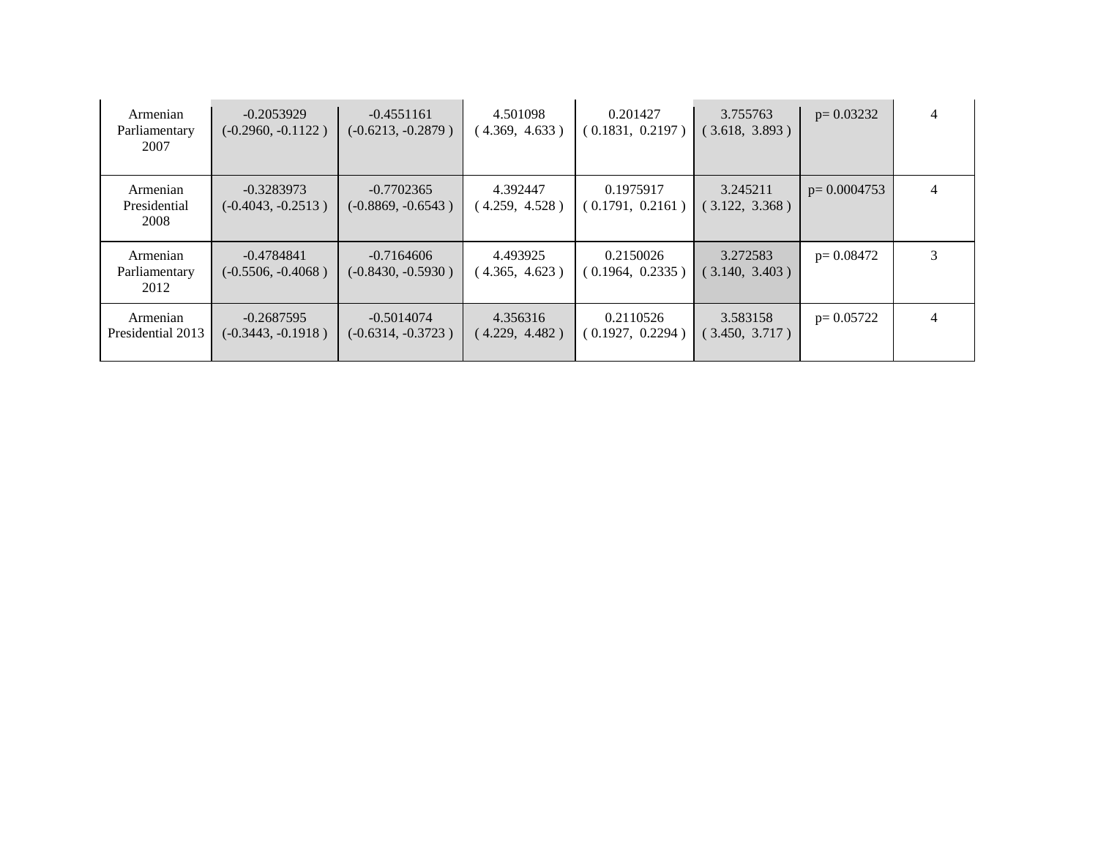| Armenian<br>Parliamentary<br>2007 | $-0.2053929$<br>$(-0.2960, -0.1122)$ | $-0.4551161$<br>$(-0.6213, -0.2879)$ | 4.501098<br>(4.369, 4.633) | 0.201427<br>(0.1831, 0.2197)  | 3.755763<br>(3.618, 3.893) | $p=0.03232$     | 4 |
|-----------------------------------|--------------------------------------|--------------------------------------|----------------------------|-------------------------------|----------------------------|-----------------|---|
| Armenian<br>Presidential<br>2008  | $-0.3283973$<br>$(-0.4043, -0.2513)$ | $-0.7702365$<br>$(-0.8869, -0.6543)$ | 4.392447<br>(4.259, 4.528) | 0.1975917<br>(0.1791, 0.2161) | 3.245211<br>(3.122, 3.368) | $p = 0.0004753$ |   |
| Armenian<br>Parliamentary<br>2012 | $-0.4784841$<br>$(-0.5506, -0.4068)$ | $-0.7164606$<br>$(-0.8430, -0.5930)$ | 4.493925<br>(4.365, 4.623) | 0.2150026<br>(0.1964, 0.2335) | 3.272583<br>(3.140, 3.403) | $p=0.08472$     |   |
| Armenian<br>Presidential 2013     | $-0.2687595$<br>$(-0.3443, -0.1918)$ | $-0.5014074$<br>$(-0.6314, -0.3723)$ | 4.356316<br>(4.229, 4.482) | 0.2110526<br>(0.1927, 0.2294) | 3.583158<br>(3.450, 3.717) | $p=0.05722$     | 4 |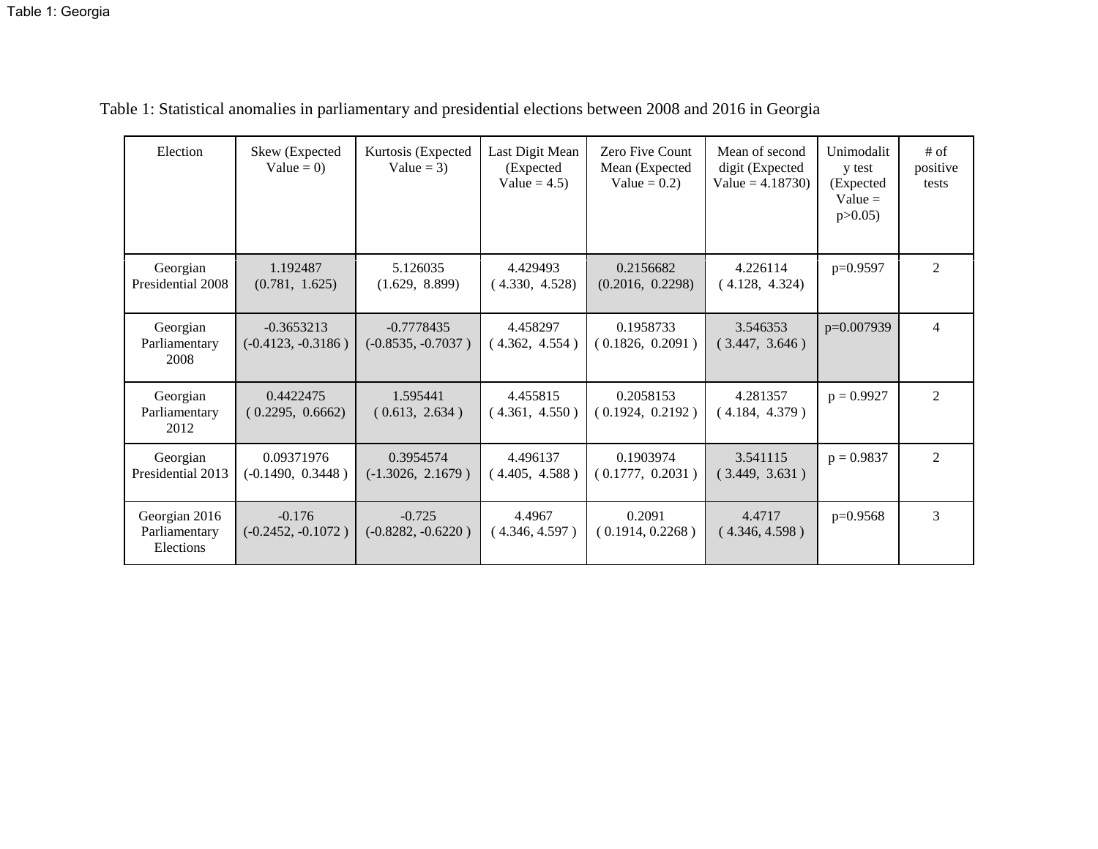| Election                                    | Skew (Expected<br>Value = $0$ )      | Kurtosis (Expected<br>Value = $3)$   | Last Digit Mean<br>(Expected<br>Value = $4.5$ ) | <b>Zero Five Count</b><br>Mean (Expected<br>Value = $0.2$ ) | Mean of second<br>digit (Expected<br>Value = $4.18730$ ) | Unimodalit<br>y test<br>(Expected<br>Value $=$<br>p > 0.05 | $#$ of<br>positive<br>tests |
|---------------------------------------------|--------------------------------------|--------------------------------------|-------------------------------------------------|-------------------------------------------------------------|----------------------------------------------------------|------------------------------------------------------------|-----------------------------|
| Georgian<br>Presidential 2008               | 1.192487<br>(0.781, 1.625)           | 5.126035<br>(1.629, 8.899)           | 4.429493<br>(4.330, 4.528)                      | 0.2156682<br>(0.2016, 0.2298)                               | 4.226114<br>(4.128, 4.324)                               | p=0.9597                                                   | $\mathcal{D}_{\mathcal{L}}$ |
| Georgian<br>Parliamentary<br>2008           | $-0.3653213$<br>$(-0.4123, -0.3186)$ | $-0.7778435$<br>$(-0.8535, -0.7037)$ | 4.458297<br>(4.362, 4.554)                      | 0.1958733<br>(0.1826, 0.2091)                               | 3.546353<br>(3.447, 3.646)                               | p=0.007939                                                 | $\overline{4}$              |
| Georgian<br>Parliamentary<br>2012           | 0.4422475<br>(0.2295, 0.6662)        | 1.595441<br>(0.613, 2.634)           | 4.455815<br>(4.361, 4.550)                      | 0.2058153<br>(0.1924, 0.2192)                               | 4.281357<br>(4.184, 4.379)                               | $p = 0.9927$                                               | $\mathfrak{D}$              |
| Georgian<br>Presidential 2013               | 0.09371976<br>$(-0.1490, 0.3448)$    | 0.3954574<br>$(-1.3026, 2.1679)$     | 4.496137<br>(4.405, 4.588)                      | 0.1903974<br>(0.1777, 0.2031)                               | 3.541115<br>(3.449, 3.631)                               | $p = 0.9837$                                               | $\mathfrak{D}$              |
| Georgian 2016<br>Parliamentary<br>Elections | $-0.176$<br>$(-0.2452, -0.1072)$     | $-0.725$<br>$(-0.8282, -0.6220)$     | 4.4967<br>(4.346, 4.597)                        | 0.2091<br>(0.1914, 0.2268)                                  | 4.4717<br>(4.346, 4.598)                                 | $p=0.9568$                                                 | 3                           |

Table 1: Statistical anomalies in parliamentary and presidential elections between 2008 and 2016 in Georgia